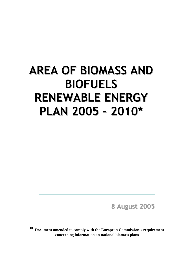# **AREA OF BIOMASS AND BIOFUELS RENEWABLE ENERGY PLAN 2005 – 2010\***

**8 August 2005**

**\* Document amended to comply with the European Commission's requirement concerning information on national biomass plans**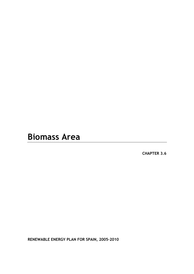# **Biomass Area**

**CHAPTER 3.6** 

**RENEWABLE ENERGY PLAN FOR SPAIN, 2005-2010**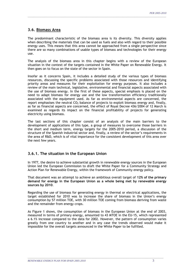# **3.6. Biomass Area**

The predominant characteristic of the biomass area is its diversity. This diversity applies when describing the materials that can be used as fuels and also with regard to their possible energy uses. This means that this area cannot be approached from a single perspective since there are so many combinations of usable types of biomass and technologies for their energy use.

\_\_\_\_\_\_\_\_\_\_\_\_\_\_\_\_\_\_\_\_\_\_\_\_\_\_\_\_\_\_\_\_\_\_\_\_\_\_\_\_\_\_\_\_\_\_\_\_\_\_\_\_\_\_\_\_\_\_\_\_\_\_\_\_\_\_\_\_\_\_\_\_\_\_\_\_\_\_\_\_\_\_\_\_\_\_\_\_\_\_\_\_\_\_\_\_\_\_\_\_\_\_\_\_\_\_

The analysis of the biomass area in this chapter begins with a review of the European situation in the context of the targets contained in the White Paper on Renewable Energy. It then goes on to focus on the state of the sector in Spain.

Insofar as it concerns Spain, it includes a detailed study of the various types of biomass resources, discussing the specific problems associated with those resources and identifying priority areas and measures for their exploitation for energy purposes. It also includes a review of the main technical, legislative, environmental and financial aspects associated with the use of biomass energy. In the first of these aspects, special emphasis is placed on the need to adapt biomass for energy use and the low transformation efficiency traditionally associated with the equipment used. As far as environmental aspects are concerned, the report emphasises the neutral  $CO<sub>2</sub>$  balance of projects to exploit biomass energy and, finally, as far as financial aspects are concerned, the effect of Royal Decree 436/2004 of 12 March is examined as regards its impact on the financial profitability of projects for generating electricity using biomass.

The last sections of this chapter consist of an analysis of the main barriers to the development of applications of this type, a group of measures to overcome those barriers in the short and medium term, energy targets for the 2005-2010 period, a discussion of the structure of the Spanish industrial sector and, finally, a review of the sector's requirements in the area of R&D, which is of vital importance for the consistent development of this area over the next few years.

# **3.6.1. The situation in the European Union**

In 1977, the desire to achieve substantial growth in renewable energy sources in the European Union led the European Commission to draft the White Paper for a Community Strategy and Action Plan for Renewable Energy, within the framework of Community energy policy.

That document was an attempt to achieve an ambitious overall target of **12% of the primary demand for energy in the European Union as a whole being met by renewable energy sources by 2010**.

Regarding the use of biomass for generating energy in thermal or electrical applications, the target established for 2010 was to increase the share of biomass in the Union's energy consumption by 57 million TOE, with 30 million TOE coming from biomass deriving from waste and the remainder from energy crops.

As Figure 1 shows, the consumption of biomass in the European Union at the end of 2003, measured in terms of primary energy, amounted to 43 MTOE in the EU-15, which represented a 6.1% increase compared to the data for 2002. However, the pattern of consumption varies greatly from one country to another and in any case the trends observed would make it impossible for the overall targets announced in the White Paper to be fulfilled.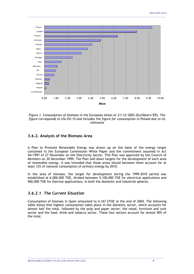

*Figure 1. Consumption of biomass in the European Union at 31/12/2003 (EurObserv'ER). The figure corresponds to the EU-15 and includes the figure for consumption in Poland due to its relevance* 

# **3.6.2. Analysis of the Biomass Area**

A Plan to Promote Renewable Energy was drawn up on the basis of the energy target contained in the European Commission White Paper and the commitment assumed in Act 54/1997 of 27 November on the Electricity Sector. This Plan was approved by the Council of Ministers on 30 December 1999. The Plan laid down targets for the development of each area of renewable energy. It was intended that those areas should between them account for at least 12% of national consumption of primary energy by 2010.

In the area of biomass, the target for development during the 1999-2010 period was established at 6,000,000 TOE, divided between 5,100,000 TOE for electrical applications and 900,000 TOE for thermal applications, in both the domestic and industrial spheres.

# *3.6.2.1. The Current Situation*

Consumption of biomass in Spain amounted to 4,167 kTOE at the end of 2004. The following table shows that highest consumption takes place in the domestic sector, which accounts for almost half the total, followed by the pulp and paper sector, the wood, furniture and cork sector and the food, drink and tobacco sector. These four sectors account for almost 90% of the total.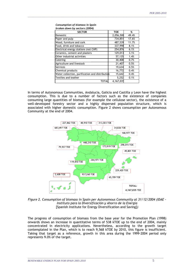| Consumption of biomass in Spain |  |
|---------------------------------|--|
| broken down by sectors (2004)   |  |

| <b>SECTOR</b>                                   | <b>TOE</b> | %     |
|-------------------------------------------------|------------|-------|
| Domestic                                        | 2,056,508  | 49.4% |
| Paper and pulp                                  | 734,851    | 17.6% |
| Wood, furniture and cork                        | 487,539    | 11.7% |
| Food, drink and tobacco                         | 337,998    | 8.1%  |
| Electrical energy stations (not CHP)            | 254,876    | 6.1%  |
| Ceramics, cement and plasters                   | 129,013    | 3.1%  |
| Other industrial activities                     | 57,135     | 1.4%  |
| Catering                                        | 30,408     | 0.7%  |
| Agriculture and livestock                       | 21,407     | 0.5%  |
| <b>Services</b>                                 | 19,634     | 0.5%  |
| Chemical products                               | 16,772     | 0.4%  |
| Water collection, purification and distribution | 15,642     | 0.4%  |
| Textiles and leather                            | 5,252      | 0.1%  |
| TOTAL                                           | 4.167.035  |       |

In terms of Autonomous Communities, Andalucia, Galicia and Castilla y Leon have the highest consumption. This is due to a number of factors such as the existence of companies consuming large quantities of biomass (for example the cellulose sector), the existence of a well-developed forestry sector and a highly dispersed population structure, which is associated with higher domestic consumption. Figure 2 shows consumption per Autonomous Community at the end of 2004.



*Figure 2. Consumption of biomass in Spain per Autonomous Community at 31/12/2004 (IDAE - Instituto para la Diversificación y Ahorro de la Energía*  [Spanish Institute for Energy Diversification and Saving]*)* 

The progress of consumption of biomass from the base year for the Promotion Plan (1998) onwards shows an increase in quantitative terms of 538 kTOE up to the end of 2004, mainly concentrated in electricity applications. Nevertheless, according to the growth target contemplated in the Plan, which is to reach 9,568 kTOE by 2010, this figure is insufficient. Taking that target as a reference, growth in this area during the 1999-2004 period only represents 9.0% of the target.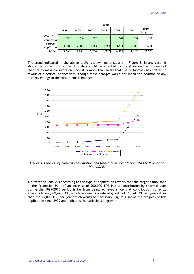|                   |                                      | Years |       |       |       |       |        |
|-------------------|--------------------------------------|-------|-------|-------|-------|-------|--------|
|                   | 1999<br>2000<br>2002<br>2003<br>2001 |       |       |       | 2004  | 2010  |        |
|                   |                                      |       |       |       |       |       | Target |
| <b>Electrical</b> | 227                                  | 236   | 302   | 516   | 644   | 680   | 5,311  |
| application       |                                      |       |       |       |       |       |        |
| <b>Thermal</b>    | 3,435                                | 3,454 | 3,462 | 3,466 | 3,478 | 3,487 | 4,318  |
| application       |                                      |       |       |       |       |       |        |
| <b>TOTAL</b>      | 3,663                                | 3,691 | 3,764 | 3,982 | 4,122 | 4,167 | 9,629  |

The trend indicated in the above table is shown more clearly in Figure 3. In any case, it should be borne in mind that this data could be affected by the study on the progress of thermal biomass consumption since it is more than likely that use of biomass has shifted in favour of electrical applications, though those changes would not mean the addition of any primary energy to the total biomass balance.



*Figure 3. Progress of biomass consumption and forecasts in accordance with the Promotion Plan (IDAE)*

A differential analysis according to the type of application reveals that the target established in the Promotion Plan of an increase of 900,000 TOE in the contribution by **thermal uses** during the 1999-2010 period is far from being achieved since that contribution currently amounts to only 69,446 TOE, which represents a rate of growth of 11,574 TOE per year rather than the 75,000 TOE per year which would be necessary. Figure 4 shows the progress of this application since 1999 and indicates the variations in growth.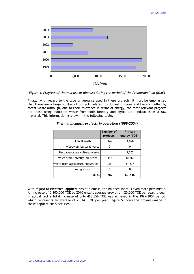

*Figure 4. Progress of thermal use of biomass during the period of the Promotion Plan (IDAE)*

Finally, with regard to the type of resource used in these projects, it must be emphasised that there are a large number of projects relating to domestic stoves and boilers fuelled by forest waste although, due to their relevance in terms of energy, the most relevant projects are those using industrial waste from both forestry and agricultural industries as a raw material. This information is shown in the following table.

|                                    | Number of<br>projects | Primary<br>energy (TOE) |
|------------------------------------|-----------------------|-------------------------|
| Forest waste                       | 147                   | 3,898                   |
| Woody agricultural waste           | 0                     |                         |
| Herbaceous agricultural waste      |                       | 3,303                   |
| Waste from forestry industries     | 113                   | 40,368                  |
| Waste from agricultural industries | 26                    | 21,877                  |
| Energy crops                       | 0                     |                         |
| TOTAL                              | 287                   | 69,446                  |

#### *Thermal biomass: projects in operation (1999-2004)*

With regard to **electrical applications** of biomass, the balance sheet is even more pessimistic. An increase of 5,100,000 TOE by 2010 entails average growth of 425,000 TOE per year, though in actual fact a total increase of only 468,856 TOE was achieved in the 1999-2004 period, which represents an average of 78,143 TOE per year. Figure 5 shows the progress made in these applications since 1999.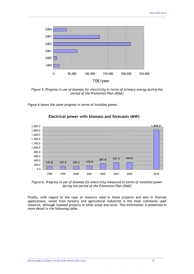

*Figure 5. Progress in use of biomass for electricity in terms of primary energy during the period of the Promotion Plan (IDAE)*

Figure 6 shows the same progress in terms of installed power.



#### **Electrical power with biomass and forecasts (MW)**

*Figure 6. Progress in use of biomass for electricity measured in terms of installed power during the period of the Promotion Plan (IDAE)* 

Finally, with regard to the type of resource used in these projects and also in thermal applications, waste from forestry and agricultural industries is the most commonly used resource, although isolated projects in other areas also exist. This information is presented in more detail in the following table.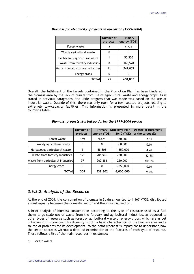|                                    | Number of<br>projects | Primary<br>energy (TOE) |
|------------------------------------|-----------------------|-------------------------|
| Forest waste                       |                       | 5,773                   |
| Woody agricultural waste           |                       |                         |
| Herbaceous agricultural waste      |                       | 55,500                  |
| Waste from forestry industries     | 8                     | 166,578                 |
| Waste from agricultural industries | 11                    | 241,005                 |
| Energy crops                       |                       |                         |
| TOTAL                              | 22                    | 468,856                 |

*Biomass for electricity: projects in operation (1999-2004)* 

\_\_\_\_\_\_\_\_\_\_\_\_\_\_\_\_\_\_\_\_\_\_\_\_\_\_\_\_\_\_\_\_\_\_\_\_\_\_\_\_\_\_\_\_\_\_\_\_\_\_\_\_\_\_\_\_\_\_\_\_\_\_\_\_\_\_\_\_\_\_\_\_\_\_\_\_\_\_\_\_\_\_\_\_\_\_\_\_\_\_\_\_\_\_\_\_\_\_\_\_\_\_\_\_\_\_

Overall, the fulfilment of the targets contained in the Promotion Plan has been hindered in the biomass area by the lack of results from use of agricultural waste and energy crops. As is stated in previous paragraphs, the little progress that was made was based on the use of industrial waste. Outside of this, there was only room for a few isolated projects relating to extremely low-capacity facilities. This information is presented in more detail in the following table.

#### *Biomass: projects started up during the 1999-2004 period*

|                                    | Number of<br>projects | <b>Primary</b><br>energy (TOE) | Objective Plan<br>2010 (TOE) | Degree of fulfilment<br>of the target (%) |
|------------------------------------|-----------------------|--------------------------------|------------------------------|-------------------------------------------|
| Forest waste                       | 149                   | 9,671                          | 450,000                      | 2.1%                                      |
| Woody agricultural waste           | 0                     | 0                              | 350,000                      | 0.0%                                      |
| Herbaceous agricultural waste      | 2                     | 58,803                         | 1,350,000                    | 4.4%                                      |
| Waste from forestry industries     | 121                   | 206,946                        | 250,000                      | 82.8%                                     |
| Waste from agricultural industries | 37                    | 262,882                        | 250,000                      | 105.2%                                    |
| Energy crops                       | 0                     | 0                              | 3,350,000                    | 0.0%                                      |
| TOTAL                              | 309                   | 538,302                        | 6,000,000                    | 9.0%                                      |

# *3.6.2.2. Analysis of the Resource*

At the end of 2004, the consumption of biomass in Spain amounted to 4,167 kTOE, distributed almost equally between the domestic sector and the industrial sector.

A brief analysis of biomass consumption according to the type of resource used as a fuel shows large-scale use of waste from the forestry and agricultural industries, as opposed to other types of resource such as forest or agricultural waste or energy crops, which are as yet unknown in this country. This diversity is both a basic characteristic of the biomass area and a source of problems for its development, to the point where it is impossible to understand how the sector operates without a detailed examination of the features of each type of resource. There follows a list of the main resources in existence:

\_\_\_\_\_\_\_\_\_\_\_\_\_\_\_\_\_\_\_\_\_\_\_\_\_\_\_\_\_\_\_\_\_\_\_\_\_\_\_\_\_\_\_\_\_\_\_\_\_\_\_\_\_\_\_\_\_\_\_\_\_\_\_\_\_\_\_\_\_\_\_\_\_\_\_\_\_\_\_\_\_\_\_\_\_\_\_\_\_\_\_\_\_\_\_\_\_\_\_\_\_\_\_\_

#### *a) Forest waste*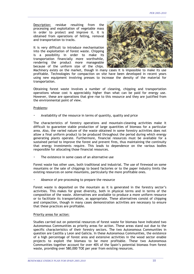Description: residue resulting from the processing and exploitation of vegetable mass in order to protect and improve it. It is obtained from operations of felling, removal and transportation to tracks.

It is very difficult to introduce mechanisation into the exploitation of forest waste. Chipping is a possibility in order to make its transportation financially more worthwhile, rendering the product more manageable because of the uniform size of the chips.



Machinery exists on the market, though in many cases it is impossible to make its use profitable. Technologies for compaction on site have been developed in recent years using new equipment involving presses to increase the density of the material for transportation.

\_\_\_\_\_\_\_\_\_\_\_\_\_\_\_\_\_\_\_\_\_\_\_\_\_\_\_\_\_\_\_\_\_\_\_\_\_\_\_\_\_\_\_\_\_\_\_\_\_\_\_\_\_\_\_\_\_\_\_\_\_\_\_\_\_\_\_\_\_\_\_\_\_\_\_\_\_\_\_\_\_\_\_\_\_\_\_\_\_\_\_\_\_\_\_\_\_\_\_\_\_\_\_\_\_\_

Obtaining forest waste involves a number of cleaning, chipping and transportation operations whose cost is appreciably higher than what can be paid for energy use. However, these are operations that give rise to this resource and they are justified from the environmental point of view.

#### Problems:

Availability of the resource in terms of quantity, quality and price

The characteristics of forestry operations and mountain-cleaning activities make it difficult to guarantee stable production of large quantities of biomass for a particular area. Also, the varied nature of the waste obtained in some forestry activities does not allow a final uniform product to be produced throughout the period during which energy generating plants operate. Furthermore, financial resources must be available for a sustained period to improve the forest and prevent fires, thus maintaining the continuity that energy investments require. This leads to dependence on the various bodies responsible for allocating those financial resources.

The existence in some cases of an alternative use

Forest waste has other uses, both traditional and industrial. The use of firewood on some mountains or the sale of chippings to board factories or to the paper industry limits the existing resources on some mountains, particularly the more profitable ones.

Absence of pre-processing to prepare the resource

Forest waste is deposited on the mountain as it is generated in the forestry sector's activities. This makes for great diversity, both in physical terms and in terms of the composition of the waste. Alternatives are available to produce a more uniform resource or to facilitate its transportation, as appropriate. These alternatives consist of chipping and compaction, though in many cases demonstration activities are necessary to ensure that these practices are profitable.

#### Priority areas for action:

Studies carried out on potential resources of forest waste for biomass have indicated two Autonomous Communities as priority areas for action. These areas stand out due to the specific characteristics of their forestry sectors. The two Autonomous Communities in question are Castilla y Leon and Galicia. In these Autonomous Communities, the existence of a high percentage of forest area and extensive activities in the wood sector enable projects to exploit the biomass to be more profitable. These two Autonomous Communities together account for over 40% of the Spain's potential biomass from forest waste, providing over 580,000 TOE per year from existing resources.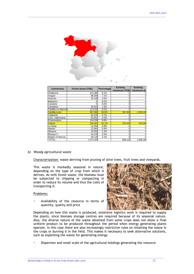

| Community            | Forest waste (TOE) | Percentage | <b>Existing</b><br>resources (TOE) | <b>Existing</b><br>resources (t) |
|----------------------|--------------------|------------|------------------------------------|----------------------------------|
| Andalucia            | 124,380            | 9.1%       |                                    |                                  |
| Aragon               | 98,058             | 7.1%       |                                    |                                  |
| Asturias             | 34,238             | 2.5%       |                                    |                                  |
| <b>Balearics</b>     |                    | 0.0%       |                                    |                                  |
| Canaries             |                    | 0.0%       |                                    |                                  |
| Cantabria            | 25,823             | 1.9%       |                                    |                                  |
| Castilla-La Mancha   | 113,156            | 8.2%       |                                    |                                  |
| <b>Castilla-Leon</b> | 367.668            | 26.8%      | 367.668                            | 1,050,480                        |
| Catalonia            | 92,340             | 6.7%       |                                    |                                  |
| Com. Valenciana      | 54,851             | 4.0%       |                                    |                                  |
| Extremadura          | 134,338            | 9.8%       |                                    |                                  |
| Galicia              | 220.461            | 16.1%      | 220,46                             | 629,889                          |
| La Rioja             | 12.454             | 0.9%       |                                    |                                  |
| Madrid               | 12,991             | 0.9%       |                                    |                                  |
| Navarra              | 19,302             | 1.4%       |                                    |                                  |
| Basque C.            | 34,239             | 2.5%       |                                    |                                  |
| Region of Murcia     | 29,129             | 2.1%       |                                    |                                  |
| <b>TOTAL</b>         | 1,373,428          |            | 588,129                            | 1,680,369                        |

#### *b) Woody agricultural waste*

Characterization: waste deriving from pruning of olive trees, fruit trees and vineyards.

This waste is markedly seasonal in nature, depending on the type of crop from which it derives. As with forest waste, the biomass must be subjected to chipping or compacting in order to reduce its volume and thus the costs of transporting it.

#### Problems:

Availability of the resource in terms of quantity, quality and price



Depending on how this waste is produced, extensive logistics work is required to supply the plants, since biomass storage centres are required because of its seasonal nature. Also, the diverse nature of the waste obtained from some crops does not allow a final uniform product to be produced throughout the period when energy generating plants operate. In this case there are also increasingly restrictive rules on retaining the waste in the crops or burning it in the field. This makes it necessary to seek alternative solutions, such as exploiting the waste for generating energy.

Dispersion and small scale of the agricultural holdings generating the resource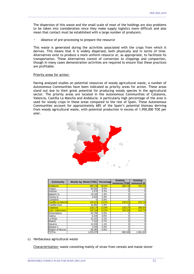The dispersion of this waste and the small scale of most of the holdings are also problems to be taken into consideration since they make supply logistics more difficult and also mean that contact must be established with a large number of producers.

\_\_\_\_\_\_\_\_\_\_\_\_\_\_\_\_\_\_\_\_\_\_\_\_\_\_\_\_\_\_\_\_\_\_\_\_\_\_\_\_\_\_\_\_\_\_\_\_\_\_\_\_\_\_\_\_\_\_\_\_\_\_\_\_\_\_\_\_\_\_\_\_\_\_\_\_\_\_\_\_\_\_\_\_\_\_\_\_\_\_\_\_\_\_\_\_\_\_\_\_\_\_\_\_\_\_

Absence of pre-processing to prepare the resource

This waste is generated during the activities associated with the crops from which it derives. This means that it is widely dispersed, both physically and in terms of time. Alternatives exist to produce a more uniform resource or, as appropriate, to facilitate its transportation. These alternatives consist of conversion to chippings and compaction, though in many cases demonstration activities are required to ensure that these practices are profitable.

#### Priority areas for action:

Having analysed studies on potential resources of woody agricultural waste, a number of Autonomous Communities have been indicated as priority areas for action. These areas stand out due to their great potential for producing woody species in the agricultural sector. The priority areas are located in the Autonomous Communities of Catalonia, Valencia, Castilla La Mancha and Andalucia. A particularly high percentage of the area is used for woody crops in these areas compared to the rest of Spain. These Autonomous Communities account for approximately 68% of the Spain's potential biomass deriving from woody agricultural waste, with potential production in excess of 1,950,000 TOE per year.



| <b>Community</b>   | Woody Ag. Waste (TOE) | Percentage | <b>Existing</b><br>resources (TOE) | <b>Existing</b><br>resources (t) |
|--------------------|-----------------------|------------|------------------------------------|----------------------------------|
| Andalucia          | 266,740               | 26.6%      | 266,740                            | 762,114                          |
| Aragon             | 84,930                | 8.5%       |                                    |                                  |
| Asturias           | 2,470                 | 0.2%       |                                    |                                  |
| Balearic Is.       | 13,240                | 1.3%       |                                    |                                  |
| Canary Is.         | 3,020                 | 0.3%       |                                    |                                  |
| Cantabria          |                       | 0.0%       |                                    |                                  |
| Castilla-La Mancha | 145,510               | 14.5%      | 145,510                            | 415,743                          |
| Castilla-Leon      | 22,850                | 2.3%       |                                    |                                  |
| Catalonia          | 129.170               | 12.9%      | 129,170                            | 369,057                          |
| Com. Valenciana    | 145,160               | 14.5%      | 145.160                            | 414,743                          |
| Extremadura        | 64,790                | 6.5%       |                                    |                                  |
| Galicia            | 6,240                 | 0.6%       |                                    |                                  |
| La Rioja           | 31,310                | 3.1%       |                                    |                                  |
| Madrid             | 7,410                 | 0.7%       | 0                                  |                                  |
| Navarra            | 11,530                | 1.1%       | 0                                  |                                  |
| Basque C.          | 3,240                 | 0.3%       |                                    |                                  |
| Region of Murcia   | 66,360                | 6.6%       |                                    |                                  |
| <b>TOTAL</b>       | 1,003,970             |            | 686,580                            | 1,961,657                        |

c) Herbaceous agricultural waste

Characterization: waste consisting mainly of straw from cereals and maize stover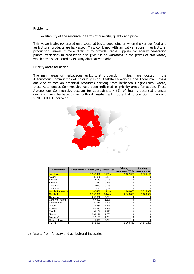#### Problems:

x Availability of the resource in terms of quantity, quality and price

This waste is also generated on a seasonal basis, depending on when the various food and agricultural products are harvested. This, combined with annual variations in agricultural production, makes it more difficult to provide stable supplies for energy generation plants. Variations in production also give rise to variations in the prices of this waste, which are also affected by existing alternative markets.

\_\_\_\_\_\_\_\_\_\_\_\_\_\_\_\_\_\_\_\_\_\_\_\_\_\_\_\_\_\_\_\_\_\_\_\_\_\_\_\_\_\_\_\_\_\_\_\_\_\_\_\_\_\_\_\_\_\_\_\_\_\_\_\_\_\_\_\_\_\_\_\_\_\_\_\_\_\_\_\_\_\_\_\_\_\_\_\_\_\_\_\_\_\_\_\_\_\_\_\_\_\_\_\_\_\_

#### Priority areas for action:

The main areas of herbaceous agricultural production in Spain are located in the Autonomous Communities of Castilla y Leon, Castilla La Mancha and Andalucia. Having analysed studies on potential resources deriving from herbaceous agricultural waste, these Autonomous Communities have been indicated as priority areas for action. These Autonomous Communities account for approximately 65% of Spain's potential biomass deriving from herbaceous agricultural waste, with potential production of around 5,200,000 TOE per year.



| <b>Community</b>   | Herbaceous A. Waste (TOE) Percentage |       | <b>Existing</b><br>resources (TOE) | <b>Existing</b><br>resources (t) |
|--------------------|--------------------------------------|-------|------------------------------------|----------------------------------|
| Andalucia          | 1,152,960                            | 14.7% | 1,152,960                          | 3,294,171                        |
| Aragon             | 730,930                              | 9.3%  |                                    |                                  |
| Asturias           | 2,180                                | 0.0%  |                                    |                                  |
| Balearic Is.       | 21,880                               | 0.3%  | 0                                  |                                  |
| Canary Is.         | 2,030                                | 0.0%  | ი                                  |                                  |
| Cantabria          | 1,830                                | 0.0%  | 0                                  | 0                                |
| Castilla-La Mancha | 1,188,480                            | 15.1% | 1,188,480                          | 3,395,657                        |
| Castilla-Leon      | 2,863,020                            | 36.4% | 2,863,020                          | 8,180,057                        |
| Catalonia          | 605,670                              | 7.7%  |                                    |                                  |
| Com, Valenciana    | 97,490                               | 1.2%  |                                    |                                  |
| Extremadura        | 380,510                              | 4.8%  | ი                                  |                                  |
| Galicia            | 181,380                              | 2.3%  | 0                                  | 0                                |
| La Rioja           | 97,830                               | 1.2%  | 0                                  | 0                                |
| Madrid             | 101,100                              | 1.3%  | 0                                  |                                  |
| Navarra            | 331,110                              | 4.2%  | 0                                  | 0                                |
| Basque C.          | 92,170                               | 1.2%  | 0                                  | 0                                |
| Region of Murcia   | 15,460                               | 0.2%  | O                                  | $\Omega$                         |
| <b>TOTAL</b>       | 7,866,030                            |       | 5,204,460                          | 14,869,886                       |

\_\_\_\_\_\_\_\_\_\_\_\_\_\_\_\_\_\_\_\_\_\_\_\_\_\_\_\_\_\_\_\_\_\_\_\_\_\_\_\_\_\_\_\_\_\_\_\_\_\_\_\_\_\_\_\_\_\_\_\_\_\_\_\_\_\_\_\_\_\_\_\_\_\_\_\_\_\_\_\_\_\_\_\_\_\_\_\_\_\_\_\_\_\_\_\_\_\_\_\_\_\_\_\_

d) Waste from forestry and agricultural industries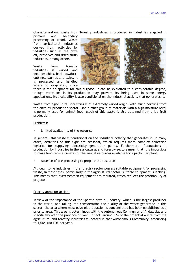Characterization: waste from forestry industries is produced in industries engaged in

primary and secondary processing of wood. Waste from agricultural industries derives from activities by industries such as the olive oil, preserves and dried fruits industries, among others.

Waste from forestry industries is varied and includes chips, bark, sawdust, cuttings, stumps and twigs. It is processed and handled where it originates, since



there is the equipment for this purpose. It can be exploited to a considerable degree, though variations in its production may prevent its being used in some energy applications. Its availability is also conditional on the industrial activity that generates it.

\_\_\_\_\_\_\_\_\_\_\_\_\_\_\_\_\_\_\_\_\_\_\_\_\_\_\_\_\_\_\_\_\_\_\_\_\_\_\_\_\_\_\_\_\_\_\_\_\_\_\_\_\_\_\_\_\_\_\_\_\_\_\_\_\_\_\_\_\_\_\_\_\_\_\_\_\_\_\_\_\_\_\_\_\_\_\_\_\_\_\_\_\_\_\_\_\_\_\_\_\_\_\_\_\_\_

Waste from agricultural industries is of extremely varied origin, with much deriving from the olive oil production sector. One further group of materials with a high moisture level is normally used for animal feed. Much of this waste is also obtained from dried fruit production.

#### Problems:

Limited availability of the resource

In general, this waste is conditional on the industrial activity that generates it. In many cases, activities of this type are seasonal, which requires more complex collection logistics for supplying electricity generation plants. Furthermore, fluctuations in production by industries in the agricultural and forestry sectors mean that it is impossible to make long-term estimates of the annual resources available for a particular plant.

Absence of pre-processing to prepare the resource

Although some industries in the forestry sector possess suitable equipment for processing waste, in most cases, particularly in the agricultural sector, suitable equipment is lacking. This means that investments in equipment are required, which reduces the profitability of projects.

#### Priority areas for action:

In view of the importance of the Spanish olive oil industry, which is the largest producer in the world, and taking into consideration the quality of the waste generated in this sector, the area where most olive oil production is concentrated has been established as a priority area. This area is coterminous with the Autonomous Community of Andalucia, and specifically with the province of Jaen. In fact, around 37% of the potential waste from the agricultural and forestry industries is located in that Autonomous Community, amounting to 1,084,160 TOE per year.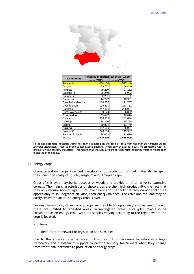

| <b>Community</b>   | <b>Potential industrial</b><br>waste (TOE) | <b>Industrial waste</b><br>used (TOE) |
|--------------------|--------------------------------------------|---------------------------------------|
| Andalucia          | 1,084,160                                  | 517,148                               |
| Aragon             | 103,621                                    | 46,449                                |
| Asturias           | 79,230                                     | 97,162                                |
| Balearic Is.       | 26,240                                     | 6,993                                 |
| Canary Is.         | 32,251                                     | 0                                     |
| Cantabria          | 14,247                                     | 10,381                                |
| Castilla-La Mancha | 156,235                                    | 121,757                               |
| Castilla-Leon      | 125,511                                    | 117,732                               |
| Catalonia          | 247,198                                    | 238,924                               |
| Com, Valenciana    | 199,224                                    | 86,832                                |
| Extremadura        | 69,047                                     | 20,078                                |
| Galicia            | 366,138                                    | 161,044                               |
| La Rioja           | 14,206                                     | 15,788                                |
| Madrid             | 59,894                                     | 11,749                                |
| Navarra            | 107,090                                    | 65,927                                |
| Basque C.          | 226,654                                    | 145,957                               |
| Region of Murcia   | 38,053                                     | 21,079                                |
| <b>TOTAL</b>       | 2,949,000                                  | 1,685,000                             |

Note: The potential industrial waste has been estimated on the basis of data from the *Plan de Fomento de las Energías Renovables* [Plan to Promote Renewable Energy], which only evaluated industries associated with oil production and forestry industries. This means that the actual figure for potential industrial waste is higher than indicated in this table.

#### e) Energy crops

Characterization: crops intended specifically for production of fuel materials. In Spain they consist basically of thistle, sorghum and Ethiopian rape.

Crops of this type may be herbaceous or woody and provide an alternative to extensive cereals. The main characteristics of these crops are their high productivity, the fact that they only require normal agricultural machinery and the fact that they do not contribute appreciably to soil degradation. Also, their energy balance is positive and the land may be easily recovered after the energy crop is over.

Besides these crops, other woody crops such as black poplar may also be used, though these are limited to irrigated areas. In unirrigated areas, eucalyptus may also be considered as an energy crop, with the species varying according to the region where the crop is located.

#### Problems:

Need for a framework of legislation and subsidies

Due to the absence of experience in this field, it is necessary to establish a legal framework and a system of support to provide security for farmers when they change from traditional activities to production of energy crops.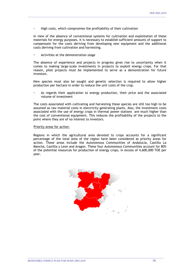High costs, which compromise the profitability of their cultivation

In view of the absence of conventional systems for cultivation and exploitation of these materials for energy purposes, it is necessary to establish sufficient amounts of support to compensate for the costs deriving from developing new equipment and the additional costs deriving from cultivation and harvesting.

\_\_\_\_\_\_\_\_\_\_\_\_\_\_\_\_\_\_\_\_\_\_\_\_\_\_\_\_\_\_\_\_\_\_\_\_\_\_\_\_\_\_\_\_\_\_\_\_\_\_\_\_\_\_\_\_\_\_\_\_\_\_\_\_\_\_\_\_\_\_\_\_\_\_\_\_\_\_\_\_\_\_\_\_\_\_\_\_\_\_\_\_\_\_\_\_\_\_\_\_\_\_\_\_\_\_

Activities at the demonstration stage

The absence of experience and projects in progress gives rise to uncertainty when it comes to making large-scale investments in projects to exploit energy crops. For that reason, pilot projects must be implemented to serve as a demonstration for future investors.

New species must also be sought and genetic selection is required to allow higher production per hectare in order to reduce the unit costs of the crop.

As regards their application to energy production, their price and the associated volume of investment

The costs associated with cultivating and harvesting these species are still too high to be assumed as raw material costs in electricity generating plants. Also, the investment costs associated with the use of energy crops in thermal power stations are much higher than the cost of conventional equipment. This reduces the profitability of the projects to the point where they are of no interest to investors.

#### Priority areas for action:

Regions in which the agricultural area devoted to crops accounts for a significant percentage of the total area of the region have been considered as priority areas for action. These areas include the Autonomous Communities of Andalucia, Castilla La Mancha, Castilla y Leon and Aragon. These four Autonomous Communities account for 80% of the potential resources for production of energy crops, in excess of 4,600,000 TOE per year.

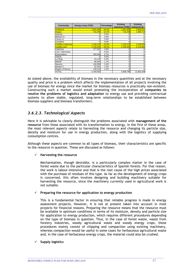| Community           | Energy crops (TOE) | Percentage | <b>Existing</b><br>resources (TOE) | <b>Existing</b><br>resources (t) |
|---------------------|--------------------|------------|------------------------------------|----------------------------------|
| <b>Andalucia</b>    | 1,061,828          | 18.4%      | 1,061,828                          | 2,949,522                        |
| Aragon              | 716.299            | 12.4%      | 716.299                            | 1,989,719                        |
| Asturias            |                    | 0.0%       |                                    | 0                                |
| Balearic Is.        |                    | 0.0%       |                                    | 0                                |
| Canary Is.          |                    | 0.0%       | ŋ                                  | 0                                |
| Cantabria           |                    | 0.0%       | ŋ                                  | $\mathbf 0$                      |
| Castilla-La Manchal | 1,130,223          | 19.6%      | 1,130,223                          | 3,139,508                        |
| Castilla-Leon       | 1,700,445          | 29.5%      | 1,700,445                          | 4,723,458                        |
| Catalonia           | 277.007            | 4.8%       |                                    | 0                                |
| Com, Valenciana     |                    | 0.0%       |                                    | 0                                |
| Extremadura         | 383,940            | 6.7%       | 0                                  | 0                                |
| Galicia             |                    | 0.0%       | 0                                  | 0                                |
| La Rioja            | 23,118             | 0.4%       | 0                                  | 0                                |
| Madrid              | 96,940             | 1.7%       | 0                                  | 0                                |
| Navarra             | 194.959            | 3.4%       | 0                                  | 0                                |
| Basque C.           | 55,591             | 1.0%       | ŋ                                  | 0                                |
| Region of Murcia    | 128,213            | 2.2%       | 0                                  | 0                                |
| <b>TOTAL</b>        | 5,768,563          |            | 4,608,795                          | 12,802,208                       |

As stated above, the availability of biomass in the necessary quantities and at the necessary quality and price is a problem which affects the implementation of all projects involving the use of biomass for energy since the market for biomass resources is practically non-existent. Constructing such a market would entail promoting the incorporation of **companies to resolve the problems of logistics and adaptation** to energy use and providing contractual systems to allow stable, regulated, long-term relationships to be established between biomass suppliers and biomass transformers.

# *3.6.2.3. Technological Aspects*

Here it is advisable to clearly distinguish the problems associated with **management of the resource** from those associated with its transformation to energy. In the first of these areas, the most relevant aspects relate to harvesting the resource and changing its particle size, density and moisture for use in energy production, along with the logistics of supplying consumption centres.

Although these aspects are common to all types of biomass, their characteristics are specific to the resource in question. These are discussed as follows:

#### 9 **Harvesting the resource**

Mechanisation, though desirable, is a particularly complex matter in the case of forest waste due to the particular characteristics of Spanish forests. For that reason, the work is labour-intensive and that is the root cause of the high prices associated with the purchase of residues of this type. As far as the development of energy crops is concerned, this often involves designing and building machinery suitable for harvesting the resource, since the machinery currently used in agricultural work is not suitable.

#### 9 **Preparing the resource for application to energy production**

This is a fundamental factor in ensuring that reliable progress is made in energy assessment projects. However, it is not at present taken into account in most projects for financial reasons. Preparing the resource means that the resource must be available in optimum conditions in terms of its moisture, density and particle size for application to energy production, which requires different procedures depending on the type of biomass in question. Thus, in the case of forest waste, waste from forestry industries, woody agricultural waste and woody energy crops, these procedures mainly consist of chipping and compaction using existing machinery, whereas compaction would be useful in some cases for herbaceous agricultural waste and, in the case of herbaceous energy crops, the material could also be crushed.

\_\_\_\_\_\_\_\_\_\_\_\_\_\_\_\_\_\_\_\_\_\_\_\_\_\_\_\_\_\_\_\_\_\_\_\_\_\_\_\_\_\_\_\_\_\_\_\_\_\_\_\_\_\_\_\_\_\_\_\_\_\_\_\_\_\_\_\_\_\_\_\_\_\_\_\_\_\_\_\_\_\_\_\_\_\_\_\_\_\_\_\_\_\_\_\_\_\_\_\_\_\_\_\_

#### 9 **Supply logistics**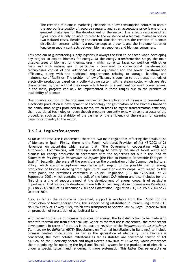The creation of biomass marketing channels to allow consumption centres to obtain the appropriate quality of resource regularly and at an acceptable price is one of the greatest challenges for the development of the sector. This affects resources of all types since it is only possible to refer to the existence of a biomass market in one or two isolated cases. Resolving the current situation requires the creation of biomass distribution centres, which is a new concept at present, and the implementation of long-term supply contracts between biomass suppliers and biomass consumers.

\_\_\_\_\_\_\_\_\_\_\_\_\_\_\_\_\_\_\_\_\_\_\_\_\_\_\_\_\_\_\_\_\_\_\_\_\_\_\_\_\_\_\_\_\_\_\_\_\_\_\_\_\_\_\_\_\_\_\_\_\_\_\_\_\_\_\_\_\_\_\_\_\_\_\_\_\_\_\_\_\_\_\_\_\_\_\_\_\_\_\_\_\_\_\_\_\_\_\_\_\_\_\_\_\_\_

This problem of guaranteeing supply logistics is always the first to be faced when developing any project to exploit biomass for energy. At the energy **transformation** stage, the main disadvantages of biomass for thermal uses – which currently faces competition with other fuels and with natural gas in particular – compared to conventional transformation technologies consist of the additional cost of equipment and the lower transformation efficiency, along with the additional requirements relating to storage, handling and maintenance of facilities. The problem of low efficiency is common to traditional methods of electricity production based on a boiler-turbine system with a steam cycle, which are also characterised by the fact that they require high levels of investment for small power ranges. In the main, projects can only be implemented in these ranges due to the problem of availability of biomass.

One possible solution to the problems involved in the application of biomass to conventional electricity production is development of technology for gasification of the biomass linked to the combustion of gas produced in a motor, which leads to higher transformation efficiency than traditional technologies, even though problems currently exist with some aspects of the procedure, such as the stability of the gasifier or the efficiency of the system for cleaning gases prior to entry to the motor.

# *3.6.2.4. Legislative Aspects*

As far as the resource is concerned, there are two main regulations affecting the possible use of biomass in Spain. Firstly, there is the Fourth Additional Provision of Act 43/2003 of 21 November on Mountains which states that, "the Government, cooperating with the Autonomous Communities, will draw up a strategy to develop the use of forest waste and biomass for energy production in accordance with the objectives set out in the *Plan de Fomento de las Energías Renovables en España* [the Plan to Promote Renewable Energies in Spain]". Secondly, there are all the provisions on the organisation of the Common Agricultural Policy, which are of exceptional importance with regard to the possible use for energy production of biomass deriving from agricultural waste or energy crops. With regard to this latter point, the provisions contained in Council Regulation (EC) No 1782/2003 of 29 September 2003, which contains the bulk of the latest CAP reform and also includes for the first time a line of support aimed at the development of energy crops, is of particular importance. That support is developed more fully in two Regulations: Commission Regulation (EC) No 2237/2003 of 23 December 2003 and Commission Regulation (EC) No 1973/2004 of 29 October 2004.

Also, as far as the resource is concerned, support is available from the EAGGF for the introduction of forest energy crops, this support being established in Council Regulation (EC) No 1257/1999 of 17 May 1999, which was transposed to Spanish law by Royal Decree 6/2001 on promotion of forestation of agricultural land.

With regard to the use of biomass resources for energy, the first distinction to be made is to separate thermal use from electrical use. As far as thermal use is concerned, the most recent development in terms of statutes is the current revision of the *Reglamento de Instalaciones Térmicas en los Edificios (RITE)* [Regulations on Thermal Installations in Buildings] to include biomass heating installations. As far as the generation of electricity using biomass is concerned, the most notable milestones as far as statutes are concerned consist of Act 54/1997 on the Electricity Sector and Royal Decree 436/2004 of 12 March, which establishes the methodology for updating the legal and financial system for the production of electricity under a special system and rendering it more systematic. This latter Decree establishes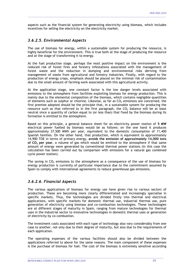aspects such as the financial system for generating electricity using biomass, which includes incentives for selling the electricity on the electricity market.

\_\_\_\_\_\_\_\_\_\_\_\_\_\_\_\_\_\_\_\_\_\_\_\_\_\_\_\_\_\_\_\_\_\_\_\_\_\_\_\_\_\_\_\_\_\_\_\_\_\_\_\_\_\_\_\_\_\_\_\_\_\_\_\_\_\_\_\_\_\_\_\_\_\_\_\_\_\_\_\_\_\_\_\_\_\_\_\_\_\_\_\_\_\_\_\_\_\_\_\_\_\_\_\_\_\_

# *3.6.2.5. Environmental Aspects*

The use of biomass for energy, within a sustainable system for producing the resource, is highly beneficial for the environment. This is true both at the stage of producing the resource and at the stage of transforming it to energy.

At the fuel production stage, perhaps the most positive impact on the environment is the reduced risk of forest fires and forestry infestations associated with the management of forest waste and the reduction in dumping and environmental risks deriving from management of waste from agricultural and forestry industries. Finally, with regard to the production of energy crops, emphasis should be placed on the minimal risk of contamination due to the small amount of farming work associated with this agricultural activity.

At the application stage, one constant factor is the low danger levels associated with emissions to the atmosphere from facilities exploiting biomass for energy production. This is mainly due to the elemental composition of the biomass, which contains negligible quantities of elements such as sulphur or chlorine. Likewise, as far as  $CO<sub>2</sub>$  emissions are concerned, the first premise adopted should be the principle that, in a sustainable system for producing the resource such as that referred to in the first paragraph, the  $CO<sub>2</sub>$  balance will be at least neutral since a quantity of carbon equal to (or less than) that fixed by the biomass during its formation is emitted to the atmosphere.

Based on this principle, a general balance sheet for an electricity power station of **5 MW** electrical power fuelled by biomass would be as follows: on the one hand it produces approximately 37,500 MWh per year, equivalent to the domestic consumption of 11,400 Spanish families. On the other hand, that production, which is equivalent to approximately 14,900 TOE in terms of primary energy, **avoids the emission of approximately 14,000 tons of CO2 per year**, a volume of gas which would be emitted to the atmosphere if that same amount of energy were generated by conventional thermal power stations (in this case the calculation has been carried out by comparison with emissions for a natural gas combined cycle power station).

The saving in  $CO<sub>2</sub>$  emissions to the atmosphere as a consequence of the use of biomass for energy production is currently of particular importance due to the commitment assumed by Spain to comply with international agreements to reduce greenhouse gas emissions.

# *3.6.2.6. Financial Aspects*

The various applications of biomass for energy use have given rise to various sectors of production. These are becoming more clearly differentiated and increasingly specialise in specific markets. Thus, the technologies are divided firstly into thermal and electrical applications, with specific markets for domestic thermal use, industrial thermal use, pure generation of electricity using biomass and co-combustion technologies. These technologies are at different stages of maturity in Spain, ranging from mature technologies for thermal uses in the industrial sector to innovative technologies in domestic thermal uses or generation of electricity by co-combustion.

The investment costs associated with each type of technology also vary considerably from one case to another, not only due to their degree of maturity, but also due to the requirements of each application.

The operating expenses of the various facilities should also be divided between the applications referred to above for the same reasons. The main component of these expenses is the purchase of biomass for fuel. The cost of the biomass is extremely sensitive according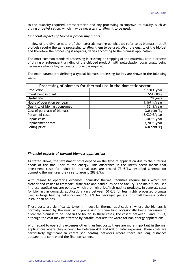to the quantity required, transportation and any processing to improve its quality, such as drying or pelletisation, which may be necessary to allow it to be used.

\_\_\_\_\_\_\_\_\_\_\_\_\_\_\_\_\_\_\_\_\_\_\_\_\_\_\_\_\_\_\_\_\_\_\_\_\_\_\_\_\_\_\_\_\_\_\_\_\_\_\_\_\_\_\_\_\_\_\_\_\_\_\_\_\_\_\_\_\_\_\_\_\_\_\_\_\_\_\_\_\_\_\_\_\_\_\_\_\_\_\_\_\_\_\_\_\_\_\_\_\_\_\_\_\_\_

#### *Financial aspects of biomass processing plants*

In view of the diverse nature of the materials making up what we refer to as biomass, not all biofuels require the same processing to allow them to be used. Also, the quality of the biofuel and therefore the processing it requires, varies according to the biomass application.

The most common standard processing is crushing or chipping of the material, with a process of drying or subsequent grinding of the chipped product, with pelletisation occasionally being necessary when a higher quality product is required.

The main parameters defining a typical biomass processing facility are shown in the following table.

| Processing of biomass for thermal use in the domestic sector |               |  |  |
|--------------------------------------------------------------|---------------|--|--|
| Production                                                   | 1,580 t/year  |  |  |
| Investment in plant                                          | 564,000€      |  |  |
| Useful life                                                  | 20 years      |  |  |
| Hours of operation per year                                  | 1,167 h/year  |  |  |
| Quantity of biomass consumed                                 | 1,751 t/year  |  |  |
| Cost of purchase of biomass                                  | $3.0$ cent/kg |  |  |
| Personnel costs                                              | 18,030 €/year |  |  |
| Repair costs                                                 | 600 €/year    |  |  |
| Replacement costs                                            | 3,200€/year   |  |  |
| Selling price                                                | $6.0$ cent/kg |  |  |

#### *Financial aspects of thermal biomass applications*

As stated above, the investment costs depend on the type of application due to the differing needs of the final user of the energy. This difference in the user's needs means that investment costs for industrial thermal uses are around 73 €/kW installed whereas for domestic thermal uses they rise to around 282 €/kW.

With regard to operating expenses, domestic thermal facilities require fuels which are cleaner and easier to transport, distribute and handle inside the facility. The main fuels used in these applications are pellets, which are high price/high quality products. In general, costs for biomass in domestic applications vary between 60  $E/t$  for less highly processed biomass used in large heating networks and 160  $E/t$  for packaged pellets for small biomass boilers installed in houses.

These costs are significantly lower in industrial thermal applications, where the biomass is normally owned by the user, with processing of some kind occasionally being necessary to allow the biomass to be used in the boiler. In these cases, the cost is between 0 and 35  $\epsilon$ /t, although the cost may be affected by parallel markets for waste for non-energy applications.

With regard to operating expenses other than fuel costs, these are more important in thermal applications where they account for between 40% and 60% of total expenses. These costs are particularly significant in centralised heating networks where there are long distances between the centre and the final consumers.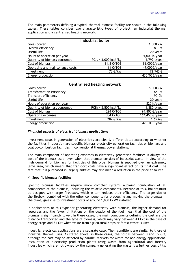The main parameters defining a typical thermal biomass facility are shown in the following tables. These tables consider two characteristic types of project: an industrial thermal application and a centralised heating network.

\_\_\_\_\_\_\_\_\_\_\_\_\_\_\_\_\_\_\_\_\_\_\_\_\_\_\_\_\_\_\_\_\_\_\_\_\_\_\_\_\_\_\_\_\_\_\_\_\_\_\_\_\_\_\_\_\_\_\_\_\_\_\_\_\_\_\_\_\_\_\_\_\_\_\_\_\_\_\_\_\_\_\_\_\_\_\_\_\_\_\_\_\_\_\_\_\_\_\_\_\_\_\_\_\_\_

| <b>Industrial boiler</b>        |                         |              |  |  |
|---------------------------------|-------------------------|--------------|--|--|
| Gross power                     |                         | 1,000 kW     |  |  |
| Overall efficiency              |                         | 80.0%        |  |  |
| Useful life                     |                         | 20 years     |  |  |
| Hours of operation per year     |                         | 5,000 h/year |  |  |
| Quantity of biomass consumed    | $PCI_h = 3,000$ kcal/kg | 1,792 t/year |  |  |
| Cost of biomass                 | 84.8 €/TOE              | 36,000€/year |  |  |
| Operating and maintenance costs | 114 €/TOE               | 49,000€/year |  |  |
| Investment                      | 73 €/kW                 | 72,740€      |  |  |
| Energy production               |                         | 430 TOE/year |  |  |

| <b>Centralised heating network</b> |                       |                |  |  |
|------------------------------------|-----------------------|----------------|--|--|
| Gross power                        |                       | 6,000 kW       |  |  |
| <b>Transformation efficiency</b>   |                       | 85.0%          |  |  |
| Transport efficiency               |                       | 90.0%          |  |  |
| Useful life                        |                       | 20 years       |  |  |
| Hours of operation per year        |                       | 820 h/year     |  |  |
| Quantity of biomass consumed       | $PCh = 3,500$ kcal/kg | 1,580 t/year   |  |  |
| Cost of biomass                    | 224 €/TOE             | 94,800 €/year  |  |  |
| Operating expenses                 | 384 €/TOE             | 162,450 €/year |  |  |
| Investment                         | 282 €/kW              | 1.69 M€        |  |  |
| Energy production                  |                       | 423 TOE/year   |  |  |

#### *Financial aspects of electrical biomass applications*

Investment costs in generation of electricity are clearly differentiated according to whether the facilities in question are specific biomass electricity generation facilities or biomass and coal co-combustion facilities in conventional thermal power stations.

The main component of operating expenses in electricity generation facilities is always the cost of the biomass used, even when that biomass consists of industrial waste. In view of the high demand for biomass for facilities of this type, biomass is supplied over an extremely large area, which means that transport costs have a significant effect on its final cost. The fact that it is purchased in large quantities may also mean a reduction in the price at source.

#### 9 **Specific biomass facilities**

Specific biomass facilities require more complex systems allowing combustion of all components of the biomass, including the volatile components. Because of this, boilers must be designed with larger fireboxes, which in turn reduces their efficiency. The larger size of the firebox, combined with the other components for processing and moving the biomass in the plant, give rise to investment costs of around 1,800 €/kW installed.

In applications of this type for generating electricity with biomass, the higher demand for resources and the fewer limitations on the quality of the fuel mean that the cost of the biomass is significantly lower. In these cases, the main components defining the cost are the distance transported and the type of biomass, which may vary between 43  $\epsilon$ /t in the case of energy crops and 31  $E/t$  when waste from agricultural crops or forest waste is used.

Industrial electrical applications are a separate case. Their conditions are similar to those of industrial thermal uses. As stated above, in these cases, the cost is between 0 and 35  $E/t$ , although the cost may be affected by parallel markets for waste for non-energy applications. Installation of electricity production plants using waste from agricultural and forestry industries which are not owned by the company generating the waste is a further possibility.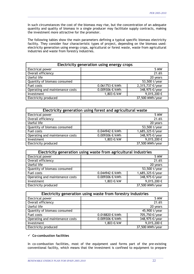In such circumstances the cost of the biomass may rise, but the concentration of an adequate quantity and quality of biomass in a single producer may facilitate supply contracts, making the investment more attractive for the promoter.

\_\_\_\_\_\_\_\_\_\_\_\_\_\_\_\_\_\_\_\_\_\_\_\_\_\_\_\_\_\_\_\_\_\_\_\_\_\_\_\_\_\_\_\_\_\_\_\_\_\_\_\_\_\_\_\_\_\_\_\_\_\_\_\_\_\_\_\_\_\_\_\_\_\_\_\_\_\_\_\_\_\_\_\_\_\_\_\_\_\_\_\_\_\_\_\_\_\_\_\_\_\_\_\_\_\_

The following tables show the main parameters defining a typical specific biomass electricity facility. They consider four characteristic types of project, depending on the biomass used: electricity generation using energy crops, agricultural or forest waste, waste from agricultural industries and waste from forestry industries.

| Electricity generation using energy crops |                |                  |  |  |
|-------------------------------------------|----------------|------------------|--|--|
| Electrical power                          |                | 5 MW             |  |  |
| Overall efficiency                        |                | 21.6%            |  |  |
| Useful life                               |                | 20 years         |  |  |
| Quantity of biomass consumed              |                | 53,500 t/year    |  |  |
| Fuel costs                                | 0.061753 €/kWh | 2,315,737 €/year |  |  |
| Operating and maintenance costs           | 0.009306 €/kWh | 348,975 €/year   |  |  |
| Investment                                | 1,803 €/kW     | 9,015,200€       |  |  |
| Electricity produced                      |                | 37,500 MWh/year  |  |  |

| Electricity generation using forest and agricultural waste |                |                      |  |  |
|------------------------------------------------------------|----------------|----------------------|--|--|
| Electrical power                                           |                | 5 MW                 |  |  |
| Overall efficiency                                         | 21.6%          |                      |  |  |
| Useful life                                                | 20 years       |                      |  |  |
| Quantity of biomass consumed                               | 53,500 t/year  |                      |  |  |
| Fuel costs                                                 | 0.044942 €/kWh | 1,685,325 €/year     |  |  |
| Operating and maintenance costs                            | 0.009306 €/kWh | 348,975 €/year       |  |  |
| Investment                                                 | 1,803 €/kW     | 9,015,200 $\epsilon$ |  |  |
| Electricity produced                                       |                | $37,500$ MWh/year    |  |  |

| Electricity generation using waste from agricultural industries |                                    |                |  |  |
|-----------------------------------------------------------------|------------------------------------|----------------|--|--|
| Electrical power                                                | 5 MW                               |                |  |  |
| Overall efficiency                                              | 21.6%                              |                |  |  |
| Useful life                                                     | 20 years                           |                |  |  |
| Quantity of biomass consumed                                    | 53,500 t/year                      |                |  |  |
| Fuel costs                                                      | 1,685,325 €/year<br>0.044942 €/kWh |                |  |  |
| Operating and maintenance costs                                 | 0.009306 €/kWh                     | 348,975 €/year |  |  |
| Investment                                                      | 1,803 €/kW                         | 9,015,200€     |  |  |
| Electricity produced                                            | 37,500 MWh/year                    |                |  |  |

| Electricity generation using waste from forestry industries |                                    |                 |  |  |
|-------------------------------------------------------------|------------------------------------|-----------------|--|--|
| Electrical power                                            |                                    | 5 MW            |  |  |
| Overall efficiency                                          | 21.6%                              |                 |  |  |
| Useful life                                                 | 20 years                           |                 |  |  |
| Quantity of biomass consumed                                | 45,900 t/year                      |                 |  |  |
| Fuel costs                                                  | 705,750 €/year<br>0.018820 €/kWh   |                 |  |  |
| Operating and maintenance costs                             | 0.009306 €/kWh                     | 348,975 €/year  |  |  |
| Investment                                                  | 9,015,200 $\epsilon$<br>1,803 €/kW |                 |  |  |
| Electricity produced                                        |                                    | 37,500 MWh/year |  |  |

#### 9 **Co-combustion facilities**

In co-combustion facilities, most of the equipment used forms part of the pre-existing conventional facility, which means that the investment is confined to equipment to prepare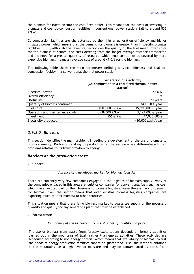the biomass for injection into the coal-fired boiler. This means that the costs of investing in biomass and coal co-combustion facilities in conventional power stations fall to around 856 €/kW.

\_\_\_\_\_\_\_\_\_\_\_\_\_\_\_\_\_\_\_\_\_\_\_\_\_\_\_\_\_\_\_\_\_\_\_\_\_\_\_\_\_\_\_\_\_\_\_\_\_\_\_\_\_\_\_\_\_\_\_\_\_\_\_\_\_\_\_\_\_\_\_\_\_\_\_\_\_\_\_\_\_\_\_\_\_\_\_\_\_\_\_\_\_\_\_\_\_\_\_\_\_\_\_\_\_\_

Co-combustion facilities are characterised by their higher generation efficiency and higher installed power, which means that the demand for biomass is greater than in specific biomass facilities. Thus, although the fewer restrictions on the quality of the fuel mean lower costs for the biomass at source, the costs deriving from the longer average distance transported and the need for a greater quantity of resource, which must sometimes be covered by more expensive biomass, means an average cost of around  $47 \text{ E/t}$  for the biomass.

The following table shows the main parameters defining a typical biomass and coal cocombustion facility in a conventional thermal power station.

|                                 | <b>Generation of electricity</b><br>(Co-combustion in a coal-fired thermal power<br>station) |                  |  |
|---------------------------------|----------------------------------------------------------------------------------------------|------------------|--|
| Electrical power                | 56 MW                                                                                        |                  |  |
| Overall efficiency              | 30%                                                                                          |                  |  |
| Useful life                     | 20 years                                                                                     |                  |  |
| Quantity of biomass consumed    | 340.300 t/year                                                                               |                  |  |
| Fuel costs                      | 15,960,000 €/year<br>0.038000 €/kW                                                           |                  |  |
| Operating and maintenance costs | 0.007600 €/kWh                                                                               | 3,192,000 €/year |  |
| Investment                      | 47,936,000€<br>856 €/kW                                                                      |                  |  |
| Electricity produced            | 420,000 MWh/year                                                                             |                  |  |

# *3.6.2.7. Barriers*

This section identifies the main problems impeding the development of the use of biomass to produce energy. Problems relating to production of the resource are differentiated from problems relating to its transformation to energy.

# *Barriers at the production stage*

9 **General** 

*Absence of a developed market for biomass logistics* 

There are currently very few companies engaged in the logistics of biomass supply. Many of the companies engaged in this area are logistics companies for conventional fuels such as coal which have devoted part of their business to biomass logistics. Nevertheless, lack of demand for biomass from the sector means that even existing biomass logistics companies are exporting much of their biomass to other countries.

This situation means that there is no biomass market to guarantee supply of the necessary quantity and quality for any generating plant that may be established.

#### 9 **Forest waste**

*Availability of the resource in terms of quantity, quality and price.* 

The use of biomass from waste from forestry exploitations depends on forestry activities carried out in the mountains of Spain rather than energy activities. These activities are scheduled according to non-energy criteria, which means that availability of biomass to suit the needs of energy production facilities cannot be guaranteed. Also, the material obtained in the mountains has a high level of moisture and may be contaminated by earth from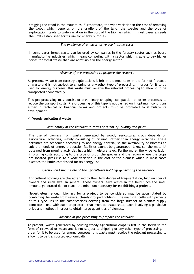dragging the wood in the mountains. Furthermore, the wide variation in the cost of removing the wood, which depends on the gradient of the land, the species and the type of exploitation, leads to wide variation in the cost of the biomass which in most cases exceeds the limits established for its use for energy purposes.

\_\_\_\_\_\_\_\_\_\_\_\_\_\_\_\_\_\_\_\_\_\_\_\_\_\_\_\_\_\_\_\_\_\_\_\_\_\_\_\_\_\_\_\_\_\_\_\_\_\_\_\_\_\_\_\_\_\_\_\_\_\_\_\_\_\_\_\_\_\_\_\_\_\_\_\_\_\_\_\_\_\_\_\_\_\_\_\_\_\_\_\_\_\_\_\_\_\_\_\_\_\_\_\_\_\_

#### *The existence of an alternative use in some cases*

In some cases forest waste can be used by companies in the forestry sector such as board manufacturing industries, which means competing with a sector which is able to pay higher prices for forest waste than are admissible in the energy sector.

#### *Absence of pre-processing to prepare the resource*

At present, waste from forestry exploitations is left in the mountains in the form of firewood or waste and is not subject to chipping or any other type of processing. In order for it to be used for energy purposes, this waste must receive the relevant processing to allow it to be transported economically.

This pre-processing may consist of preliminary chipping, compaction or other processes to reduce the transport costs. Pre-processing of this type is not carried on in optimum conditions either in technical or financial terms and projects must be promoted to stimulate its development.

#### 9 **Woody agricultural waste**

#### *Availability of the resource in terms of quantity, quality and price.*

The use of biomass from waste generated by woody agricultural crops depends on agricultural activities, mainly consisting of pruning, rather than energy activities. These activities are scheduled according to non-energy criteria, so the availability of biomass to suit the needs of energy production facilities cannot be guaranteed. Likewise, the material obtained from pruning activities has a high moisture level. Furthermore, the wide variation in pruning costs according to the type of crop, the species and the region where the crops are located gives rise to a wide variation in the cost of the biomass which in most cases exceeds the limits established for its energy use.

*Dispersion and small scale of the agricultural holdings generating the resource.* 

Agricultural holdings are characterised by their high degree of fragmentation, high number of owners and small size. In general, those owners leave waste in the field since the small amounts generated do not reach the minimum necessary for establishing a project.

Nevertheless, enough biomass for a project to be considered may be accumulated by combining the waste from several closely-grouped holdings. The main difficulty with projects of this type lies in the complications deriving from the large number of biomass supply contracts – one with each proprietor – that must be established, each involving a particular price and method, in order to obtain large quantities of biomass.

#### *Absence of pre-processing to prepare the resource.*

At present, waste generated by pruning woody agricultural crops is left in the fields in the form of firewood or waste and is not subject to chipping or any other type of processing. In order for it to be used for energy purposes, this waste must receive the relevant processing to allow it to be transported economically.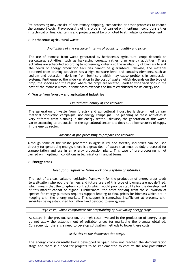Pre-processing may consist of preliminary chipping, compaction or other processes to reduce the transport costs. Pre-processing of this type is not carried on in optimum conditions either in technical or financial terms and projects must be promoted to stimulate its development.

\_\_\_\_\_\_\_\_\_\_\_\_\_\_\_\_\_\_\_\_\_\_\_\_\_\_\_\_\_\_\_\_\_\_\_\_\_\_\_\_\_\_\_\_\_\_\_\_\_\_\_\_\_\_\_\_\_\_\_\_\_\_\_\_\_\_\_\_\_\_\_\_\_\_\_\_\_\_\_\_\_\_\_\_\_\_\_\_\_\_\_\_\_\_\_\_\_\_\_\_\_\_\_\_\_\_

#### 9 **Herbaceous agricultural waste**

#### *Availability of the resource in terms of quantity, quality and price.*

The use of biomass from waste generated by herbaceous agricultural crops depends on agricultural activities, such as harvesting cereals, rather than energy activities. These activities are scheduled according to non-energy criteria so the availability of biomass to suit the needs of energy production facilities cannot be guaranteed. Likewise, the material obtained from pruning activities has a high moisture level and contains elements, such as sodium and potassium, deriving from fertilisers which may cause problems in combustion systems. Furthermore, the wide variation in the cost of waste, which depends on the type of crop, the species and the region where the crops are located, leads to wide variations in the cost of the biomass which in some cases exceeds the limits established for its energy use.

#### 9 **Waste from forestry and agricultural industries**

#### *Limited availability of the resource.*

The generation of waste from forestry and agricultural industries is determined by raw material production campaigns, not energy campaigns. The planning of these activities is very different from planning in the energy sector. Likewise, the generation of this waste varies according to production in the agricultural sector and does not allow security of supply in the energy sector.

#### *Absence of pre-processing to prepare the resource.*

Although some of the waste generated in agricultural and forestry industries can be used directly for generating energy, there is a great deal of waste that must be duly processed for transportation and use in an energy production plant. This type of pre-processing is not carried on in optimum conditions in technical or financial terms.

#### 9 **Energy crops**

*Need for a legislative framework and a system of subsidies.* 

The lack of a clear, suitable legislative framework for the production of energy crops leads to a situation whereby the farmers and future users of this type of biomass are not defined, which means that the long-term contracts which would provide stability for the development of this market cannot be signed. Furthermore, the costs deriving from the cultivation of species for energy purposes requires support leading to final prices for biomass which are in keeping with the energy market. This support is somewhat insufficient at present, with subsidies being established for fallow land devoted to energy uses.

*High costs, which compromise the profitability of cultivating energy crops.* 

As stated in the previous section, the high costs involved in the production of energy crops do not allow the establishment of suitable prices for marketing the biomass obtained. Consequently, there is a need to develop cultivation methods to lower these costs.

#### *Activities at the demonstration stage.*

The energy crops currently being developed in Spain have not reached the demonstration stage and there is a need for projects to be implemented to confirm the real possibilities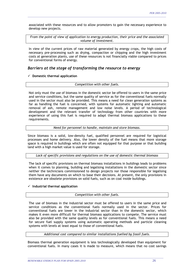associated with these resources and to allow promoters to gain the necessary experience to develop new projects.

\_\_\_\_\_\_\_\_\_\_\_\_\_\_\_\_\_\_\_\_\_\_\_\_\_\_\_\_\_\_\_\_\_\_\_\_\_\_\_\_\_\_\_\_\_\_\_\_\_\_\_\_\_\_\_\_\_\_\_\_\_\_\_\_\_\_\_\_\_\_\_\_\_\_\_\_\_\_\_\_\_\_\_\_\_\_\_\_\_\_\_\_\_\_\_\_\_\_\_\_\_\_\_\_\_\_

*From the point of view of application to energy production, their price and the associated volume of investment.* 

In view of the current prices of raw material generated by energy crops, the high costs of necessary pre-processing such as drying, compaction or chipping and the high investment costs at generation plants, use of these resources is not financially viable compared to prices for conventional forms of energy.

# *Barriers at the stage of transforming the resource to energy*

9 **Domestic thermal application** 

#### *Competition with other fuels.*

Not only must the use of biomass in the domestic sector be offered to users in the same price and service conditions, but the same quality of service as for the conventional fuels normally used in the sector must also be provided. This means a need for clean generation systems as far as handling the fuel is concerned, with systems for automatic lighting and automatic removal of ash, remote management and low noise levels. A period of technological development and the relevant transfer of technology from other countries with more experience of using this fuel is required to adapt thermal biomass applications to these requirements.

*Need for personnel to handle, maintain and store biomass.* 

Since biomass is a solid, low-density fuel, qualified personnel are required for logistical processes and home delivery. Also, the lower density of the fuel means that more storage space is required in buildings which are often not equipped for that purpose or that building land with a high market value is used for storage.

*Lack of specific provisions and regulations on the use of domestic thermal biomass* 

The lack of specific provisions on thermal biomass installations in buildings leads to problems when it comes to planning, building and legalising installations in the domestic sector since neither the technicians commissioned to design projects nor those responsible for legalising them have any documents on which to base their decisions. At present, the only provisions in existence are obsolete provisions on solid fuels, such as on coal inside buildings.

#### 9 **Industrial thermal application**

#### *Competition with other fuels.*

The use of biomass in the industrial sector must be offered to users in the same price and service conditions as the conventional fuels normally used in the sector. Prices for conventional fuels are lower in the industrial sector than in the domestic sector, which makes it even more difficult for thermal biomass applications to compete. The service must also be provided with the same quality levels as for conventional fuels. This means a need for secure fuel supply systems using automatic operating methods and particle cleaning systems with levels at least equal to those of conventional fuels.

*Additional cost compared to similar installations fuelled by fossil fuels.* 

Biomass thermal generation equipment is less technologically developed than equipment for conventional fuels. In many cases it is made to measure, which means that no cost savings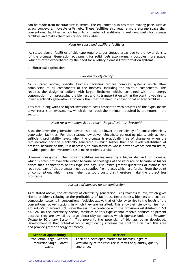can be made from manufacture in series. The equipment also has more moving parts such as screw conveyors, movable grills, etc. These facilities also require more storage space than conventional facilities, which leads to a number of additional investment costs for biomass facilities and makes them less financially viable.

\_\_\_\_\_\_\_\_\_\_\_\_\_\_\_\_\_\_\_\_\_\_\_\_\_\_\_\_\_\_\_\_\_\_\_\_\_\_\_\_\_\_\_\_\_\_\_\_\_\_\_\_\_\_\_\_\_\_\_\_\_\_\_\_\_\_\_\_\_\_\_\_\_\_\_\_\_\_\_\_\_\_\_\_\_\_\_\_\_\_\_\_\_\_\_\_\_\_\_\_\_\_\_\_\_\_

*Need for space and auxiliary facilities.* 

As stated above, facilities of this type require larger storage areas due to the lower density of the biomass. Generation equipment for solid fuels also normally occupies more space, which is often exacerbated by the need for auxiliary biomass transformation systems.

#### 9 **Electrical application**

#### *Low energy efficiency.*

As is stated above, specific biomass facilities require complex systems which allow combustion of all components of the biomass, including the volatile components. This requires the design of boilers with larger fireboxes which, combined with the energy consumption from processing the biomass and its transportation within the plant, gives rise to lower electricity generation efficiency than that obtained in conventional energy facilities.

This fact, along with the higher investment costs associated with projects of this type, means lower returns on investments, which do not reach the minimum required by promoters in the sector.

#### *Need for a minimum size to reach the profitability threshold.*

Also, the lower the generation power installed, the lower the efficiency of biomass electricity generation facilities. For that reason, low-power electricity generating plants only achieve sufficient profitability levels when the biomass is practically free of charge or when the remuneration for the electricity generated is much higher than the levels established at present. Because of this, it is necessary to plan facilities whose power exceeds certain limits, at which point the investment costs make projects unviable.

However, designing higher power facilities means meeting a higher demand for biomass, which is often not available either because of shortages of the resource or because of higher prices than applications of this type can pay. Also, since greater quantities of biomass are required, part of that biomass must be supplied from places which are further from the point of consumption, which means higher transport costs that therefore make the project less profitable.

#### *Absence of bonuses for co-combustion.*

As is stated above, the efficiency of electricity generation using biomass is low, which gives rise to problems relating to the profitability of facilities. Nevertheless, biomass and coal cocombustion systems in conventional facilities allows that efficiency to rise to the levels of the conventional power stations in which they are installed. This allows efficiency to rise from around 22% to around 30%. Nevertheless, in accordance with the provisions established in Act 54/1997 on the electricity sector, facilities of this type cannot receive bonuses at present because they are owned by large electricity companies which operate under the *Régimen Ordinario* [Ordinary System]. This prevents the potential of biomass being developed. Development of that potential would significantly increase the contribution from this area and provide greater energy efficiency.

| Scope of applicability          | <b>Barriers</b>                                              |
|---------------------------------|--------------------------------------------------------------|
| Production Stage. General.      | - Lack of a developed market for biomass logistics           |
| <b>Production Stage. Forest</b> | - Availability of the resource in terms of quantity, quality |
| waste.                          | and price.                                                   |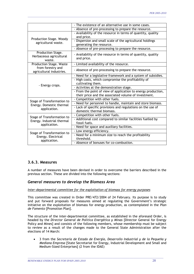|                                                        | - The existence of an alternative use in some cases.                                                                  |  |  |
|--------------------------------------------------------|-----------------------------------------------------------------------------------------------------------------------|--|--|
|                                                        | - Absence of pre-processing to prepare the resource.                                                                  |  |  |
| Production Stage. Woody                                | - Availability of the resource in terms of quantity, quality<br>and price.                                            |  |  |
| agricultural waste.                                    | - Dispersion and small scale of the agricultural holdings<br>generating the resource.                                 |  |  |
|                                                        | - Absence of pre-processing to prepare the resource.                                                                  |  |  |
| Production Stage.<br>Herbaceous agricultural<br>waste. | - Availability of the resource in terms of quantity, quality<br>and price.                                            |  |  |
| <b>Production Stage. Waste</b>                         | - Limited availability of the resource.                                                                               |  |  |
| from forestry and<br>agricultural industries.          | - Absence of pre-processing to prepare the resource.                                                                  |  |  |
|                                                        | - Need for a legislative framework and a system of subsidies.                                                         |  |  |
| - Energy crops.                                        | - High costs, which compromise the profitability of<br>cultivating them.                                              |  |  |
|                                                        | - Activities at the demonstration stage.                                                                              |  |  |
|                                                        | - From the point of view of application to energy production,<br>their price and the associated volume of investment. |  |  |
| Stage of Transformation to                             | - Competition with other fuels.                                                                                       |  |  |
| Energy. Domestic thermal                               | - Need for personnel to handle, maintain and store biomass.                                                           |  |  |
| application.                                           | - Lack of specific provisions and regulations on the use of<br>domestic thermal biomass.                              |  |  |
| Stage of Transformation to                             | - Competition with other fuels.                                                                                       |  |  |
| Energy. Industrial thermal<br>application.             | - Additional cost compared to similar facilities fuelled by<br>fossil fuels.                                          |  |  |
|                                                        | - Need for space and auxiliary facilities.                                                                            |  |  |
| Stage of Transformation to                             | - Low energy efficiency.                                                                                              |  |  |
| Energy. Electrical<br>application.                     | - Need for a minimum size to reach the profitability<br>threshold.                                                    |  |  |
|                                                        | - Absence of bonuses for co-combustion.                                                                               |  |  |

# **3.6.3. Measures**

A number of measures have been devised in order to overcome the barriers described in the previous section. These are divided into the following sections:

# *General measures to develop the Biomass Area*

#### *Inter-departmental committee for the exploitation of biomass for energy purposes*

This committee was created in Order PRE/472/2004 of 24 February. Its purpose is to study and put forward proposals for measures aimed at regulating the Government's strategic initiative on the exploitation of biomass for energy production, as contemplated in the *Plan de Fomento* [Promotion Plan].

The structure of the inter-departmental committee, as established in the aforesaid Order, is headed by the *Director General de Política Energética y Minas* [Director General for Energy Policy and Mines] and consists of the following members, whose membership must be subject to review as a result of the changes made to the General State Administration after the elections of 14 March:

• 3 from the *Secretaría de Estado de Energía, Desarrollo Industrial y de la Pequeña y Mediana Empresa* [State Secretariat for Energy, Industrial Development and Small and Medium-Sized Enterprises] (2 from the IDAE)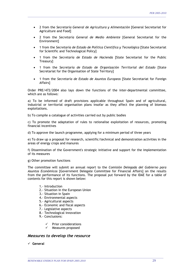• 2 from the *Secretaría General de Agricultura y Alimentación* [General Secretariat for Agriculture and Food]

\_\_\_\_\_\_\_\_\_\_\_\_\_\_\_\_\_\_\_\_\_\_\_\_\_\_\_\_\_\_\_\_\_\_\_\_\_\_\_\_\_\_\_\_\_\_\_\_\_\_\_\_\_\_\_\_\_\_\_\_\_\_\_\_\_\_\_\_\_\_\_\_\_\_\_\_\_\_\_\_\_\_\_\_\_\_\_\_\_\_\_\_\_\_\_\_\_\_\_\_\_\_\_\_\_\_

- 2 from the *Secretaría General de Medio Ambiente* [General Secretariat for the Environment]
- 1 from the *Secretaría de Estado de Política Científica y Tecnológica* [State Secretariat for Scientific and Technological Policy]
- 1 from the *Secretaría de Estado de Hacienda* [State Secretariat for the Public Treasury]
- 1 from the *Secretaría de Estado de Organización Territorial del Estado* [State Secretariat for the Organisation of State Territory]
- 1 from the *Secretaría de Estado de Asuntos Europeos* [State Secretariat for Foreign Affairs]

Order PRE/472/2004 also lays down the functions of the inter-departmental committee, which are as follows:

a) To be informed of draft provisions applicable throughout Spain and of agricultural, industrial or territorial organisation plans insofar as they affect the planning of biomass exploitations.

b) To compile a catalogue of activities carried out by public bodies

c) To promote the adaptation of rules to rationalise exploitation of resources, promoting financial incentives

d) To approve the launch programme, applying for a minimum period of three years

e) To draw up a proposal for research, scientific/technical and demonstration activities in the areas of energy crops and manures

f) Dissemination of the Government's strategic initiative and support for the implementation of its measures

#### g) Other promotion functions

The committee will submit an annual report to the *Comisión Delegada del Gobierno para Asuntos Económicos* [Government Delegate Committee for Financial Affairs] on the results from the performance of its functions. The proposal put forward by the IDAE for a table of contents for this report is shown below:

\_\_\_\_\_\_\_\_\_\_\_\_\_\_\_\_\_\_\_\_\_\_\_\_\_\_\_\_\_\_\_\_\_\_\_\_\_\_\_\_\_\_\_\_\_\_\_\_\_\_\_\_\_\_\_\_\_\_\_\_\_\_\_\_\_\_\_\_\_\_\_\_\_\_\_\_\_\_\_\_\_\_\_\_\_\_\_\_\_\_\_\_\_\_\_\_\_\_\_\_\_\_\_\_

- 1.- Introduction
- 2.- Situation in the European Union
- 3.- Situation in Spain
- 4.- Environmental aspects
- 5.- Agricultural aspects
- 6.- Economic and fiscal aspects
- 7.- Legislative aspects
- 8.- Technological innovation
- 9.- Conclusions:
	- 9 Prior considerations
	- Measures proposed

# *Measures to develop the resource*

9 **General**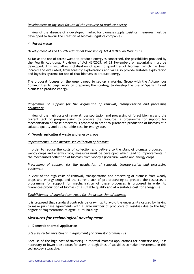#### *Development of logistics for use of the resource to produce energy*

In view of the absence of a developed market for biomass supply logistics, measures must be developed to favour the creation of biomass logistics companies.

\_\_\_\_\_\_\_\_\_\_\_\_\_\_\_\_\_\_\_\_\_\_\_\_\_\_\_\_\_\_\_\_\_\_\_\_\_\_\_\_\_\_\_\_\_\_\_\_\_\_\_\_\_\_\_\_\_\_\_\_\_\_\_\_\_\_\_\_\_\_\_\_\_\_\_\_\_\_\_\_\_\_\_\_\_\_\_\_\_\_\_\_\_\_\_\_\_\_\_\_\_\_\_\_\_\_

#### 9 **Forest waste**

#### *Development of the Fourth Additional Provision of Act 43/2003 on Mountains*

As far as the use of forest waste to produce energy is concerned, the possibilities provided by the Fourth Additional Provision of Act 43/2003, of 21 November, on Mountains must be developed. This will allow mobilisation of specific quantities of biomass, which has been located and evaluated, from forestry exploitations and will also provide suitable exploitation and logistics systems for use of that biomass to produce energy.

The proposal focuses on the urgent need to set up a Working Group with the Autonomous Communities to begin work on preparing the strategy to develop the use of Spanish forest biomass to produce energy.

#### *Programme of support for the acquisition of removal, transportation and processing equipment*

In view of the high costs of removal, transportation and processing of forest biomass and the current lack of pre-processing to prepare the resource, a programme for support for mechanisation of these processes is proposed in order to guarantee production of biomass of a suitable quality and at a suitable cost for energy use.

#### 9 **Woody agricultural waste and energy crops**

#### *Improvements in the mechanised collection of biomass*

In order to reduce the costs of collection and delivery to the plant of biomass produced in woody crops and energy crops, measures must be developed which lead to improvements in the mechanised collection of biomass from woody agricultural waste and energy crops.

#### *Programme of support for the acquisition of removal, transportation and processing equipment*

In view of the high costs of removal, transportation and processing of biomass from woody crops and energy crops and the current lack of pre-processing to prepare the resource, a programme for support for mechanisation of these processes is proposed in order to guarantee production of biomass of a suitable quality and at a suitable cost for energy use.

#### *Establishment of standard contracts for the acquisition of biomass*

It is proposed that standard contracts be drawn up to avoid the uncertainty caused by having to make purchase agreements with a large number of producers of residues due to the high degree of fragmentation of agricultural holdings.

#### *Measures for technological development*

#### 9 **Domestic thermal application**

#### *30% subsidy for investment in equipment for domestic biomass use*

Because of the high cost of investing in thermal biomass applications for domestic use, it is necessary to lower these costs for users through lines of subsidies to make investments in this technology attractive.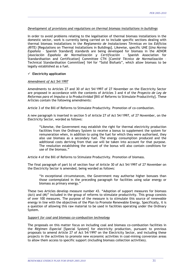#### *Development of provisions and regulations on thermal biomass installations in buildings*

\_\_\_\_\_\_\_\_\_\_\_\_\_\_\_\_\_\_\_\_\_\_\_\_\_\_\_\_\_\_\_\_\_\_\_\_\_\_\_\_\_\_\_\_\_\_\_\_\_\_\_\_\_\_\_\_\_\_\_\_\_\_\_\_\_\_\_\_\_\_\_\_\_\_\_\_\_\_\_\_\_\_\_\_\_\_\_\_\_\_\_\_\_\_\_\_\_\_\_\_\_\_\_\_\_\_

In order to avoid problems relating to the legalisation of thermal biomass installations in the domestic sector, work is currently being carried on to include specific sections dealing with thermal biomass installations in the *Reglamento de Instalaciones Térmicas en los Edificios (RITE)* [Regulations on Thermal Installations in Buildings]. Likewise, specific UNE [*Una Norma Española* – Spanish Standard] standards are being developed for biomass in the AENOR [*Asociación Española de Normalización y Certificación* – Spanish Association for Standardisation and Certification] Committee CTN [*Comité Técnico de Normalización* – Technical Standardisation Committee] 164 for "Solid Biofuels", which allow biomass to be legally established as a fuel.

#### $\checkmark$  Electricity application

#### *Amendment of Act 54/1997*

Amendments to Articles 27 and 30 of Act 54/1997 of 27 November on the Electricity Sector are proposed in accordance with the contents of Articles 3 and 4 of the *Proyecto de Ley de Reformas para el Impulso a la Productividad* [Bill of Reforms to Stimulate Productivity]. These Articles contain the following amendments:

Article 3 of the Bill of Reforms to Stimulate Productivity. Promotion of co-combustion.

A new paragraph is inserted in section 5 of Article 27 of Act 54/1997, of 27 November, on the Electricity Sector, worded as follows:

"Likewise, the Government may establish the right for thermal electricity production facilities from the Ordinary System to receive a bonus to supplement the system for remuneration when, in addition to using the fuel for which they were authorised, they also use biomass as a secondary fuel. The energy consumption produced and the additional costs deriving from that use will be taken into account for that purpose. The resolution establishing the amount of the bonus will also contain conditions for use of the biomass."

Article 4 of the Bill of Reforms to Stimulate Productivity. Promotion of biomass.

The final paragraph of part b) of section four of Article 30 of Act 54/1997 of 27 November on the Electricity Sector is amended, being worded as follows:

"In exceptional circumstances, the Government may authorise higher bonuses than those contemplated in the preceding paragraph for facilities using solar energy or biomass as primary energy."

These two Articles develop measure number 43. "Adoption of support measures for biomass (Act) and (M)" included in the group of reforms to stimulate productivity. This group consists of over 100 measures. The purpose of the measure is to stimulate this source of renewable energy in line with the objectives of the Plan to Promote Renewable Energy. Specifically, it is a question of allowing this raw material to be used in facilities operating under the Ordinary System.

#### *Support for coal and biomass co-combustion technology*

The proposals on this matter focus on including coal and biomass co-combustion facilities in the *Régimen Especial* [Special System] for electricity production, pursuant to previous proposals to amend Article 27 of Act 54/1997 on the Electricity Sector, and including these projects in the activities to promote new economic activities in coal-mining conversion areas to allow them access to specific support (including biomass collection activities).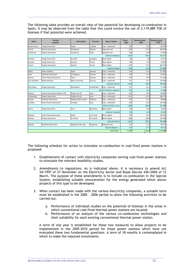The following table provides an overall view of the potential for developing co-combustion in Spain. It may be observed from the table that this could involve the use of 2,119,889 TOE of biomass if that potential were achieved.

\_\_\_\_\_\_\_\_\_\_\_\_\_\_\_\_\_\_\_\_\_\_\_\_\_\_\_\_\_\_\_\_\_\_\_\_\_\_\_\_\_\_\_\_\_\_\_\_\_\_\_\_\_\_\_\_\_\_\_\_\_\_\_\_\_\_\_\_\_\_\_\_\_\_\_\_\_\_\_\_\_\_\_\_\_\_\_\_\_\_\_\_\_\_\_\_\_\_\_\_\_\_\_\_\_\_

| Name               | Owning<br>company               | Municipality            | Province    | Type of station             | Power<br>(MW) | <b>Biomass power</b><br>(MW) | <b>Biomass power</b><br>(TOE) |
|--------------------|---------------------------------|-------------------------|-------------|-----------------------------|---------------|------------------------------|-------------------------------|
| Puente Nuevo       | Viesgo Generación               | Espiel                  | Cordoba     | Coal + anthracite           | 324           | 32.4                         | 60,794                        |
| Litoral            | Endesa Generación               | Carboneras              | Almeria     | Imported coal               | 1,159         | 115.0                        | 182,876                       |
| Los Barrios        | Endesa Generación               | Los Barrios             | Cádiz       | Imported coal               | 568           | 56.0                         | 91,046                        |
| Subtotal Andalucia |                                 |                         | 2,051       | 203.4                       | 334,717       |                              |                               |
| Escatrón           | Viesgo Generación               | Escatrón                | Zaragoza    | <b>Black lignite</b>        | 80            | 8.0                          | 15,011                        |
| Escucha            | Viesgo Generación               | Escucha                 | Teruel      | <b>Black lignite</b>        | 160           | 16.0                         | 30,022                        |
| Teruel             | Endesa Generación               | Andorra                 | Teruel      | <b>Black lignite</b>        | 1.102         | 110.2                        | 206,775                       |
|                    |                                 |                         |             | Subtotal Aragon             | 1,342         | 134.2                        | 251,808                       |
| Aboño              | Hidrocantábrico                 | Gijón                   | Asturias    | Coal + anthracite           | 916           | 91.6                         | 171,875                       |
| Lada               | Iberdrola Generación            | La Felguera             | Asturias    | Coal + anthracite           | 513           | 51.3                         | 96,257                        |
| Narcea             | Unión Fenosa Generación         | Tineo                   | Asturias    | Coal + anthracite           | 595           | 59.5                         | 111,644                       |
| Soto de Ribera     | Hidrocantábrico                 | Ribera de Arriba        | Asturias    | Coal + anthracite           | 671           | 67.1                         | 125,904                       |
|                    |                                 |                         |             | <b>Subtotal Asturias</b>    | 2,695         | 269.5                        | 505,680                       |
| Puertollano        | Viesgo Generación               | Puertollano             | Ciudad Real | Coal + anthracite           | 221           | 22.1                         | 41,468                        |
|                    |                                 |                         |             | Subtotal Castilla-La Mancha | 221           | 22.1                         | 41,468                        |
| Anllares           | Unión Fenosa (66%)/Endesa (33%) | Páramo del Sil          | Leon        | Coal + anthracite           | 365           | 36.5                         | 68,487                        |
| Compostilla        | Endesa Generación               | Cubillos del Sil        | Leon        | Coal + anthracite           | 1,312         | 131.2                        | 246,179                       |
| Guardo             | Iberdrola Generación            | Velilla del Río Carrión | Palencia    | Coal + anthracite           | 516           | 51.6                         | 96,820                        |
| La Robla           | Unión Fenosa Generación         | La Robla                | Leon        | Coal + anthracite           | 655           | 65.5                         | 122,902                       |
|                    |                                 |                         |             | Subtotal Castilla y Leon    | 2,848         | 284.8                        | 534,388                       |
| Serchs             | Viesgo Generación               | Cercs                   | Barcelona   | <b>Black lignite</b>        | 160           | 16.0                         | 30,022                        |
|                    |                                 |                         |             | Subtotal Catalonia          | 160           | 16.0                         | 30.022                        |
| Meirama            | Unión Fenosa Generación         | Ordes                   | La Coruña   | <b>Brown lignite</b>        | 563           | 56.3                         | 105,639                       |
| Puentes            | Endesa Generación               | As Pontes               | La Coruña   | Brown lignite               | 1.468         | 146.8                        | 275,450                       |
|                    |                                 |                         |             | Subtotal Galicia            | 2,031         | 203.1                        | 381,089                       |
| Pasajes            | Iberdrola Generación            | Pasajes de San Juan     | Guipuzcoa   | Imported coal               | 217           | 21.7                         | 40,717                        |
|                    |                                 |                         |             | Subtotal Basque C.          | 217           | 21.7                         | 40,717                        |
|                    |                                 |                         |             | <b>Total Spain</b>          | 11.565        | 1,154.is                     | 2,119,889                     |

The following schedule for action to stimulate co-combustion in coal-fired power stations is proposed:

- 1. Establishment of contact with electricity companies owning coal-fired power stations to stimulate the relevant feasibility studies.
- 2. Amendments to regulations. As is indicated above, it is necessary to amend Act 54/1997 of 27 November on the Electricity Sector and Royal Decree 436/2004 of 12 March. The purpose of these amendments is to include co-combustion in the Special System, establishing suitable remuneration for the energy generated which allows projects of this type to be developed.
- 3. When contact has been made with the various electricity companies, a suitable term must be established in the 2005 – 2006 period to allow the following activities to be carried out:
	- a. Performance of individual studies on the potential of biomass in the areas in which conventional coal-fired thermal power stations are located.
	- b. Performance of an analysis of the various co-combustion technologies and their suitability for each existing conventional thermal power station.

A term of one year is established for these two measures to allow projects to be implemented in the 2005-2010 period for those power stations which have not evaluated these two fundamental questions. A term of 18 months is contemplated in which to make the required investments.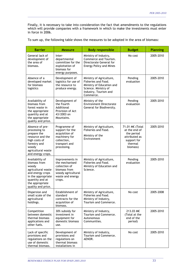Finally, it is necessary to take into consideration the fact that amendments to the regulations which will provide companies with a framework in which to make the investments must enter in force in 2006.

\_\_\_\_\_\_\_\_\_\_\_\_\_\_\_\_\_\_\_\_\_\_\_\_\_\_\_\_\_\_\_\_\_\_\_\_\_\_\_\_\_\_\_\_\_\_\_\_\_\_\_\_\_\_\_\_\_\_\_\_\_\_\_\_\_\_\_\_\_\_\_\_\_\_\_\_\_\_\_\_\_\_\_\_\_\_\_\_\_\_\_\_\_\_\_\_\_\_\_\_\_\_\_\_\_\_

To sum up, the following table shows the measures to be adopted in the area of biomass:

| <b>Barrier</b>                                                                                                                                                       | <b>Measure</b>                                                                                                         | <b>Body responsible</b>                                                                                                                                             | <b>Budget</b>                                                                                         | <b>Planning</b> |
|----------------------------------------------------------------------------------------------------------------------------------------------------------------------|------------------------------------------------------------------------------------------------------------------------|---------------------------------------------------------------------------------------------------------------------------------------------------------------------|-------------------------------------------------------------------------------------------------------|-----------------|
| General lack of<br>development of<br>the area of<br>biomass.                                                                                                         | Inter-<br>departmental<br>committee for the<br>exploitation of<br>biomass for<br>energy purposes.                      | Ministry of Industry,<br>Commerce and Tourism.<br>Directorate General for<br><b>Energy Policy and Mines</b>                                                         | No cost                                                                                               | 2005-2010       |
| Absence of a<br>developed market<br>for biomass<br>logistics                                                                                                         | Development of<br>logistics for use of<br>the resource to<br>produce energy.                                           | Ministry of Agriculture,<br>Pending<br>Fisheries and Food.<br>evaluation<br>Ministry of Education and<br>Science. Ministry of<br>Industry, Tourism and<br>Commerce. |                                                                                                       | 2005-2010       |
| Availability of<br>biomass from<br>forest waste in<br>the appropriate<br>quantity and at<br>the appropriate<br>quality and price.                                    | Development of<br>the Fourth<br>Additional<br>Provision of Act<br>43/2003 on<br>Mountains.                             | Ministry of the<br>Pending<br><b>Environment Directorate</b><br>evaluation<br>General for Biodiversity.                                                             |                                                                                                       | 2005-2010       |
| Absence of pre-<br>processing to<br>prepare the<br>resource and the<br>high costs of<br>forestry and<br>woody<br>agricultural waste<br>and energy crops.             | Programme of<br>support for the<br>acquisition of<br>machinery for<br>collection,<br>transport and<br>processing.      | Ministry of Agriculture,<br>Fisheries and Food.<br>Ministry of the<br>Environment                                                                                   | 71.01 M€ (Total<br>at the end of<br>the period<br>attributed as<br>support for<br>thermal<br>biomass) | 2005-2010       |
| Availability of<br>biomass from<br>woody<br>agricultural waste<br>and energy crops<br>in the appropriate<br>quantity and at<br>the appropriate<br>quality and price. | Improvements in<br>the mechanised<br>collection of<br>biomass from<br>woody agricultural<br>waste and energy<br>crops. | Ministry of Agriculture,<br>Fisheries and Food.<br>Ministry of Education and<br>Science.                                                                            | Pending<br>evaluation                                                                                 | 2005-2010       |
| Dispersion and<br>small scale of the<br>agricultural<br>holdings.                                                                                                    | Establishment of<br>standard<br>contracts for the<br>acquisition of<br>biomass.                                        | Ministry of Agriculture<br>Fisheries and Food.<br>Ministry of Industry,<br>Tourism and Commerce.                                                                    | No cost                                                                                               | 2005-2008       |
| Competition<br>between domestic<br>thermal biomass<br>applications and<br>other fuels.                                                                               | 30% subsidy for<br>investment in<br>equipment for<br>domestic biomass<br>use.                                          | Ministry of Industry,<br>Tourism and Commerce.<br>Autonomous<br>Communities.                                                                                        | 213.03 M€<br>(Total at the<br>end of the<br>period)                                                   | 2005-2010       |
| Lack of specific<br>provisions and<br>regulations on the<br>use of domestic<br>thermal biomass.                                                                      | Development of<br>provisions and<br>regulations on<br>thermal biomass<br>installations in                              | Ministry of Industry,<br>Tourism and Commerce.<br>AENOR.                                                                                                            | No cost                                                                                               | 2005-2010       |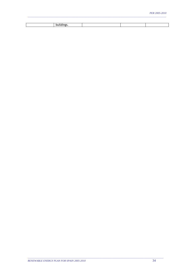| <b>DUILGING</b> |  |  |
|-----------------|--|--|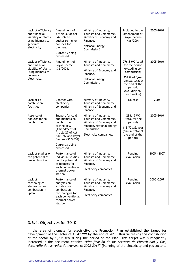| Lack of efficiency                                                                                         | Amendment of                                                                                                                                     | Ministry of Industry,                                                                                                                          | Included in the                                                                                | 2005-2010   |
|------------------------------------------------------------------------------------------------------------|--------------------------------------------------------------------------------------------------------------------------------------------------|------------------------------------------------------------------------------------------------------------------------------------------------|------------------------------------------------------------------------------------------------|-------------|
| and financial<br>viability of plants<br>using biomass to<br>generate<br>electricity.                       | Article 30 of Act<br>54/1997 to<br>authorise higher<br>bonuses for<br>biomass.                                                                   | Tourism and Commerce.<br>Ministry of Economy and<br>Finance.                                                                                   | amendment of<br>Royal Decree<br>436/2004                                                       |             |
|                                                                                                            |                                                                                                                                                  | National Energy<br>Commission].                                                                                                                |                                                                                                |             |
|                                                                                                            | Currently being<br>processed                                                                                                                     |                                                                                                                                                |                                                                                                |             |
| Lack of efficiency<br>and financial<br>viability of plants<br>using biomass to<br>generate<br>electricity. | Amendment of<br>Royal Decree<br>436/2004.                                                                                                        | Ministry of Industry,<br>Tourism and Commerce.                                                                                                 | 776.8 M€ (total<br>for the period                                                              | 2005-2010   |
|                                                                                                            |                                                                                                                                                  | excluding co-<br>Ministry of Economy and<br>combustion)<br>Finance.                                                                            |                                                                                                |             |
|                                                                                                            |                                                                                                                                                  | National Energy<br>Commission.                                                                                                                 | 359.8 M€/year<br>(annual total at<br>the end of the<br>period,<br>excluding co-<br>combustion) |             |
| Lack of co-<br>combustion<br>facilities                                                                    | Contact with<br>electricity<br>companies.                                                                                                        | Ministry of Industry,<br>Tourism and Commerce.<br>Ministry of Economy and<br>Finance.                                                          | No cost                                                                                        | 2005        |
| Absence of<br>bonuses for co-<br>combustion.                                                               | Support for coal<br>and biomass co-<br>combustion<br>technology.<br>(Amendment of<br>Article 27 of Act<br>54/1997 and Royal<br>Decree 436/2004). | Ministry of Industry,<br>Tourism and Commerce.<br>Ministry of Economy and<br>Finance. National Energy<br>Commission.<br>Electricity companies. | 283.15 M€<br>(total for the<br>period)                                                         | 2005-2010   |
|                                                                                                            |                                                                                                                                                  |                                                                                                                                                | 118.72 M€/year<br>(annual total at<br>the end of the<br>period)                                |             |
|                                                                                                            | Currently being<br>processed                                                                                                                     |                                                                                                                                                |                                                                                                |             |
| Lack of studies on<br>the potential of<br>co-combustion                                                    | Performance of<br>individual studies<br>on the potential<br>of biomass for<br>each conventional<br>thermal power<br>station.                     | Ministry of Industry,<br>Tourism and Commerce.<br>Ministry of Economy and<br>Finance.                                                          | Pending<br>evaluation                                                                          | 2005 - 2007 |
|                                                                                                            |                                                                                                                                                  | Electricity companies.                                                                                                                         |                                                                                                |             |
| Lack of<br>technological<br>studies on co-<br>combustion in<br>Spain                                       | Performance of<br>analyses on<br>suitable co-<br>combustion<br>technologies for<br>each conventional<br>thermal power<br>station.                | Ministry of Industry,<br>Tourism and Commerce.<br>Ministry of Economy and<br>Finance.<br>Electricity companies.                                | Pending<br>evaluation                                                                          | 2005 - 2007 |

# **3.6.4. Objectives for 2010**

In the area of biomass for electricity, the Promotion Plan established the target for development of the sector of 1,849 MW by the end of 2010, thus increasing the contribution of the sector by 1,705 MW during the period of the Plan. This target was subsequently increased in the document entitled "*Planificación de los sectores de Electricidad y Gas, desarrollo de las redes de transporte 2002-2011*" [Planning of the electricity and gas sectors,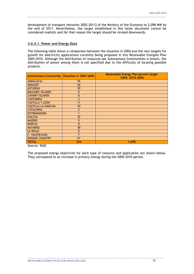development of transport networks 2002-2011] of the Ministry of the Economy to 3,098 MW by the end of 2011. Nevertheless, the target established in this latter document cannot be considered realistic and for that reason the target should be revised downwards.

\_\_\_\_\_\_\_\_\_\_\_\_\_\_\_\_\_\_\_\_\_\_\_\_\_\_\_\_\_\_\_\_\_\_\_\_\_\_\_\_\_\_\_\_\_\_\_\_\_\_\_\_\_\_\_\_\_\_\_\_\_\_\_\_\_\_\_\_\_\_\_\_\_\_\_\_\_\_\_\_\_\_\_\_\_\_\_\_\_\_\_\_\_\_\_\_\_\_\_\_\_\_\_\_\_\_

### *3.6.4.1. Power and Energy Data*

The following table shows a comparison between the situation in 2004 and the new targets for growth for electricity applications currently being proposed in this Renewable Energies Plan 2005-2010. Although the distribution of resources per Autonomous Communities is known, the distribution of power among them is not specified due to the difficulty of locating possible projects.

| Autonomous Community Situation in 2004 (MW) |                | <b>Renewable Energy Plan growth target</b><br>2005-2010 (MW) |
|---------------------------------------------|----------------|--------------------------------------------------------------|
| <b>ANDALUCIA</b>                            | 95             |                                                              |
| <b>ARAGON</b>                               | 26             |                                                              |
| <b>ASTURIAS</b>                             | 39             |                                                              |
| <b>BALEARIC ISLANDS</b>                     | $\Omega$       |                                                              |
| <b>CANARY ISLANDS</b>                       | $\mathbf{0}$   |                                                              |
| <b>CANTABRIA</b>                            | 3              |                                                              |
| <b>CASTILLA Y LEON</b>                      | 11             |                                                              |
| <b>CASTILLA LA MANCHA</b>                   | 39             |                                                              |
| <b>CATALONIA</b>                            | $\overline{2}$ |                                                              |
| <b>EXTREMADURA</b>                          |                |                                                              |
| <b>GALICIA</b>                              | 32             |                                                              |
| <b>MADRID</b>                               | $\mathbf{0}$   |                                                              |
| <b>MURCIA</b>                               | $\Omega$       |                                                              |
| <b>NAVARRA</b>                              | 38             |                                                              |
| <b>LA RIOJA</b>                             | 0              |                                                              |
| C. VALENCIANA                               | 7              |                                                              |
| <b>BASQUE COUNTRY</b>                       | 51             |                                                              |
| <b>TOTAL</b>                                | 344            | 1,695                                                        |

Source: IDAE

The proposed energy objectives for each type of resource and application are shown below. They correspond to an increase in primary energy during the 2005-2010 period.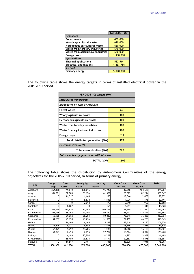|                                    | <b>TARGETS (TOE)</b> |
|------------------------------------|----------------------|
| <b>Resources</b>                   |                      |
| <b>Forest waste</b>                | 462,000              |
| Woody agricultural waste           | 670,000              |
| Herbaceous agricultural waste      | 660,000              |
| Waste from forestry industries     | 670,000              |
| Waste from agricultural industries | 670,000              |
| <b>Energy crops</b>                | 1,908,300            |
| <b>Applications</b>                |                      |
| <b>Thermal applications</b>        | 582,514              |
| <b>Electrical applications</b>     | 4,457,786            |
| <b>TOTALS</b>                      |                      |
| Primary energy                     | 5.040.300            |

The following table shows the energy targets in terms of installed electrical power in the 2005-2010 period.

|                                           | PER 2005-10: targets (MW) |  |  |  |  |  |  |  |
|-------------------------------------------|---------------------------|--|--|--|--|--|--|--|
| Distributed generation                    |                           |  |  |  |  |  |  |  |
| Breakdown by type of resource             |                           |  |  |  |  |  |  |  |
| Forest waste                              | 60                        |  |  |  |  |  |  |  |
| Woody agricultural waste                  | 100                       |  |  |  |  |  |  |  |
| Herbaceous agricultural waste             | 100                       |  |  |  |  |  |  |  |
| Waste from forestry industries            | 100                       |  |  |  |  |  |  |  |
| Waste from agricultural industries        | 100                       |  |  |  |  |  |  |  |
| Energy crops                              | 513                       |  |  |  |  |  |  |  |
| Total distributed generation (MW)         | 973                       |  |  |  |  |  |  |  |
| Co-combustion (MW)                        |                           |  |  |  |  |  |  |  |
| Total co-combustion (MW)                  | 722                       |  |  |  |  |  |  |  |
| Total electricity generation with biomass |                           |  |  |  |  |  |  |  |
| TOTAL (MW)                                | 1,695                     |  |  |  |  |  |  |  |

The following table shows the distribution by Autonomous Communities of the energy objectives for the 2005-2010 period, in terms of primary energy.

| A.C.          | <b>Energy</b> | Forest  | Woody Ag. | Herb. Ag. | <b>Waste from</b> | <b>Waste from</b> | <b>TOTAL</b> |
|---------------|---------------|---------|-----------|-----------|-------------------|-------------------|--------------|
|               | crops         | waste   | waste     | waste     | for. ind.         | ag. ind.          |              |
| Andalucia     | 264,158       | 41,840  | 178,015   | 96,740    | 189,618           | 104,616           | 874,987      |
| Aragon        | 304,391       | 32,985  | 56,676    | 61,329    | 20,672            | 82,294            | 558,347      |
| Asturias      |               | 11,517  | 1,648     | 183       | 13,046            | 2,478             | 28,872       |
| Balearic I.   |               |         | 8,834     | 1,836     | 7,926             | 1,595             | 20,191       |
| Canary I.     |               | ΩI      | 2,014     | 170       | 9,710             | 965               | 12,858       |
| Cantabria     | $\Omega$      | 8,687   |           | 154       | 4,291             | 1,337             | 14,468       |
| C-Leon        | 538,624       | 123,676 | 15,245    | 240,223   | 37,844            | 177,950           | 1,133,563    |
| C-La Mancha   | 447,496       | 38,064  | 97,106    | 99,720    | 48,903            | 124,379           | 855,668      |
| Catalonia     | 50,985        | 31,062  | 86,204    | 50,820    | 75,346            | 36,288            | 330,704      |
| Extremadura   | 151,557       | 45,190  | 43,236    | 31,926    | 22,152            | 46,285            | 340,345      |
| Galicia       |               | 74,160  | 4,164     | 15,219    | 88,614            | 19,170            | 201,326      |
| Madrid        | 39,856        | 4,371   | 4,945     | 8,483     | 18,146            | 12,026            | 87,826       |
| Murcia        | 57,391        | 9,799   | 44,285    | 1,298     | 11,568            | 16,160            | 140,501      |
| Navarra       | 53,843        | 6,493   | 7,695     | 27,782    | 10,664            | 18,944            | 125,420      |
| La Rioja      |               | 4,189   | 20,894    | 8,207     | 4,292             | 3,907             | 41,489       |
| C, Valenciana |               | 18,450  | 96,874    | 8,179     | 60,583            | 14,575            | 198,661      |
| Basque C.     |               | 11,517  | 2,161     | 7,733     | 46,625            | 7,031             | 75,067       |
| <b>TOTAL</b>  | 1,908,300     | 462,000 | 670,000   | 660,000   | 670,000           | 670,000           | 5,040,300    |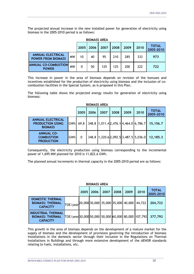The projected annual increase in the new installed power for generation of electricity using biomass in the 2005-2010 period is as follows:

\_\_\_\_\_\_\_\_\_\_\_\_\_\_\_\_\_\_\_\_\_\_\_\_\_\_\_\_\_\_\_\_\_\_\_\_\_\_\_\_\_\_\_\_\_\_\_\_\_\_\_\_\_\_\_\_\_\_\_\_\_\_\_\_\_\_\_\_\_\_\_\_\_\_\_\_\_\_\_\_\_\_\_\_\_\_\_\_\_\_\_\_\_\_\_\_\_\_\_\_\_\_\_\_\_\_

| <b>BIOMASS AREA</b>                                   |           |      |      |      |      |      |                           |     |  |  |
|-------------------------------------------------------|-----------|------|------|------|------|------|---------------------------|-----|--|--|
|                                                       | 2005      | 2006 | 2007 | 2008 | 2009 | 2010 | <b>TOTAL</b><br>2005-2010 |     |  |  |
| <b>ANNUAL ELECTRICAL</b><br><b>POWER FROM BIOMASS</b> | <b>MW</b> | 10   | 40   | 95   | 210  | 285  | 333                       | 973 |  |  |
| <b>ANNUAL CO-COMBUSTION</b><br><b>POWER</b>           | <b>MW</b> | 0    | 50   | 125  | 125  | 200  | 222                       | 722 |  |  |

This increase in power in the area of biomass depends on revision of the bonuses and incentives established for the production of electricity using biomass and the inclusion of cocombustion facilities in the Special System, as is proposed in this Plan.

The following table shows the projected energy results for generation of electricity using biomass:

| <b>BIOMASS AREA</b>                                                   |      |              |      |      |      |                                       |                           |          |  |  |
|-----------------------------------------------------------------------|------|--------------|------|------|------|---------------------------------------|---------------------------|----------|--|--|
|                                                                       | 2005 | 2006         | 2007 | 2008 | 2009 | 2010                                  | <b>TOTAL</b><br>2005-2010 |          |  |  |
| <b>ANNUAL ELECTRICAL</b><br><b>PRODUCTION USING</b><br><b>BIOMASS</b> | GWhl | 69.8         |      |      |      | 348.8 1,011.4 2,476.1 4,464.0 6,786.7 |                           | 15,156.7 |  |  |
| <b>ANNUAL CO-</b><br><b>COMBUSTION</b><br><b>PRODUCTION</b>           | GWhl | $\mathbf{0}$ |      |      |      | 348.8 1,220.6 2,092.5 3,487.5 5,036.0 |                           | 12,185.3 |  |  |

Consequently, the electricity production using biomass corresponding to the incremental power of 1,695 MW planned for 2010 is 11,822.6 GWh.

The planned annual increments in thermal capacity in the 2005-2010 period are as follows:

| <b>BIOMASS AREA</b>                                                     |                                                      |      |      |      |      |      |                           |         |  |
|-------------------------------------------------------------------------|------------------------------------------------------|------|------|------|------|------|---------------------------|---------|--|
|                                                                         | 2005                                                 | 2006 | 2007 | 2008 | 2009 | 2010 | <b>TOTAL</b><br>2005-2010 |         |  |
| <b>DOMESTIC THERMAL</b><br><b>BIOMASS: THERMAL</b><br><b>CAPACITY</b>   | $\text{TOE/year}$ 20,000 30,000 35,000 35,000 40,000 |      |      |      |      |      | 44,722                    | 204,722 |  |
| <b>INDUSTRIAL THERMAL</b><br><b>BIOMASS: THERMAL</b><br><b>CAPACITY</b> | TOE/year30,000 50,000 50,000 60,000 80,000 107,792   |      |      |      |      |      |                           | 377,792 |  |

This growth in the area of biomass depends on the development of a mature market for the supply of biomass and the development of provisions governing the introduction of biomass installations in the domestic sector through their inclusion in the Regulations on Thermal Installations in Buildings and through more extensive development of the AENOR standards relating to fuels, installations, etc.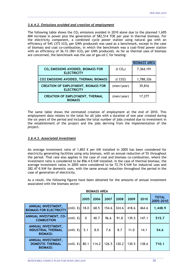# *3.6.4.2. Emissions avoided and creation of employment*

The following table shows the  $CO<sub>2</sub>$  emissions avoided in 2010 alone due to the planned 1,695 MW increase in power plus the generation of 582,514 TOE per year in thermal biomass. For the electricity component, a combined cycle power station using natural gas with an efficiency of  $54\%$  (372 tCO<sub>2</sub> per GWh produced) was used as a benchmark, except in the case of biomass and coal co-combustion, in which the benchmark was a coal-fired power station with an efficiency of 36.1% (961 tCO<sub>2</sub> per GWh produced). As far as thermal uses of biomass are concerned, the benchmark was the use of gas-oil C for heating:

\_\_\_\_\_\_\_\_\_\_\_\_\_\_\_\_\_\_\_\_\_\_\_\_\_\_\_\_\_\_\_\_\_\_\_\_\_\_\_\_\_\_\_\_\_\_\_\_\_\_\_\_\_\_\_\_\_\_\_\_\_\_\_\_\_\_\_\_\_\_\_\_\_\_\_\_\_\_\_\_\_\_\_\_\_\_\_\_\_\_\_\_\_\_\_\_\_\_\_\_\_\_\_\_\_\_

|                                                                      |                      | <b>BIOMASS AREA</b> |
|----------------------------------------------------------------------|----------------------|---------------------|
| CO <sub>2</sub> EMISSIONS AVOIDED, BIOMASS FOR<br><b>ELECTRICITY</b> | (t CO <sub>2</sub> ) | 7,364,191           |
| CO2 EMISSIONS AVOIDED, THERMAL BIOMASS                               | (t CO2)              | 1,788,326           |
| <b>CREATION OF EMPLOYMENT, BIOMASS FOR</b><br><b>ELECTRICITY</b>     | (men/year)           | 39,816              |
| <b>CREATION OF EMPLOYMENT, THERMAL</b><br><b>BIOMASS</b>             | (men/year)           | 17,277              |

The same table shows the estimated creation of employment at the end of 2010. This employment data relates to the total for all jobs with a duration of one year created during the six years of the period and includes the total number of jobs created due to investment in the establishment of the project and the jobs deriving from the implementation of the project.

# *3.6.4.3. Associated investment*

An average investment ratio of 1,803 € per kW installed in 2005 has been considered for electricity generating facilities using only biomass, with an annual reduction of 5% throughout the period. That rate also applies in the case of coal and biomass co-combustion, where the investment ratio is considered to be 856.4  $\epsilon$ /kW installed. In the case of thermal biomass, the average investment ratios in 2005 were considered to be 72.74  $\epsilon$ /kW for industrial uses and 282.47  $€/kW$  for domestic uses, with the same annual reduction throughout the period in the case of generation of electricity.

As a result, the following figures have been obtained for the amounts of annual investment associated with the biomass sector:

|                                                                           |                     |              | <b>DIUMASS AREA</b> |       |       |       |       |                           |
|---------------------------------------------------------------------------|---------------------|--------------|---------------------|-------|-------|-------|-------|---------------------------|
|                                                                           |                     | 2005         | 2006                | 2007  | 2008  | 2009  | 2010  | <b>TOTAL</b><br>2005-2010 |
| <b>ANNUAL INVESTMENT,</b><br><b>BIOMASS FOR ELECTRICITY</b>               | (mill. €) 18.0      |              | 68.5                | 154.6 | 324.6 | 418.6 | 464.6 | 1,448.9                   |
| <b>ANNUAL INVESTMENT, CO-</b><br><b>COMBUSTION</b>                        | (mill. $\epsilon$ ) | $\mathbf{0}$ | 40.7                | 96.6  | 91.8  | 139.5 | 147.1 | 515.7                     |
| <b>ANNUAL INVESTMENT,</b><br><b>INDUSTRIAL THERMAL</b><br><b>BIOMASS:</b> | (mill. $\epsilon$ ) | 5.1          | 8.0                 | 7.6   | 8.7   | 11.0  | 14.1  | 54.6                      |
| ANNUAL INVESTMENT,<br><b>DOMESTIC THERMAL</b><br><b>BIOMASS:</b>          | (mill. $\epsilon$ ) | 80.1         | 114.2               | 126.5 | 120.2 | 130.5 | 138.6 | 710.1                     |

\_\_\_\_\_\_\_\_\_\_\_\_\_\_\_\_\_\_\_\_\_\_\_\_\_\_\_\_\_\_\_\_\_\_\_\_\_\_\_\_\_\_\_\_\_\_\_\_\_\_\_\_\_\_\_\_\_\_\_\_\_\_\_\_\_\_\_\_\_\_\_\_\_\_\_\_\_\_\_\_\_\_\_\_\_\_\_\_\_\_\_\_\_\_\_\_\_\_\_\_\_\_\_\_

# **BIOMASS AREA**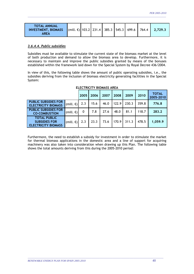| <b>TOTAL ANNUAL</b><br><b>INVESTMENT, BIOMASS</b> (mill. €) 103.2 231.4 385.3 545.3 699.6 764.4 2,729.3<br><b>AREA</b> |  |  |  |  |  |  |  |  |
|------------------------------------------------------------------------------------------------------------------------|--|--|--|--|--|--|--|--|
|------------------------------------------------------------------------------------------------------------------------|--|--|--|--|--|--|--|--|

# *3.6.4.4. Public subsidies*

Subsidies must be available to stimulate the current state of the biomass market at the level of both production and demand to allow the biomass area to develop. Furthermore, it is necessary to maintain and improve the public subsidies granted by means of the bonuses established within the framework laid down for the Special System by Royal Decree 436/2004.

In view of this, the following table shows the amount of public operating subsidies, i.e., the subsidies deriving from the inclusion of biomass electricity generating facilities in the Special System:

|                                                                           |                     | 2005 | 2006 | 2007 | 2008  | 2009  | 2010  | <b>TOTAL</b><br>2005-2010 |
|---------------------------------------------------------------------------|---------------------|------|------|------|-------|-------|-------|---------------------------|
| <b>PUBLIC SUBSIDIES FOR</b><br><b>ELECTRICITY BIOMASS</b>                 | (mill. $\epsilon$ ) | 2.3  | 15.6 | 46.0 | 122.9 | 230.3 | 359.8 | 776.8                     |
| <b>PUBLIC SUBSIDIES FOR</b><br><b>CO-COMBUSTION</b>                       | (mill. $\epsilon$ ) | 0    | 7.8  | 27.6 | 48.0  | 81.1  | 118.7 | 283.2                     |
| <b>TOTAL PUBLIC</b><br><b>SUBSIDIES FOR</b><br><b>ELECTRICITY BIOMASS</b> | (mill. $\epsilon$ ) | 2.3  | 23.3 | 73.6 | 170.9 | 311.3 | 478.5 | 1,059.9                   |

# **ELECTRICITY BIOMASS AREA**

Furthermore, the need to establish a subsidy for investment in order to stimulate the market for thermal biomass applications in the domestic area and a line of support for acquiring machinery was also taken into consideration when drawing up this Plan. The following table shows the total amounts deriving from this during the 2005-2010 period: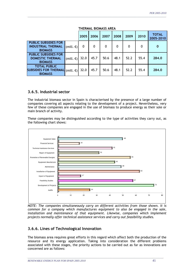|                                                                                                   | I FILIWAL DIUWAJJ ANLA |      |      |      |      |      |                           |  |  |
|---------------------------------------------------------------------------------------------------|------------------------|------|------|------|------|------|---------------------------|--|--|
|                                                                                                   | 2005                   | 2006 | 2007 | 2008 | 2009 | 2010 | <b>TOTAL</b><br>2005-2010 |  |  |
| <b>PUBLIC SUBSIDIES FOR</b><br><b>INDUSTRIAL THERMAL</b><br>(mill. $\epsilon$ )<br><b>BIOMASS</b> | 0                      | 0    | 0    | 0    | 0    | 0    | $\bf{0}$                  |  |  |
| <b>PUBLIC SUBSIDIES FOR</b><br><b>DOMESTIC THERMAL</b><br>(mill. $\epsilon$ )<br><b>BIOMASS</b>   | 32.0                   | 45.7 | 50.6 | 48.1 | 52.2 | 55.4 | 284.0                     |  |  |
| <b>TOTAL PUBLIC</b><br><b>SUBSIDIES FOR THERMAL</b><br>(mill. $\epsilon$ )<br><b>BIOMASS</b>      | 32.0                   | 45.7 | 50.6 | 48.1 | 52.2 | 55.4 | 284.0                     |  |  |

**THERMAL BIOMASS AREA** 

# **3.6.5. Industrial sector**

The industrial biomass sector in Spain is characterised by the presence of a large number of companies covering all aspects relating to the development of a project. Nevertheless, very few of these companies are engaged in the use of biomass to produce energy as their sole or main branch of activity.

These companies may be distinguished according to the type of activities they carry out, as the following chart shows:



*NOTE: The companies simultaneously carry on different activities from those shown. It is common for a company which manufactures equipment to also be engaged in the sale,*  installation and maintenance of that equipment. Likewise, companies which implement *projects normally offer technical assistance services and carry out feasibility studies.* 

# **3.6.6. Lines of Technological Innovation**

The biomass area requires great efforts in this regard which affect both the production of the resource and its energy application. Taking into consideration the different problems associated with these stages, the priority actions to be carried out as far as innovations are concerned are as follows: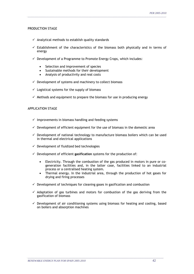## PRODUCTION STAGE

- $\checkmark$  Analytical methods to establish quality standards
- $\checkmark$  Establishment of the characteristics of the biomass both physically and in terms of energy

\_\_\_\_\_\_\_\_\_\_\_\_\_\_\_\_\_\_\_\_\_\_\_\_\_\_\_\_\_\_\_\_\_\_\_\_\_\_\_\_\_\_\_\_\_\_\_\_\_\_\_\_\_\_\_\_\_\_\_\_\_\_\_\_\_\_\_\_\_\_\_\_\_\_\_\_\_\_\_\_\_\_\_\_\_\_\_\_\_\_\_\_\_\_\_\_\_\_\_\_\_\_\_\_\_\_

- $\checkmark$  Development of a Programme to Promote Energy Crops, which includes:
	- Selection and improvement of species
	- Sustainable methods for their development
	- Analysis of productivity and real costs
- $\checkmark$  Development of systems and machinery to collect biomass
- $\checkmark$  Logistical systems for the supply of biomass
- $\checkmark$  Methods and equipment to prepare the biomass for use in producing energy

## APPLICATION STAGE

- $\checkmark$  Improvements in biomass handling and feeding systems
- $\checkmark$  Development of efficient equipment for the use of biomass in the domestic area
- $\checkmark$  Development of national technology to manufacture biomass boilers which can be used in thermal and electrical applications
- $\checkmark$  Development of fluidized bed technologies
- 9 Development of efficient **gasification** systems for the production of:
	- Electricity. Through the combustion of the gas produced in motors in pure or cogeneration facilities and, in the latter case, facilities linked to an industrial process or a centralised heating system.
	- Thermal energy. In the industrial area, through the production of hot gases for drying and firing processes
- $\checkmark$  Development of techniques for cleaning gases in gasification and combustion
- $\checkmark$  Adaptation of gas turbines and motors for combustion of the gas deriving from the gasification of biomass
- $\checkmark$  Development of air conditioning systems using biomass for heating and cooling, based on boilers and absorption machines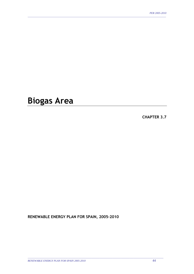# **Biogas Area**

**CHAPTER 3.7** 

**RENEWABLE ENERGY PLAN FOR SPAIN, 2005-2010**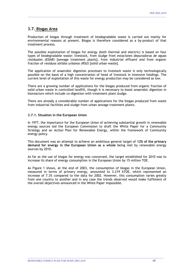# **3.7. Biogas Area**

Production of biogas through treatment of biodegradable waste is carried out mainly for environmental reasons at present. Biogas is therefore considered as a by-product of that treatment process.

\_\_\_\_\_\_\_\_\_\_\_\_\_\_\_\_\_\_\_\_\_\_\_\_\_\_\_\_\_\_\_\_\_\_\_\_\_\_\_\_\_\_\_\_\_\_\_\_\_\_\_\_\_\_\_\_\_\_\_\_\_\_\_\_\_\_\_\_\_\_\_\_\_\_\_\_\_\_\_\_\_\_\_\_\_\_\_\_\_\_\_\_\_\_\_\_\_\_\_\_\_\_\_\_\_\_

The possible exploitation of biogas for energy (both thermal and electric) is based on four types of biodegradable waste: livestock, from sludge from *estaciones depuradoras de aguas residuales (EDAR)* [sewage treatment plants], from industrial effluent and from organic fraction of *residuos sólidos urbanos (RSU)* [solid urban waste].

The application of anaerobic digestion processes to livestock waste is only technologically possible on the basis of a high concentration of head of livestock in intensive holdings. The current level of exploitation of this waste for energy production may be considered as low.

There are a growing number of applications for the biogas produced from organic fraction of solid urban waste in controlled landfill, though it is necessary to boost anaerobic digestion in bioreactors which include co-digestion with treatment plant sludge.

There are already a considerable number of applications for the biogas produced from waste from industrial facilities and sludge from urban sewage treatment plants.

## **3.7.1. Situation in the European Union**

In 1977, the importance for the European Union of achieving substantial growth in renewable energy sources led the European Commission to draft the White Paper for a Community Strategy and an Action Plan for Renewable Energy, within the framework of Community energy policy.

This document was an attempt to achieve an ambitious general target of **12% of the primary demand for energy in the European Union as a whole** being met by renewable energy sources by 2010.

As far as the use of biogas for energy was concerned, the target established for 2010 was to increase its share of energy consumption in the European Union by 15 million TOE.

As Figure 1 shows, at the end of 2003, the consumption of biogas in the European Union, measured in terms of primary energy, amounted to 3.219 kTOE, which represented an increase of 7.3% compared to the data for 2002. However, this consumption varies greatly from one country to another and in any case the trends observed would make fulfilment of the overall objectives announced in the White Paper impossible.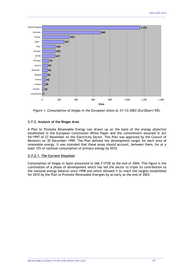

*Figure 1. Consumption of biogas in the European Union at 31/12/2003 (EurObserv'ER).*

# **3.7.2. Analysis of the Biogas Area**

A Plan to Promote Renewable Energy was drawn up on the basis of the energy objective established in the European Commission White Paper and the commitment assumed in Act 54/1997 of 27 November on the Electricity Sector. This Plan was approved by the Council of Ministers on 30 December 1999. The Plan defined the development target for each area of renewable energy. It was intended that these areas should account, between them, for at a least 12% of national consumption of primary energy by 2010.

# *3.7.2.1. The Current Situation*

Consumption of biogas in Spain amounted to 266.7 kTOE at the end of 2004. This figure is the culmination of a phase of development which has led the sector to triple its contribution to the national energy balance since 1998 and which allowed it to reach the targets established for 2010 by the Plan to Promote Renewable Energies by as early as the end of 2003.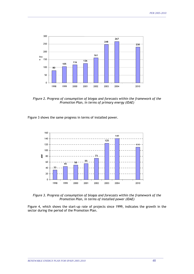

*Figure 2. Progress of consumption of biogas and forecasts within the framework of the Promotion Plan, in terms of primary energy (IDAE)*

Figure 3 shows the same progress in terms of installed power.



*Figure 3. Progress of consumption of biogas and forecasts within the framework of the Promotion Plan, in terms of installed power (IDAE)* 

Figure 4, which shows the start-up rate of projects since 1999, indicates the growth in the sector during the period of the Promotion Plan.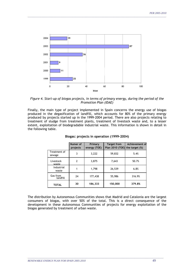

*Figure 4. Start-up of biogas projects, in terms of primary energy, during the period of the Promotion Plan (IDAE)*

Finally, the main type of project implemented in Spain concerns the energy use of biogas produced in the degasification of landfill, which accounts for 80% of the primary energy produced by projects started up in the 1999-2004 period. There are also projects relating to treatment of sludge from treatment plants, treatment of livestock waste and, to a lesser extent, exploitation of biodegradable industrial waste. This information is shown in detail in the following table.

|                        | Numer of<br>projects | Primary<br>energy (TOE) | <b>Target from</b><br>Plan 2010 (TOE) the target (%) | Achievement of |
|------------------------|----------------------|-------------------------|------------------------------------------------------|----------------|
| Treatment of<br>sewage | 3                    | 3,222                   | 59,832                                               | 5.4%           |
| Livestock<br>waste     | 2                    | 3,875                   | 7,643                                                | 50.7%          |
| Industrial<br>waste    |                      | 1,798                   | 26,539                                               | 6.8%           |
| Gas from<br>landfill   | 24                   | 177,438                 | 55,986                                               | 316.9%         |
| <b>TOTAL</b>           | 30                   | 186,333                 | 150,000                                              | 379.8%         |

#### **Biogas: projects in operation (1999-2004)**

The distribution by Autonomous Communities shows that Madrid and Catalonia are the largest consumers of biogas, with over 50% of the total. This is a direct consequence of the development in these Autonomous Communities of projects for energy exploitation of the biogas generated by treatment of urban waste.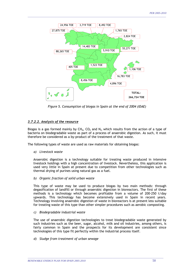

*Figure 5. Consumption of biogas in Spain at the end of 2004 (IDAE)* 

# *3.7.2.2. Analysis of the resource*

Biogas is a gas formed mainly by  $CH_4$ ,  $CO_2$  and  $N_2$ , which results from the action of a type of bacteria on biodegradable waste as part of a process of anaerobic digestion. As such, it must therefore be considered as a by-product of the treatment of that waste.

The following types of waste are used as raw materials for obtaining biogas:

*a) Livestock waste* 

Anaerobic digestion is a technology suitable for treating waste produced in intensive livestock holdings with a high concentration of livestock. Nevertheless, this application is used very little in Spain at present due to competition from other technologies such as thermal drying of purines using natural gas as a fuel.

*b) Organic fraction of solid urban waste* 

This type of waste may be used to produce biogas by two main methods: through degasification of landfill or through anaerobic digestion in bioreactors. The first of these methods is a technology which becomes profitable from a volume of 200-250 t/day upwards. This technology has become extensively used in Spain in recent years. Technology involving anaerobic digestion of waste in bioreactors is at present less suitable for treating waste of this type than other simpler procedures such as aerobic composting.

*c) Biodegradable industrial waste* 

The use of anaerobic digestion technologies to treat biodegradable waste generated by such industries such as the beer, sugar, alcohol, milk and oil industries, among others, is fairly common in Spain and the prospects for its development are consistent since technologies of this type fit perfectly within the industrial process itself.

\_\_\_\_\_\_\_\_\_\_\_\_\_\_\_\_\_\_\_\_\_\_\_\_\_\_\_\_\_\_\_\_\_\_\_\_\_\_\_\_\_\_\_\_\_\_\_\_\_\_\_\_\_\_\_\_\_\_\_\_\_\_\_\_\_\_\_\_\_\_\_\_\_\_\_\_\_\_\_\_\_\_\_\_\_\_\_\_\_\_\_\_\_\_\_\_\_\_\_\_\_\_\_\_

*d) Sludge from treatment of urban sewage*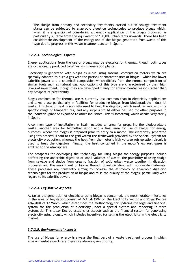The sludge from primary and secondary treatments carried out in sewage treatment plants can be subjected to anaerobic digestion technologies to produce biogas which, when it is a question of considering an energy application of the biogas produced, is particularly suitable from the equivalent of 100,000 inhabitants upwards. There has been considerable development of the energy use of the biogas generated from waste of this type due to progress in this waste treatment sector in Spain.

\_\_\_\_\_\_\_\_\_\_\_\_\_\_\_\_\_\_\_\_\_\_\_\_\_\_\_\_\_\_\_\_\_\_\_\_\_\_\_\_\_\_\_\_\_\_\_\_\_\_\_\_\_\_\_\_\_\_\_\_\_\_\_\_\_\_\_\_\_\_\_\_\_\_\_\_\_\_\_\_\_\_\_\_\_\_\_\_\_\_\_\_\_\_\_\_\_\_\_\_\_\_\_\_\_\_

## *3.7.2.3. Technological Aspects*

Energy applications from the use of biogas may be electrical or thermal, though both types are occasionally produced together in co-generation plants.

Electricity is generated with biogas as a fuel using internal combustion motors which are specially adapted to burn a gas with the particular characteristics of biogas – which has lower calorific power and a chemical composition which differs from the normal composition of similar fuels such as natural gas. Applications of this type are characterised by their high levels of investment, though they are developed mainly for environmental reasons rather than any prospect of profitability.

Biogas combustion for thermal use is currently less common than in electricity applications and takes place particularly in facilities for producing biogas from biodegradable industrial waste. This type of heat is normally used to heat the digestor, which must be kept within a specific range of temperatures, and any surplus would either be used for other purposes in the industrial plant or exported to other industries. This is something which occurs very rarely in Spain.

A common type of installation in Spain includes an area for preparing the biodegradable waste, another area for biomethanisation and a final area for use of biogas for energy purposes, where the biogas is prepared prior to entry to a motor. The electricity generated using this process is sold to the grid within the framework provided by the Special System for electricity production, whereas the heat from the motor's high voltage refrigeration circuit is used to heat the digestors. Finally, the heat contained in the motor's exhaust gases is emitted to the atmosphere.

The prospects for developing the technology for using biogas for energy purposes include perfecting the anaerobic digestion of small volumes of waste, the possibility of using sludge from sewage and sludge from organic fraction of solid urban waste together in digestion processes and the enrichment of biogas through digestion along with non-waste materials. These processes are constantly aiming to increase the efficiency of anaerobic digestion technologies for the production of biogas and raise the quality of the biogas, particularly with regard to its calorific power.

# *3.7.2.4. Legislative Aspects*

As far as the generation of electricity using biogas is concerned, the most notable milestones in the area of legislation consist of Act 54/1997 on the Electricity Sector and Royal Decree 436/2004 of 12 March, which establishes the methodology for updating the legal and financial system for the production of electricity under a special system and rendering it more systematic. This latter Decree establishes aspects such as the financial system for generating electricity using biogas, which includes incentives for selling the electricity in the electricity market.

## *3.7.2.5. Environmental Aspects*

The use of biogas for energy is always the final part of a waste treatment process in which environmental aspects are therefore always given priority.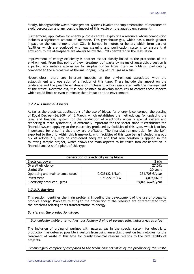Firstly, biodegradable waste management systems involve the implementation of measures to avoid percolation and any possible impact of this waste on the aquatic environment.

\_\_\_\_\_\_\_\_\_\_\_\_\_\_\_\_\_\_\_\_\_\_\_\_\_\_\_\_\_\_\_\_\_\_\_\_\_\_\_\_\_\_\_\_\_\_\_\_\_\_\_\_\_\_\_\_\_\_\_\_\_\_\_\_\_\_\_\_\_\_\_\_\_\_\_\_\_\_\_\_\_\_\_\_\_\_\_\_\_\_\_\_\_\_\_\_\_\_\_\_\_\_\_\_\_\_

Furthermore, application for energy purposes entails exploiting a resource whose composition includes a significant amount of methane. This greenhouse gas, which has a much greater impact on the environment than  $CO<sub>2</sub>$ , is burned in motors or boilers which form part of facilities which are equipped with gas cleaning and purification systems to ensure that emissions to the atmosphere are always below the limits permitted in the legislation.

Improvement of energy efficiency is another aspect closely linked to the protection of the environment. From that point of view, treatment of waste by means of anaerobic digestion is a particularly suitable alternative for surplus purines from intensive holdings, particularly compared to the alternative of thermal drying using natural gas as a fuel.

Nevertheless, there are inherent impacts on the environment associated with the establishment and operation of a facility of this type. These include the impact on the landscape and the possible existence of unpleasant odours associated with the management of the waste. Nevertheless, it is now possible to develop measures to correct these aspects which could limit or even eliminate their impact on the environment.

# *3.7.2.6. Financial Aspects*

As far as the electrical applications of the use of biogas for energy is concerned, the passing of Royal Decree 436/2004 of 12 March, which establishes the methodology for updating the legal and financial system for the production of electricity under a special system and rendering it more systematic, is extremely important for the sector since it establishes the financial system applying to the electricity produced by facilities of this type, which is of key importance for ensuring that they are profitable. The financial remuneration for the kWh exported to the grid within this framework, with facilities of this type being included in group b.7 of Article 2.1, may be considered adequate and that remuneration is applied in the following sample project, which shows the main aspects to be taken into consideration in financial analysis of a plant of this type.

| Generation of electricity using biogas |                  |                 |  |  |
|----------------------------------------|------------------|-----------------|--|--|
| Electrical power                       |                  | 2 MW            |  |  |
| Overall efficiency                     |                  | 27.09%          |  |  |
| Useful life                            |                  | 20 years        |  |  |
| Operating and maintenance costs        | $0.025122$ €/kWh | 351,708 €/year  |  |  |
| Investment                             | 1,502.53 €/kW    | $3,005,060$ €   |  |  |
| Electricity produced, gross            |                  | 35,000 MWh/year |  |  |

# *3.7.2.7. Barriers*

This section identifies the main problems impeding the development of the use of biogas to produce energy. Problems relating to the production of the resource are differentiated from the problems relating to its transformation to energy.

# *Barriers at the production stage:*

*Economically viable alternatives, particularly drying of purines using natural gas as a fuel* 

The inclusion of drying of purines with natural gas in the special system for electricity production has deterred possible investors from using anaerobic digestion technologies for the treatment of waste of this type for purely financial reasons relating to the profitability of projects.

*Technological complexity compared to the traditional activities of the producer of the waste*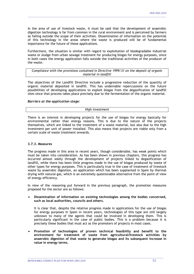In the area of use of livestock waste, it must be said that the development of anaerobic digestion technology is far from common in the rural environment and is perceived by farmers as falling outside the scope of their activities. Dissemination of information on the potential of this technology in the areas where the waste is produced will be of fundamental importance for the future of these applications.

\_\_\_\_\_\_\_\_\_\_\_\_\_\_\_\_\_\_\_\_\_\_\_\_\_\_\_\_\_\_\_\_\_\_\_\_\_\_\_\_\_\_\_\_\_\_\_\_\_\_\_\_\_\_\_\_\_\_\_\_\_\_\_\_\_\_\_\_\_\_\_\_\_\_\_\_\_\_\_\_\_\_\_\_\_\_\_\_\_\_\_\_\_\_\_\_\_\_\_\_\_\_\_\_\_\_

Furthermore, the situation is similar with regard to exploitation of biodegradable industrial waste or sludge from urban sewage treatment for producing biogas for energy purposes, since in both cases the energy application falls outside the traditional activities of the producer of the waste.

*Compliance with the provisions contained in Directive 1999/31 on the deposit of organic material in landfill* 

The objectives of the Landfill Directive include a progressive reduction of the quantity of organic material deposited in landfill. This has undeniable repercussions on the future possibilities of developing applications to exploit biogas from the degasification of landfill sites since that process takes place precisely due to the fermentation of the organic material.

## *Barriers at the application stage:*

#### *High investment*

There is an interest in developing projects for the use of biogas for energy basically for environmental rather than energy reasons. This is due to the nature of the projects themselves, which are linked to the treatment of a waste material, but also due to the high investment per unit of power installed. This also means that projects are viable only from a certain scale of waste treatment onwards.

## **3.7.3. Measures**

The progress made in this area in recent years, though considerable, has weak points which must be taken into consideration. As has been shown in previous chapters, this progress has occurred almost solely through the development of projects linked to degasification of landfill, while there has been little progress made in the use of biogas produced by waste of other types for energy purposes. This is particularly true in the case of treatment of livestock waste by anaerobic digestion, an application which has been supplanted in Spain by thermal drying with natural gas, which is an extremely questionable alternative from the point of view of energy efficiency.

In view of the reasoning put forward in the previous paragraph, the promotion measures proposed for the sector are as follows:

• **Dissemination of information on existing technologies among the bodies concerned, such as local authorities, councils and others.** 

It is clear that, despite the relative progress made in applications for the use of biogas for energy purposes in Spain in recent years, technologies of this type are still largely unknown to many of the agents that could be involved in developing them. This is particularly significant in the case of public bodies. This is a problem because it is precisely these bodies that must act as the promoters of projects in most cases.

• **Promotion of technologies of proven technical feasibility and benefit to the environment for treatment of waste from agricultural/livestock activities by anaerobic digestion of that waste to generate biogas and its subsequent increase in value in energy terms.**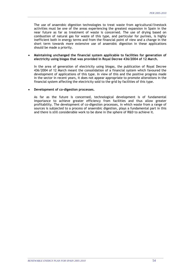The use of anaerobic digestion technologies to treat waste from agricultural/livestock activities must be one of the areas experiencing the greatest expansion in Spain in the near future as far as treatment of waste is concerned. The use of drying based on combustion of natural gas for waste of this type, and particular for purines, is highly inefficient both in energy terms and from the financial point of view and a change in the short term towards more extensive use of anaerobic digestion in these applications should be made a priority.

\_\_\_\_\_\_\_\_\_\_\_\_\_\_\_\_\_\_\_\_\_\_\_\_\_\_\_\_\_\_\_\_\_\_\_\_\_\_\_\_\_\_\_\_\_\_\_\_\_\_\_\_\_\_\_\_\_\_\_\_\_\_\_\_\_\_\_\_\_\_\_\_\_\_\_\_\_\_\_\_\_\_\_\_\_\_\_\_\_\_\_\_\_\_\_\_\_\_\_\_\_\_\_\_\_\_

## • **Maintaining unchanged the financial system applicable to facilities for generation of electricity using biogas that was provided in Royal Decree 436/2004 of 12 March.**

In the area of generation of electricity using biogas, the publication of Royal Decree 436/2004 of 12 March meant the consolidation of a financial system which favoured the development of applications of this type. In view of this and the positive progress made in the sector in recent years, it does not appear appropriate to promote alterations in the financial system affecting the electricity sold to the grid by facilities of this type.

## • **Development of co-digestion processes.**

As far as the future is concerned, technological development is of fundamental importance to achieve greater efficiency from facilities and thus allow greater profitability. The development of co-digestion processes, in which waste from a range of sources is subjected to a process of anaerobic digestion, plays a fundamental part in this and there is still considerable work to be done in the sphere of R&D to achieve it.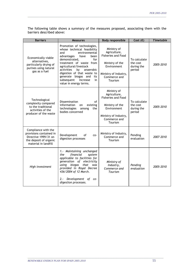The following table shows a summary of the measures proposed, associating them with the barriers described above:

\_\_\_\_\_\_\_\_\_\_\_\_\_\_\_\_\_\_\_\_\_\_\_\_\_\_\_\_\_\_\_\_\_\_\_\_\_\_\_\_\_\_\_\_\_\_\_\_\_\_\_\_\_\_\_\_\_\_\_\_\_\_\_\_\_\_\_\_\_\_\_\_\_\_\_\_\_\_\_\_\_\_\_\_\_\_\_\_\_\_\_\_\_\_\_\_\_\_\_\_\_\_\_\_\_\_

| <b>Barriers</b>                                                                                                          | <b>Measures</b>                                                                                                                                                                                                                                                                                                                                     | <b>Body responsible</b>                                                                                                                               | Cost $(\epsilon)$                                | <b>Timetable</b> |
|--------------------------------------------------------------------------------------------------------------------------|-----------------------------------------------------------------------------------------------------------------------------------------------------------------------------------------------------------------------------------------------------------------------------------------------------------------------------------------------------|-------------------------------------------------------------------------------------------------------------------------------------------------------|--------------------------------------------------|------------------|
| Economically viable<br>alternatives,<br>particularly drying of<br>purines using natural<br>gas as a fuel                 | Promotion of technologies,<br>whose technical feasibility<br>environmental<br>and<br>advantages<br>have<br>been<br>demonstrated,<br>for<br>treatment of waste from<br>agricultural/livestock<br>activities<br>by<br>anaerobic<br>digestion of that waste to<br>generate biogas and<br>its<br>subsequent<br>increase<br>in<br>value in energy terms. | Ministry of<br>Agriculture,<br><b>Fisheries and Food</b><br>Ministry of the<br>Environment<br>Ministry of Industry,<br>Commerce and<br><b>Tourism</b> | To calculate<br>the cost<br>during the<br>period | 2005-2010        |
| Technological<br>complexity compared<br>to the traditional<br>activities of the<br>producer of the waste                 | Dissemination<br>of<br>information<br>existing<br>on<br>technologies<br>the<br>among<br>bodies concerned                                                                                                                                                                                                                                            | Ministry of<br>Agriculture,<br><b>Fisheries and Food</b><br>Ministry of the<br>Environment<br>Ministry of Industry,<br>Commerce and<br>Tourism        | To calculate<br>the cost<br>during the<br>period | 2005-2010        |
| Compliance with the<br>provisions contained in<br>Directive 1999/31 on<br>the deposit of organic<br>material in landfill | Development<br>of<br>$CO -$<br>digestion processes                                                                                                                                                                                                                                                                                                  | Ministry of Industry,<br>Commerce and<br>Tourism                                                                                                      | Pending<br>evaluation                            | 2007-2010        |
| High investment                                                                                                          | 1.- Maintaining unchanged<br>the<br>financial<br>system<br>applicable to facilities for<br>generation of electricity<br>using biogas<br>that<br>was<br>provided in Royal Decree<br>436/2004 of 12 March.<br>2.- Development of<br>CO-<br>digestion processes.                                                                                       | Ministry of<br>Industry,<br>Commerce and<br>Tourism                                                                                                   | Pending<br>evaluation                            | 2005-2010        |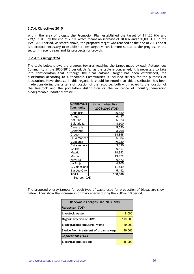## **3.7.4. Objectives 2010**

Within the area of biogas, the Promotion Plan established the target of 111.20 MW and 239,103 TOE by the end of 2010, which meant an increase of 78 MW and 150,000 TOE in the 1999-2010 period. As stated above, the proposed target was reached at the end of 2003 and it is therefore necessary to establish a new target which is more suited to the progress in the sector in recent years and its prospects for growth.

\_\_\_\_\_\_\_\_\_\_\_\_\_\_\_\_\_\_\_\_\_\_\_\_\_\_\_\_\_\_\_\_\_\_\_\_\_\_\_\_\_\_\_\_\_\_\_\_\_\_\_\_\_\_\_\_\_\_\_\_\_\_\_\_\_\_\_\_\_\_\_\_\_\_\_\_\_\_\_\_\_\_\_\_\_\_\_\_\_\_\_\_\_\_\_\_\_\_\_\_\_\_\_\_\_\_

## *3.7.4.1. Energy Data*

The table below shows the progress towards reaching the target made by each Autonomous Community in the 2005-2010 period. As far as the table is concerned, it is necessary to take into consideration that although the final national target has been established, the distribution according to Autonomous Communities is included strictly for the purposes of illustration. Nevertheless, in this regard, it should be noted that this distribution has been made considering the criteria of location of the resource, both with regard to the location of the livestock and the population distribution or the existence of industry generating biodegradable industrial waste.

| <b>Autonomous</b> | <b>Growth objective</b> |
|-------------------|-------------------------|
| Community         | 2005-2010 (TOE)         |
| Andalucia         | 26,480                  |
| Aragón            | 6,487                   |
| Asturias          | 5,323                   |
| Balearic Is.      | 8,100                   |
| Canary Is.        | 5,650                   |
| Cantabria         | 3,708                   |
| C-Leon            | $\overline{1}$ 4,358    |
| C-La Mancha       | 5,834                   |
| Catalonia         | 40,920                  |
| Extremadura       | 3,890                   |
| Galicia           | 6,817                   |
| Madrid            | 18,842                  |
| Murcia            | 13,472                  |
| Navarra           | 6,472                   |
| La Rioja          | 4,705                   |
| C.Valenciana      | 11,449                  |
| Basque Ctry.      | 5,492                   |
| <b>TOTAL</b>      | 188,000                 |
| Source: IDAE      |                         |

The proposed energy targets for each type of waste used for production of biogas are shown below. They show the increase in primary energy during the 2005-2010 period.

| Renewable Energies Plan 2005-2010     |         |  |  |  |
|---------------------------------------|---------|--|--|--|
| <b>Resources (TOE)</b>                |         |  |  |  |
| Livestock waste                       | 8,000   |  |  |  |
| <b>Organic fraction of SUW</b>        | 110,000 |  |  |  |
| Biodegradable industrial waste        | 40,000  |  |  |  |
| Sludge from treatment of urban sewage | 30,000  |  |  |  |
| <b>Applications (TOE)</b>             |         |  |  |  |
| <b>Electrical applications</b>        | 188,000 |  |  |  |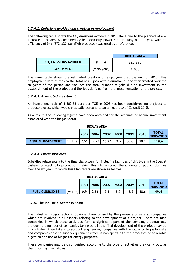# *3.7.4.2. Emissions avoided and creation of employment*

The following table shows the  $CO<sub>2</sub>$  emissions avoided in 2010 alone due to the planned 94 MW increase in power. A combined cycle electricity power station using natural gas, with an efficiency of 54% (372 tCO<sub>2</sub> per GWh produced) was used as a reference:

\_\_\_\_\_\_\_\_\_\_\_\_\_\_\_\_\_\_\_\_\_\_\_\_\_\_\_\_\_\_\_\_\_\_\_\_\_\_\_\_\_\_\_\_\_\_\_\_\_\_\_\_\_\_\_\_\_\_\_\_\_\_\_\_\_\_\_\_\_\_\_\_\_\_\_\_\_\_\_\_\_\_\_\_\_\_\_\_\_\_\_\_\_\_\_\_\_\_\_\_\_\_\_\_\_\_

|                                   |                      | <b>BIOGAS AREA</b> |
|-----------------------------------|----------------------|--------------------|
| CO <sub>2</sub> EMISSIONS AVOIDED | (t CO <sub>2</sub> ) | 220,298            |
| <b>EMPLOYMENT</b>                 | (men/year)           | 1,880              |

The same table shows the estimated creation of employment at the end of 2010. This employment data relates to the total of all jobs with a duration of one year created over the six years of the period and includes the total number of jobs due to investment in the establishment of the project and the jobs deriving from the implementation of the project.

# *3.7.4.3. Associated investment*

An investment ratio of 1,502.53 euro per TOE in 2005 has been considered for projects to produce biogas, which would gradually descend to an annual rate of 5% until 2010.

As a result, the following figures have been obtained for the amounts of annual investment associated with the biogas sector:

| <b>BIOGAS AREA</b>       |                                                            |  |  |  |  |                                         |                    |
|--------------------------|------------------------------------------------------------|--|--|--|--|-----------------------------------------|--------------------|
|                          |                                                            |  |  |  |  | 2005   2006   2007   2008   2009   2010 | TOTAL<br>2005-2010 |
| <b>ANNUAL INVESTMENT</b> | (mill. €)   7.51    14.27    16.27    21.9    30.6    29.1 |  |  |  |  |                                         | 119.6              |

# *3.7.4.4. Public subsidies*

Subsidies relate solely to the financial system for including facilities of this type in the Special System for electricity production. Taking this into account, the amounts of public subsidies over the six years to which this Plan refers are shown as follows:

| <b>BIOGAS AREA</b>                                        |                     |     |      |     |     |      |           |      |
|-----------------------------------------------------------|---------------------|-----|------|-----|-----|------|-----------|------|
| <b>TOTAL</b><br>2007 2008<br>2009<br>2005<br>2010<br>2006 |                     |     |      |     |     |      | 2005-2010 |      |
| <b>PUBLIC SUBSIDIES</b>                                   | (mill. $\epsilon$ ) | 0.9 | 2.81 | 5.1 | 8.5 | 13.5 | 18.6      | 49.4 |

# **3.7.5. The Industrial Sector in Spain**

The industrial biogas sector in Spain is characterised by the presence of several companies which are involved in all aspects relating to the development of a project. There are nine companies in which these activities form a significant part of the company's operations, although the number of companies taking part in the final development of the project may be much higher if we take into account engineering companies with the capacity to participate and companies able to supply equipment which is non-specific to the processes of anaerobic digestion and use of biogas for energy purposes.

These companies may be distinguished according to the type of activities they carry out, as the following chart shows: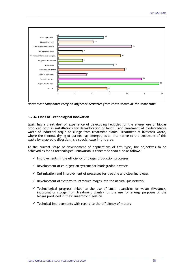

*Note: Most companies carry on different activities from those shown at the same time.* 

## **3.7.6. Lines of Technological Innovation**

Spain has a great deal of experience of developing facilities for the energy use of biogas produced both in installations for degasification of landfill and treatment of biodegradable waste of industrial origin or sludge from treatment plants. Treatment of livestock waste, where the thermal drying of purines has emerged as an alternative to the treatment of this waste by anaerobic digestion, is a special case in this area.

At the current stage of development of applications of this type, the objectives to be achieved as far as technological innovation is concerned should be as follows:

- $\checkmark$  Improvements in the efficiency of biogas production processes
- $\checkmark$  Development of co-digestion systems for biodegradable waste
- $\checkmark$  Optimisation and improvement of processes for treating and cleaning biogas
- $\checkmark$  Development of systems to introduce biogas into the natural gas network
- $\checkmark$  Technological progress linked to the use of small quantities of waste (livestock, industrial or sludge from treatment plants) for the use for energy purposes of the biogas produced in their anaerobic digestion.

\_\_\_\_\_\_\_\_\_\_\_\_\_\_\_\_\_\_\_\_\_\_\_\_\_\_\_\_\_\_\_\_\_\_\_\_\_\_\_\_\_\_\_\_\_\_\_\_\_\_\_\_\_\_\_\_\_\_\_\_\_\_\_\_\_\_\_\_\_\_\_\_\_\_\_\_\_\_\_\_\_\_\_\_\_\_\_\_\_\_\_\_\_\_\_\_\_\_\_\_\_\_\_\_

 $\checkmark$  Technical improvements with regard to the efficiency of motors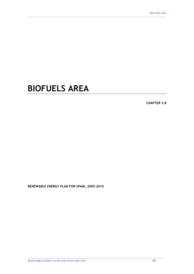# **BIOFUELS AREA**

\_\_\_\_\_\_\_\_\_\_\_\_\_\_\_\_\_\_\_\_\_\_\_\_\_\_\_\_\_\_\_\_\_\_\_\_\_\_\_\_\_\_\_\_\_\_\_\_\_\_\_\_\_\_\_\_\_\_\_\_\_\_\_\_\_\_\_\_\_\_\_\_\_\_\_\_\_\_\_\_\_\_\_\_\_\_\_\_\_\_\_\_\_\_\_\_\_\_\_\_\_\_\_\_\_\_

**CHAPTER 3.8** 

**RENEWABLE ENERGY PLAN FOR SPAIN, 2005-2010**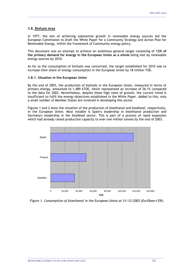# **3.8. Biofuels Area**

In 1977, the aim of achieving substantial growth in renewable energy sources led the European Commission to draft the White Paper for a Community Strategy and Action Plan for Renewable Energy, within the framework of Community energy policy.

\_\_\_\_\_\_\_\_\_\_\_\_\_\_\_\_\_\_\_\_\_\_\_\_\_\_\_\_\_\_\_\_\_\_\_\_\_\_\_\_\_\_\_\_\_\_\_\_\_\_\_\_\_\_\_\_\_\_\_\_\_\_\_\_\_\_\_\_\_\_\_\_\_\_\_\_\_\_\_\_\_\_\_\_\_\_\_\_\_\_\_\_\_\_\_\_\_\_\_\_\_\_\_\_\_\_

This document was an attempt to achieve an ambitious general target consisting of **12% of the primary demand for energy in the European Union as a whole** being met by renewable energy sources by 2010.

As far as the consumption of biofuels was concerned, the target established for 2010 was to increase their share of energy consumption in the European Union by 18 million TOE.

## **3.8.1. Situation in the European Union**

By the end of 2003, the production of biofuels in the European Union, measured in terms of primary energy, amounted to 1,489 kTOE, which represented an increase of 26.1% compared to the data for 2002. Nevertheless, despite these high rates of growth, the current trend is insufficient to fulfil the energy objectives established in the White Paper. Added to this, only a small number of Member States are involved in developing this sector.

Figures 1 and 2 show the situation of the production of bioethanol and biodiesel, respectively, in the European Union. Most notable is Spain's leadership in bioethanol production and Germany's leadership in the biodiesel sector. This is part of a process of rapid expansion which had already raised production capacity to over one million tonnes by the end of 2003.



*Figure 1. Consumption of bioethanol in the European Union at 31/12/2003 (EurObserv'ER).*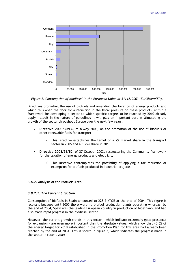

*Figure 2. Consumption of biodiesel in the European Union at 31/12/2003 (EurObserv'ER).* 

Directives promoting the use of biofuels and amending the taxation of energy products and which thus open the door for a reduction in the fiscal pressure on these products, within a framework for developing a sector to which specific targets to be reached by 2010 already apply – albeit in the nature of guidelines –, will play an important part in stimulating the growth of the sector throughout Europe over the next few years.

- **Directive 2003/30/EC**, of 8 May 2003, on the promotion of the use of biofuels or other renewable fuels for transport
	- $\checkmark$  This Directive establishes the target of a 2% market share in the transport sector in 2005 and a 5.75% share in 2010
- **Directive 2003/96/EC**, of 27 October 2003, restructuring the Community framework for the taxation of energy products and electricity
	- This Directive contemplates the possibility of applying a tax reduction or exemption for biofuels produced in industrial projects

## **3.8.2. Analysis of the Biofuels Area**

## *3.8.2.1. The Current Situation*

Consumption of biofuels in Spain amounted to 228.2 kTOE at the end of 2004. This figure is relevant because until 2000 there were no biofuel production plants operating whereas, by the end of 2004, Spain was the leading European country in production of bioethanol and had also made rapid progress in the biodiesel sector.

However, the current growth trends in this sector – which indicate extremely good prospects for expansion – are even more important than the absolute values, which show that 45.6% of the energy target for 2010 established in the Promotion Plan for this area had already been reached by the end of 2004. This is shown in figure 3, which indicates the progress made in the sector in recent years.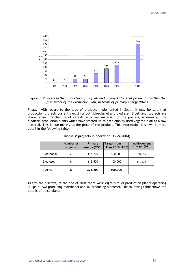

*Figure 3. Progress in the production of biofuels and prospects for that production within the framework of the Promotion Plan, in terms of primary energy (IDAE)*

Finally, with regard to the type of projects implemented in Spain, it may be said that production projects currently exist for both bioethanol and biodiesel. Bioethanol projects are characterised by the use of cereals as a raw material for the process, whereas all the biodiesel production plants which have started up to date employ used vegetable oil as a raw material. This is due merely to the price of the product. This information is shown in more detail in the following table.

|                   | Number of<br>projects | Primary<br>energy (TOE) | <b>Target from</b><br>Plan 2010 (TOE) | Achievement<br>of target (%) |
|-------------------|-----------------------|-------------------------|---------------------------------------|------------------------------|
| <b>Bioethanol</b> |                       | 115,700                 | 400,000                               | 28.9%                        |
| <b>Biodiesel</b>  | 6                     | 112,500                 | 100,000                               | 112.5%                       |
| TOTAL             | 8                     | 228,200                 | 500,000                               |                              |

## **Biofuels: projects in operation (1999-2004)**

As this table shows, at the end of 2004 there were eight biofuel production plants operating in Spain: two producing bioethanol and six producing biodiesel. The following table shows the details of these plants: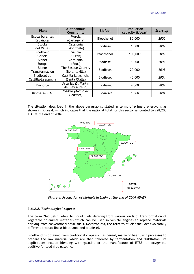| Plant                                     | <b>Autonomous</b><br>Community          | <b>Biofuel</b>    | Production<br>capacity (t/year) | Start-up |
|-------------------------------------------|-----------------------------------------|-------------------|---------------------------------|----------|
| <b>Ecocarburantes</b><br><b>Españoles</b> | Murcia<br>(Cartagena)                   | Bioethanol        | 80,000                          | 2000     |
| <b>Stocks</b><br>del Vallés               | Catalonia<br>(Montmeló)                 | <b>Biodiesel</b>  | 6,000                           | 2002     |
| Bioethanol<br>Galicia                     | Galicia<br>(Curtis)                     | <b>Bioethanol</b> | 100,000                         | 2002     |
| <b>Bionet</b><br>Europa                   | Catalonia<br>(Reus)                     | <b>Biodiesel</b>  | 6,000                           | 2003     |
| <b>Bionor</b><br>Transformación           | The Basque Country<br>(Berantevilla)    | <b>Biodiesel</b>  | 20,000                          | 2003     |
| Biodiesel de<br>Castilla-La Mancha        | Castilla-La Mancha<br>(Santa Olalla)    | <b>Biodiesel</b>  | 40,000                          | 2004     |
| <b>Bionorte</b>                           | Asturias (S. Martín<br>del Rey Aurelio) | <b>Biodiesel</b>  | 4,000                           | 2004     |
| Biodiesel-IDAE                            | Madrid (Alcalá de<br>Henares)           | <b>Biodiesel</b>  | 5,000                           | 2004     |

The situation described in the above paragraphs, stated in terms of primary energy, is as shown in figure 4, which indicates that the national total for this sector amounted to 228,200 TOE at the end of 2004.



*Figure 4. Production of biofuels in Spain at the end of 2004 (IDAE)*

## *3.8.2.2. Technological Aspects*

The term "biofuels" refers to liquid fuels deriving from various kinds of transformation of vegetable or animal materials which can be used in vehicle engines to replace materials deriving from conventional fossil fuels. Nevertheless, the term "biofuels" includes two totally different product lines: bioethanol and biodiesel.

Bioethanol is obtained from traditional crops such as cereal, maize or beet using processes to prepare the raw material which are then followed by fermentation and distillation. its applications include blending with gasoline or the manufacture of ETBE, an oxygenate additive for lead-free gasoline.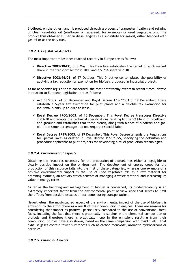Biodiesel, on the other hand, is produced through a process of transesterification and refining of clean vegetable oil (sunflower or rapeseed, for example) or used vegetable oils. The product thus obtained is used in diesel engines as a substitute for gas-oil, either blended with gas-oil or as the only fuel.

\_\_\_\_\_\_\_\_\_\_\_\_\_\_\_\_\_\_\_\_\_\_\_\_\_\_\_\_\_\_\_\_\_\_\_\_\_\_\_\_\_\_\_\_\_\_\_\_\_\_\_\_\_\_\_\_\_\_\_\_\_\_\_\_\_\_\_\_\_\_\_\_\_\_\_\_\_\_\_\_\_\_\_\_\_\_\_\_\_\_\_\_\_\_\_\_\_\_\_\_\_\_\_\_\_\_

## *3.8.2.3. Legislative Aspects*

The most important milestones reached recently in Europe are as follows:

- $\checkmark$  Directive 2003/30/EC, of 8 May: This Directive establishes the target of a 2% market share in the transport sector in 2005 and a 5.75% share in 2010
- $\checkmark$  Directive 2003/96/CE, of 27 October: This Directive contemplates the possibility of applying a tax reduction or exemption for biofuels produced in industrial projects

As far as Spanish legislation is concerned, the most noteworthy events in recent times, always in relation to European legislation, are as follows:

- $\checkmark$  Act 53/2002, of 30 December and Royal Decree 1739/2003 of 19 December: These establish a 5-year tax exemption for pilot plants and a flexible tax exemption for industrial plants up to 2012 at least.
- 9 **Royal Decree 1700/2003**, of 15 December: This Royal Decree transposes Directive 2003/30 and adapts the technical specifications relating to the 5% blend of bioethanol and gasoline and establishes that these blends, along with blends of biodiesel and gasoil in the same percentages, do not require a special label.
- $\checkmark$  Royal Decree 1739/2003, of 19 December: This Royal Decree amends the Regulations for Special Taxes as drafted in Royal Decree 1165/1995, specifying the definition and procedure applicable to pilot projects for developing biofuel production technologies.

# *3.8.2.4. Environmental Aspects*

Obtaining the resources necessary for the production of biofuels has either a negligible or clearly positive impact on the environment. The development of energy crops for the production of this resource falls into the first of these categories, whereas one example of a positive environmental impact is the use of used vegetable oils as a raw material for obtaining biofuels, an activity which consists of managing a waste material and increasing its value in energy terms.

As far as the handling and management of biofuel is concerned, its biodegradability is an extremely important factor from the environmental point of view since that serves to limit the effects from possible escapes or accidents during transportation.

Nevertheless, the most-studied aspect of the environmental impact of the use of biofuels is emissions to the atmosphere as a result of their combustion in engines. There are reasons for considering that impact as positive, particularly compared to the use of conventional fossil fuels, including the fact that there is practically no sulphur in the elemental composition of biofuels and therefore there is practically none in the emissions resulting from their combustion. Studies have also shown, based on the same comparison with fossil fuels, that exhaust gases contain fewer substances such as carbon monoxide, aromatic hydrocarbons or particles.

\_\_\_\_\_\_\_\_\_\_\_\_\_\_\_\_\_\_\_\_\_\_\_\_\_\_\_\_\_\_\_\_\_\_\_\_\_\_\_\_\_\_\_\_\_\_\_\_\_\_\_\_\_\_\_\_\_\_\_\_\_\_\_\_\_\_\_\_\_\_\_\_\_\_\_\_\_\_\_\_\_\_\_\_\_\_\_\_\_\_\_\_\_\_\_\_\_\_\_\_\_\_\_\_

## *3.8.2.5. Financial Aspects*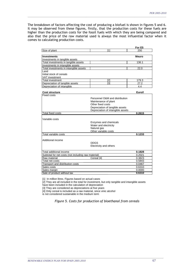The breakdown of factors affecting the cost of producing a biofuel is shown in figures 5 and 6. It may be observed from these figures, firstly, that the production costs for these fuels are higher than the production costs for the fossil fuels with which they are being compared and also that the price of the raw material used is always the most influential factor when it comes to calculating production costs.

\_\_\_\_\_\_\_\_\_\_\_\_\_\_\_\_\_\_\_\_\_\_\_\_\_\_\_\_\_\_\_\_\_\_\_\_\_\_\_\_\_\_\_\_\_\_\_\_\_\_\_\_\_\_\_\_\_\_\_\_\_\_\_\_\_\_\_\_\_\_\_\_\_\_\_\_\_\_\_\_\_\_\_\_\_\_\_\_\_\_\_\_\_\_\_\_\_\_\_\_\_\_\_\_\_\_

|                                        |     | For E5       |
|----------------------------------------|-----|--------------|
| Size of plant                          | ۰41 | 200          |
|                                        |     |              |
| <b>Investments</b>                     |     | <b>Meuro</b> |
| Investments in tangible assets         |     |              |
| Total investments in tangible assets   |     | 136.1        |
| Investments in intangible assets       |     |              |
| Total investments in intangible assets |     | 22.0         |
| Land                                   |     |              |
| Initial stock of cereals               |     |              |
| <b>VAT</b> investment                  |     |              |
| Total investment                       | 2   | 179.3        |
| Depreciation of tangible assets        | [3] | 27.2         |
| Depreciation of intangible             |     | 4.4          |

| <b>Cost structure</b>                               |                                   | Euro/I |
|-----------------------------------------------------|-----------------------------------|--------|
| Fixed costs                                         |                                   |        |
|                                                     | Personnel O&M and distribution    |        |
|                                                     | Maintenance of plant              |        |
|                                                     | Other fixed costs                 |        |
|                                                     | Depreciation of tangible assets   |        |
|                                                     | Depreciation of intangible assets |        |
| Total fixed costs                                   |                                   | 0.2615 |
|                                                     |                                   |        |
| Variable costs                                      |                                   |        |
|                                                     | Enzymes and chemicals             |        |
|                                                     | Water and electricity             |        |
|                                                     | Natural gas                       |        |
|                                                     | Other variable costs              |        |
| Total variable costs                                |                                   | 0.1233 |
|                                                     |                                   |        |
| Additional income                                   |                                   |        |
|                                                     | <b>DDGS</b>                       |        |
|                                                     | Electricity and others            |        |
| Total additional income                             |                                   | 0.1828 |
| Subtotal for net costs (not including raw material) |                                   | 0.2021 |
| Raw material                                        | Cereal [4]                        | 0.3823 |
| Total net costs                                     |                                   | 0.5843 |
| Transport and distribution costs                    |                                   | 0.0467 |
| Sales costs                                         |                                   | 0.6310 |
| Sales margin                                        |                                   | 0.0000 |
| Sale of product without tax                         |                                   | 0.6310 |

[1] In million litres. Figures based on actual cases

t

[2] They are all included in the total for investment, but only tangible and intangible assets

have been included in the calculation of depreciation

[3] They are considered as depreciations at five years

[4] Only cereal is included as a raw material, since vinic alcohol

is not considered sustainable in the medium term

*Figure 5. Costs for production of bioethanol from cereals*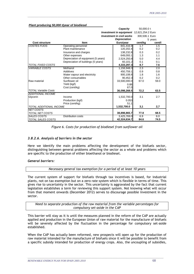|                             |                                     | Capacity                                  | 50,000.0 t     |         |
|-----------------------------|-------------------------------------|-------------------------------------------|----------------|---------|
|                             |                                     | Investment in equipment 12,621,254.2 Euro |                |         |
|                             |                                     | <b>Investment in civil works</b>          | 300,506.1 Euro |         |
|                             |                                     | <b>Depreciation</b>                       |                | 5 years |
| <b>Cost structure</b>       | <b>Item</b>                         | Euro/year                                 | cent/kg        | cent/l  |
| COSTES FIJOS                | Operating personnel                 | 841,416.9                                 | 1.7            | 1.5     |
|                             | Plant maintenance                   | 120,202.4                                 | 0.2            | 0.2     |
|                             | Insurance and charges               | 138,232.8                                 | 0.3            | 0.2     |
|                             | Other expenses                      | 649,093.1                                 | 1.3            | 1.1     |
|                             | Depreciation of equipment (5 years) | 2,524,250.8                               | 5.0            | 4.4     |
|                             | Depreciation of buildings (5 years) | 60,101.2                                  | 0.1            | 0.1     |
| <b>TOTAL FIXED COSTS</b>    |                                     | 4,333,297.3                               | 8.7            | 7.6     |
| <b>VARIABLE COSTS</b>       | Methanol                            | 1,156,948.3                               | 2.3            | 2.0     |
|                             | Additives                           | 450.759.1                                 | 0.9            | 0.8     |
|                             | Water vapour and electricity        | 900,108.8                                 | 1.8            | 1.6     |
|                             | Other consumables                   | 90.452.3                                  | 0.2            | 0.2     |
| Raw material                | Sunflower oil                       | 33,500,000.0                              | 67.0           | 59.0    |
|                             | Yield (kg/l)                        | 0.88                                      |                |         |
|                             | Cost (cent/kg)                      | 67.0                                      |                |         |
| <b>TOTAL Variable Costs</b> |                                     | 36,098,268.5                              | 72.2           | 63.5    |
| <b>ADDITIONAL INCOME</b>    |                                     |                                           |                |         |
| Glycerin                    | Income                              | 1,532,700.0                               | 3.1            | 2.7     |
|                             | Production (kg/l)                   | 0.053                                     |                |         |
|                             | Price (cent/kg)                     | 51.1                                      |                |         |
| TOTAL ADDITIONAL INCOME     |                                     | 1,532,700.0                               | 3,1            | 2,7     |
| <b>NET COSTS</b>            |                                     |                                           |                |         |
| <b>TOTAL NET COSTS</b>      |                                     | 38,898,865.7                              | 77.8           | 68.5    |
| <b>SALES COSTS</b>          | <b>Distribution costs</b>           | 3,425,769.0                               | 6.9            | 6.0     |
| TOTAL SALES COSTS           |                                     | 42,324,634.7                              | 84.6           | 74.5    |

#### *Plant producing 50,000 t/year of biodiesel*

*Figure 6. Costs for production of biodiesel from sunflower oil*

## *3.8.2.6. Analysis of barriers in the sector*

Here we identify the main problems affecting the development of the biofuels sector, distinguishing between general problems affecting the sector as a whole and problems which are specific to the production of either bioethanol or biodiesel.

*General barriers:* 

*Necessary general tax exemption for a period of at least 10 years* 

The current system of support for biofuels through tax incentives is based, for industrial plants, not on tax exemption but on a zero rate system which is flexible in terms of time. This gives rise to uncertainty in the sector. This uncertainty is aggravated by the fact that current legislation establishes a term for reviewing this support system. Not knowing what will occur from that moment onwards (December 2012) serves to discourage possible investment in the sector.

*Need to separate production of the raw material from the variable percentages for compulsory set-aside in the CAP* 

This barrier will stay as it is until the measures planned in the reform of the CAP are actually applied and production in the European Union of raw material for the manufacture of biofuels will be severely affected by the fluctuation in the percentage for compulsory set-aside established.

When the CAP has actually been reformed, new prospects will open up for the production of raw material intended for the manufacture of biofuels since it will be possible to benefit from a specific subsidy intended for production of energy crops. Also, the uncoupling of subsidies,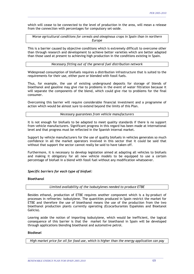which will cease to be connected to the level of production in the area, will mean a release from the connection with percentages for compulsory set-aside.

\_\_\_\_\_\_\_\_\_\_\_\_\_\_\_\_\_\_\_\_\_\_\_\_\_\_\_\_\_\_\_\_\_\_\_\_\_\_\_\_\_\_\_\_\_\_\_\_\_\_\_\_\_\_\_\_\_\_\_\_\_\_\_\_\_\_\_\_\_\_\_\_\_\_\_\_\_\_\_\_\_\_\_\_\_\_\_\_\_\_\_\_\_\_\_\_\_\_\_\_\_\_\_\_\_\_

*Worse agricultural conditions for cereals and oleaginous crops in Spain than in northern Europe* 

This is a barrier caused by objective conditions which is extremely difficult to overcome other than through research and development to achieve better varieties which are better adapted than those used at present to achieving high production in the conditions existing in Spain.

*Necessary fitting out of the general fuel distribution network* 

Widespread consumption of biofuels requires a distribution infrastructure that is suited to the requirements for their use, either pure or blended with fossil fuels.

Thus, for example, the use of existing underground deposits for storage of blends of bioethanol and gasoline may give rise to problems in the event of water filtration because it will separate the components of the blend, which could give rise to problems for the final consumer.

Overcoming this barrier will require considerable financial investment and a programme of action which would be almost sure to extend beyond the limits of this Plan.

## *Necessary guarantees from vehicle manufacturers*

It is not enough for biofuels to be adapted to meet quality standards if there is no support from vehicle manufacturers. Significant progress in this regard has been made at international level and that progress must be reflected in the Spanish internal market.

Support by vehicle manufacturers for the use of quality biofuels in vehicles generates so much confidence in all the market operators involved in this sector that it could be said that without that support the sector cannot really be said to have taken off.

Furthermore, it is necessary to develop legislation aimed at adapting all vehicles to biofuels and making it obligatory for all new vehicle models to be equipped to use a certain percentage of biofuel in a blend with fossil fuel without any modification whatsoever.

# *Specific barriers for each type of biofuel:*

## **Bioethanol**

*Limited availability of the isobutylenes needed to produce ETBE* 

Besides ethanol, production of ETBE requires another component which is a by-product of processes in refineries: isobutylene. The quantities produced in Spain restrict the market for ETBE and therefore the use of bioethanol means the use of the production from the two bioethanol production plants currently operating (Ecocarburantes Españoles and Bioetanol Galicia).

Leaving aside the notion of importing isobutylene, which would be inefficient, the logical consequence of this barrier is that the market for bioethanol in Spain will be developed through applications blending bioethanol and automotive petrol.

## **Biodiesel**

*High market price for oil for food use, which is higher than the energy application can pay*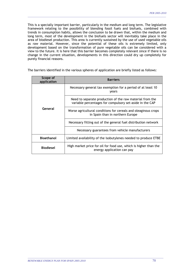This is a specially important barrier, particularly in the medium and long term. The legislative framework relating to the possibility of blending fossil fuels and biofuels, combined with trends in consumption habits, allows the conclusion to be drawn that, within the medium and long term, most of the development in the biofuels sector will inevitably take place in the area of biodiesel production. This area is currently sustained by the use of used vegetable oils as raw material. However, since the potential of these oils is extremely limited, only development based on the transformation of pure vegetable oils can be considered with a view to the future. It is here that this barrier becomes completely relevant since if there is no change in the current situation, developments in this direction could dry up completely for purely financial reasons.

\_\_\_\_\_\_\_\_\_\_\_\_\_\_\_\_\_\_\_\_\_\_\_\_\_\_\_\_\_\_\_\_\_\_\_\_\_\_\_\_\_\_\_\_\_\_\_\_\_\_\_\_\_\_\_\_\_\_\_\_\_\_\_\_\_\_\_\_\_\_\_\_\_\_\_\_\_\_\_\_\_\_\_\_\_\_\_\_\_\_\_\_\_\_\_\_\_\_\_\_\_\_\_\_\_\_

| Scope of<br>application | <b>Barriers</b>                                                                                                      |
|-------------------------|----------------------------------------------------------------------------------------------------------------------|
| General                 | Necessary general tax exemption for a period of at least 10<br>vears                                                 |
|                         | Need to separate production of the raw material from the<br>variable percentages for compulsory set-aside in the CAP |
|                         | Worse agricultural conditions for cereals and oleaginous crops<br>in Spain than in northern Europe                   |
|                         | Necessary fitting out of the general fuel distribution network                                                       |
|                         | Necessary guarantees from vehicle manufacturers                                                                      |
| <b>Bioethanol</b>       | Limited availability of the isobutylenes needed to produce ETBE                                                      |
| <b>Biodiesel</b>        | High market price for oil for food use, which is higher than the<br>energy application can pay                       |

\_\_\_\_\_\_\_\_\_\_\_\_\_\_\_\_\_\_\_\_\_\_\_\_\_\_\_\_\_\_\_\_\_\_\_\_\_\_\_\_\_\_\_\_\_\_\_\_\_\_\_\_\_\_\_\_\_\_\_\_\_\_\_\_\_\_\_\_\_\_\_\_\_\_\_\_\_\_\_\_\_\_\_\_\_\_\_\_\_\_\_\_\_\_\_\_\_\_\_\_\_\_\_\_

The barriers identified in the various spheres of application are briefly listed as follows: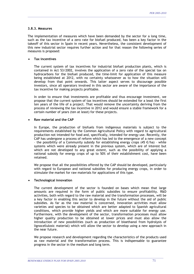## **3.8.3. Measures**

The implementation of measures which have been demanded by the sector for a long time, such as the tax incentive of a zero rate for biofuel produced, has been a key factor in the takeoff of this sector in Spain in recent years. Nevertheless, the consistent development of this new industrial sector requires further action and for that reason the following series of measures is proposed:

\_\_\_\_\_\_\_\_\_\_\_\_\_\_\_\_\_\_\_\_\_\_\_\_\_\_\_\_\_\_\_\_\_\_\_\_\_\_\_\_\_\_\_\_\_\_\_\_\_\_\_\_\_\_\_\_\_\_\_\_\_\_\_\_\_\_\_\_\_\_\_\_\_\_\_\_\_\_\_\_\_\_\_\_\_\_\_\_\_\_\_\_\_\_\_\_\_\_\_\_\_\_\_\_\_\_

## • **Tax incentives**

The current system of tax incentives for industrial biofuel production plants, which is contained in Act 53/2002, involves the application of a zero rate of the special tax on hydrocarbons for the biofuel produced, the time-limit for application of this measure being established at 2012, with no certainty whatsoever as to how the situation will develop from that point onwards. This latter aspect serves to discourage possible investors, since all operators involved in this sector are aware of the importance of the tax incentive for making projects profitable.

In order to ensure that investments are profitable and thus encourage investment, we propose that the current system of tax incentives should be extended for a least the first ten years of the life of a project. That would remove the uncertainty deriving from the process of reviewing the tax incentive in 2012 and would ensure a stable framework for a certain number of years (ten at least) for these projects.

## • **Raw material and the CAP**

In Europe, the production of biofuels from indigenous materials is subject to the requirements established by the Common Agricultural Policy with regard to agricultural production not intended for food and, specifically, intended for energy use. Recently, the CAP has undergone a process of reform which has led to the emergence of a new concept – the possibility of a Community subsidy for establishing energy crops (45 €/ha) – while systems which were already present in the previous system, which are of interest but which are not developed to any great extent, such as the possibility of applying a national subsidy for energy crops of up to 50% of their establishment cost, have been retained.

We propose that all the possibilities offered by the CAP should be developed, particularly with regard to European and national subsidies for producing energy crops, in order to stimulate the market for raw materials for applications of this type.

## • **Technological innovation**

The current development of the sector is founded on bases which mean that large amounts are required in the form of public subsidies to ensure profitability. R&D activities, both with regard to the raw material and the transformation processes, will be a key factor in enabling this sector to develop in the future without the aid of public subsidies. As far as the raw material is concerned, innovation activities must allow varieties and species to be obtained which are better adapted to Spanish agricultural conditions, which provide higher yields and which are more suitable for energy use. Furthermore, with the development of the sector, transformation processes must allow higher quality production to be obtained at lower prices and must also allow the introduction of new possibilities (such as production of bioethanol from hydrolysis of lignocellulosic material) which will allow the sector to develop using a new approach in the near future.

We propose research and development regarding the characteristics of the products used as raw material and the transformation process. This is indispensable to guarantee progress in the sector in the medium and long term.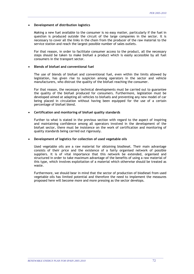## • **Development of distribution logistics**

Making a new fuel available to the consumer is no easy matter, particularly if the fuel in question is produced outside the circuit of the large companies in the sector. It is necessary to cover all the links in the chain from the producer of the raw material to the service station and reach the largest possible number of sales outlets.

\_\_\_\_\_\_\_\_\_\_\_\_\_\_\_\_\_\_\_\_\_\_\_\_\_\_\_\_\_\_\_\_\_\_\_\_\_\_\_\_\_\_\_\_\_\_\_\_\_\_\_\_\_\_\_\_\_\_\_\_\_\_\_\_\_\_\_\_\_\_\_\_\_\_\_\_\_\_\_\_\_\_\_\_\_\_\_\_\_\_\_\_\_\_\_\_\_\_\_\_\_\_\_\_\_\_

For that reason, in order to facilitate consumer access to the product, all the necessary steps should be taken to make biofuel a product which is easily accessible by all fuel consumers in the transport sector.

## • **Blends of biofuel and conventional fuel**

The use of blends of biofuel and conventional fuel, even within the limits allowed by legislation, has given rise to suspicion among operators in the sector and vehicle manufacturers, who distrust the quality of the biofuel reaching the consumer.

For that reason, the necessary technical developments must be carried out to guarantee the quality of the biofuel produced for consumers. Furthermore, legislation must be developed aimed at adapting all vehicles to biofuels and preventing any new model of car being placed in circulation without having been equipped for the use of a certain percentage of biofuel blend.

## • **Certification and monitoring of biofuel quality standards**

Further to what is stated in the previous section with regard to the aspect of inspiring and maintaining confidence among all operators involved in the development of the biofuel sector, there must be insistence on the work of certification and monitoring of quality standards being carried out rigorously.

## • **Development of logistics for collection of used vegetable oils**

Used vegetable oils are a raw material for obtaining biodiesel. Their main advantage consists of their price and the existence of a fairly organised network of possible suppliers. It is of vital importance that this network be extended, organised and structured in order to take maximum advantage of the benefits of using a raw material of this type, which involves exploitation of a material which otherwise should be treated as waste.

Furthermore, we should bear in mind that the sector of production of biodiesel from used vegetable oils has limited potential and therefore the need to implement the measures proposed here will become more and more pressing as the sector develops.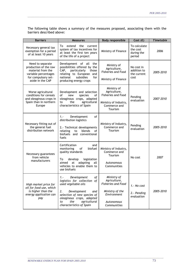The following table shows a summary of the measures proposed, associating them with the barriers described above:

\_\_\_\_\_\_\_\_\_\_\_\_\_\_\_\_\_\_\_\_\_\_\_\_\_\_\_\_\_\_\_\_\_\_\_\_\_\_\_\_\_\_\_\_\_\_\_\_\_\_\_\_\_\_\_\_\_\_\_\_\_\_\_\_\_\_\_\_\_\_\_\_\_\_\_\_\_\_\_\_\_\_\_\_\_\_\_\_\_\_\_\_\_\_\_\_\_\_\_\_\_\_\_\_\_\_

| <b>Barriers</b>                                                                                                                                                                                                                                   | <b>Measures</b>                                                                                                                                                                                                                    | <b>Body responsible</b>                                                                                          | Cost $(\epsilon)$                                | <b>Timetable</b> |
|---------------------------------------------------------------------------------------------------------------------------------------------------------------------------------------------------------------------------------------------------|------------------------------------------------------------------------------------------------------------------------------------------------------------------------------------------------------------------------------------|------------------------------------------------------------------------------------------------------------------|--------------------------------------------------|------------------|
| Necessary general tax<br>exemption for a period<br>of at least 10 years                                                                                                                                                                           | extend the<br>То<br>current<br>system of tax incentives for<br>at least the first ten years<br>of the life of a project                                                                                                            | Ministry of Finance                                                                                              | To calculate<br>the cost<br>during the<br>period | 2006             |
| Need to separate<br>production of the raw<br>material from the<br>variable percentages<br>for compulsory set-<br>aside in the CAP                                                                                                                 | Development of all the<br>possibilities offered by the<br>CAP,<br>particularly<br>those<br>relating to European and<br>national<br>subsidies<br>for<br>producing energy crops                                                      | Ministry of<br>Agriculture,<br><b>Fisheries and Food</b><br>Ministry of Finance                                  | No cost in<br>addition to<br>the current<br>cost | 2005-2010        |
| Worse agricultural<br>conditions for cereals<br>and oleaginous crops in<br>Spain than in northern<br>Europe                                                                                                                                       | Development and selection<br>of<br>new<br>species<br>οf<br>oleaginous crops, adapted<br>agricultural<br>to<br>the<br>characteristics of Spain                                                                                      | Ministry of<br>Agriculture,<br><b>Fisheries and Food</b><br>Ministry of Industry,<br>Commerce and<br>Tourism     | Pending<br>evaluation                            | 2007-2010        |
| Necessary fitting out of<br>the general fuel<br>distribution network                                                                                                                                                                              | Development<br>of<br>$1. -$<br>distribution logistics<br>2.- Technical developments<br>blends<br>relating<br>to<br>οf<br>biofuels and conventional<br>fuels                                                                        | Ministry of Industry,<br>Commerce and<br>Tourism                                                                 | Pending<br>evaluation                            | 2005-2010        |
| Certification<br>and<br>monitoring<br>of<br>biofuel<br>quality standards<br>Necessary guarantees<br>from vehicle<br>develop<br>legislation<br>To<br>manufacturers<br>at<br>adapting<br>aimed<br>all<br>vehicles to enable them to<br>use biofuels |                                                                                                                                                                                                                                    | Ministry of Industry,<br>Commerce and<br>Tourism<br>Autonomous<br>Communities                                    | No cost                                          | 2007             |
| High market price for<br>oil for food use, which<br>is higher than the<br>energy application can<br>pay                                                                                                                                           | Development<br>$1. -$<br>оf<br>logistics for collection of<br>used vegetable oils<br>2.<br>Development<br>and<br>selection of new species of<br>oleaginous crops, adapted<br>the<br>agricultural<br>to<br>characteristics of Spain | Ministry of<br>Agriculture,<br>Fisheries and Food<br>Ministry of the<br>Environment<br>Autonomous<br>Communities | 1.- No cost<br>2. - Pending<br>evaluation        | 2005-2010        |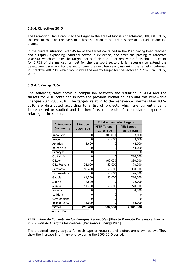#### **3.8.4. Objectives 2010**

The Promotion Plan established the target in the area of biofuels of achieving 500,000 TOE by the end of 2010 on the basis of a base situation of a total absence of biofuel production plants.

\_\_\_\_\_\_\_\_\_\_\_\_\_\_\_\_\_\_\_\_\_\_\_\_\_\_\_\_\_\_\_\_\_\_\_\_\_\_\_\_\_\_\_\_\_\_\_\_\_\_\_\_\_\_\_\_\_\_\_\_\_\_\_\_\_\_\_\_\_\_\_\_\_\_\_\_\_\_\_\_\_\_\_\_\_\_\_\_\_\_\_\_\_\_\_\_\_\_\_\_\_\_\_\_\_\_

In the current situation, with 45.6% of the target contained in the Plan having been reached and a rapidly expanding industrial sector in existence, and after the passing of Directive 2003/30, which contains the target that biofuels and other renewable fuels should account for 5.75% of the market for fuel for the transport sector, it is necessary to extend the development scenario for the sector over the next ten years, assuming the targets contained in Directive 2003/30, which would raise the energy target for the sector to 2.2 million TOE by 2010.

#### *3.8.4.1. Energy Data*

The following table shows a comparison between the situation in 2004 and the targets for 2010 contained in both the previous Promotion Plan and this Renewable Energies Plan 2005-2010. The targets relating to the Renewable Energies Plan 2005- 2010 are distributed according to a list of projects which are currently being implemented or studied and is, therefore, the result of accumulated experience relating to the sector.

|            | <b>Total accumulated targets</b> |                                 |  |  |
|------------|----------------------------------|---------------------------------|--|--|
| 2004 (TOE) | <b>PFER Target</b><br>2010 (TOE) | <b>PER Target</b><br>2010 (TOE) |  |  |
| 0          | 100,000                          | 88,000                          |  |  |
| 0          | 50,000                           | 88,000                          |  |  |
| 3,600      |                                  | 44,000                          |  |  |
|            | ი                                | 44,000                          |  |  |
| 0          | ი                                |                                 |  |  |
| 0          |                                  | 220,000                         |  |  |
|            | 100,000                          | 330,000                         |  |  |
| 36,000     | 50,000                           | 176,000                         |  |  |
| 50,400     | 50,000                           | 330,000                         |  |  |
|            | 50,000                           | 176,000                         |  |  |
| 64,500     | 50,000                           | 220,000                         |  |  |
| 4,500      |                                  | 22,000                          |  |  |
| 51,200     | 50,000                           | 220,000                         |  |  |
|            |                                  | 154,000                         |  |  |
| 0          | O                                |                                 |  |  |
|            |                                  |                                 |  |  |
| 18,000     |                                  | 88,000                          |  |  |
| 228,200    | 500,000                          | 2,200,000                       |  |  |
|            | <b>Situation</b>                 |                                 |  |  |

Source: IDAE

#### **PFER =** *Plan de Fomento de las Energías Renovables* **[Plan to Promote Renewable Energy] PER =** *Plan de Energías Renovables* **[Renewable Energy Plan]**

The proposed energy targets for each type of resource and biofuel are shown below. They show the increase in primary energy during the 2005-2010 period.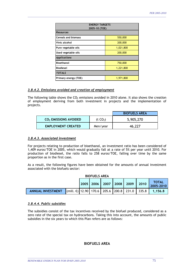| <b>ENERGY TARGETS</b><br>2005-10 (TOE) |           |  |  |  |
|----------------------------------------|-----------|--|--|--|
| <b>Resources</b>                       |           |  |  |  |
| <b>Cereals and biomass</b>             | 550,000   |  |  |  |
| Vinic alcohol                          | 200,000   |  |  |  |
| Pure vegetable oils                    | 1,021,800 |  |  |  |
| Used vegetable oils                    | 200,000   |  |  |  |
| <b>Applications</b>                    |           |  |  |  |
| <b>Bioethanol</b>                      | 750,000   |  |  |  |
| <b>Biodiesel</b>                       | 1,221,800 |  |  |  |
| <b>TOTALS</b>                          |           |  |  |  |
| Primary energy (TOE)                   | 1,971,800 |  |  |  |

\_\_\_\_\_\_\_\_\_\_\_\_\_\_\_\_\_\_\_\_\_\_\_\_\_\_\_\_\_\_\_\_\_\_\_\_\_\_\_\_\_\_\_\_\_\_\_\_\_\_\_\_\_\_\_\_\_\_\_\_\_\_\_\_\_\_\_\_\_\_\_\_\_\_\_\_\_\_\_\_\_\_\_\_\_\_\_\_\_\_\_\_\_\_\_\_\_\_\_\_\_\_\_\_\_\_

#### *3.8.4.2. Emissions avoided and creation of employment*

The following table shows the  $CO<sub>2</sub>$  emissions avoided in 2010 alone. It also shows the creation of employment deriving from both investment in projects and the implementation of projects.

|                                   | <b>BIOFUELS AREA</b> |           |
|-----------------------------------|----------------------|-----------|
| CO <sub>2</sub> EMISSIONS AVOIDED | (t CO <sub>2</sub> ) | 5,905,270 |
| <b>EMPLOYMENT CREATED</b>         | Men/year             | 46.227    |

#### *3.8.4.3. Associated investment*

For projects relating to production of bioethanol, an investment ratio has been considered of 1,409 euros/TOE in 2005, which would gradually fall at a rate of 5% per year until 2010. For production of biodiesel, the ratio falls to 258 euros/TOE, falling over time by the same proportion as in the first case.

As a result, the following figures have been obtained for the amounts of annual investment associated with the biofuels sector:

| <b>BIOFUELS AREA</b>     |                                                                |  |  |  |  |                                  |              |                    |
|--------------------------|----------------------------------------------------------------|--|--|--|--|----------------------------------|--------------|--------------------|
|                          |                                                                |  |  |  |  | 2005   2006   2007   2008   2009 | $\vert$ 2010 | TOTAL<br>2005-2010 |
| <b>ANNUAL INVESTMENT</b> | (mill. €)   12.90    170.6    205.6    200.8    231.0    335.8 |  |  |  |  |                                  |              | 1.156.8            |

#### *3.8.4.4. Public subsidies*

The subsidies consist of the tax incentives received by the biofuel produced, considered as a zero rate of the special tax on hydrocarbons. Taking this into account, the amounts of public subsidies in the six years to which this Plan refers are as follows:

#### **BIOFUELS AREA**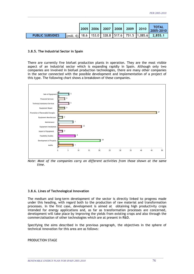|                         |  | 2005   2006   2007   2008   2009 |  | 2010 | TOTAL<br>2005-2010                                                                                        |
|-------------------------|--|----------------------------------|--|------|-----------------------------------------------------------------------------------------------------------|
| <b>PUBLIC SUBSIDIES</b> |  |                                  |  |      | $\mathbb{I}_{\text{(mill. } \epsilon)}$    18.6    153.0    328.8    517.6    751.5    1,085.6    2,855.1 |

\_\_\_\_\_\_\_\_\_\_\_\_\_\_\_\_\_\_\_\_\_\_\_\_\_\_\_\_\_\_\_\_\_\_\_\_\_\_\_\_\_\_\_\_\_\_\_\_\_\_\_\_\_\_\_\_\_\_\_\_\_\_\_\_\_\_\_\_\_\_\_\_\_\_\_\_\_\_\_\_\_\_\_\_\_\_\_\_\_\_\_\_\_\_\_\_\_\_\_\_\_\_\_\_\_\_

#### **3.8.5. The Industrial Sector in Spain**

There are currently five biofuel production plants in operation. They are the most visible aspect of an industrial sector which is expanding rapidly in Spain. Although only two companies are involved in biofuel production technologies, there are many other companies in the sector connected with the possible development and implementation of a project of this type. The following chart shows a breakdown of these companies.



*Note: Most of the companies carry on different activities from those shown at the same time.* 

#### **3.8.6. Lines of Technological Innovation**

The medium and long-term development of the sector is directly linked to progress made under this heading, with regard both to the production of raw material and transformation processes. In the first case, development is aimed at obtaining high productivity crops intended for energy applications and, as far as transformation processes are concerned, development will take place by improving the yields from existing crops and also through the commercialisation of other technologies which are at present in R&D.

Specifying the aims described in the previous paragraph, the objectives in the sphere of technical innovation for this area are as follows:

\_\_\_\_\_\_\_\_\_\_\_\_\_\_\_\_\_\_\_\_\_\_\_\_\_\_\_\_\_\_\_\_\_\_\_\_\_\_\_\_\_\_\_\_\_\_\_\_\_\_\_\_\_\_\_\_\_\_\_\_\_\_\_\_\_\_\_\_\_\_\_\_\_\_\_\_\_\_\_\_\_\_\_\_\_\_\_\_\_\_\_\_\_\_\_\_\_\_\_\_\_\_\_\_

PRODUCTION STAGE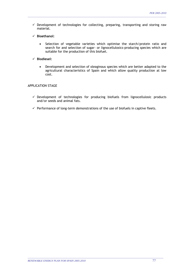$\checkmark$  Development of technologies for collecting, preparing, transporting and storing raw material.

\_\_\_\_\_\_\_\_\_\_\_\_\_\_\_\_\_\_\_\_\_\_\_\_\_\_\_\_\_\_\_\_\_\_\_\_\_\_\_\_\_\_\_\_\_\_\_\_\_\_\_\_\_\_\_\_\_\_\_\_\_\_\_\_\_\_\_\_\_\_\_\_\_\_\_\_\_\_\_\_\_\_\_\_\_\_\_\_\_\_\_\_\_\_\_\_\_\_\_\_\_\_\_\_\_\_

- 9 **Bioethanol:** 
	- Selection of vegetable varieties which optimise the starch/protein ratio and search for and selection of sugar- or lignocellulosics-producing species which are suitable for the production of this biofuel.
- 9 **Biodiesel:** 
	- Development and selection of oleaginous species which are better adapted to the agricultural characteristics of Spain and which allow quality production at low cost.

#### APPLICATION STAGE

- $\checkmark$  Development of technologies for producing biofuels from lignocellulosic products and/or seeds and animal fats.
- $\checkmark$  Performance of long-term demonstrations of the use of biofuels in captive fleets.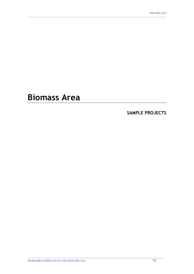# **Biomass Area**

### **SAMPLE PROJECTS**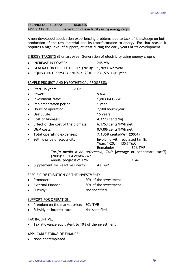#### **TECHNOLOGICAL AREA: BIOMASS APPLICATION: Generation of electricity using energy crops**

A non-developed application experiencing problems due to lack of knowledge on both production of the raw material and its transformation to energy. For that reason it requires a high level of support, at least during the early years of its development

\_\_\_\_\_\_\_\_\_\_\_\_\_\_\_\_\_\_\_\_\_\_\_\_\_\_\_\_\_\_\_\_\_\_\_\_\_\_\_\_\_\_\_\_\_\_\_\_\_\_\_\_\_\_\_\_\_\_\_\_\_\_\_\_\_\_\_\_\_\_\_\_\_\_\_\_\_\_\_\_\_\_\_\_\_\_\_\_\_\_\_\_\_\_\_\_\_\_\_\_\_\_\_\_\_\_

ENERGY TARGETS (Biomass Area, Generation of electricity using energy crops):

- INCREASE IN POWER: 245 MW
- GENERATION OF ELECTRICITY (2010): 1,709 GWh/year
- EQUIVALENT PRIMARY ENERGY (2010): 731,597 TOE/year

#### SAMPLE PROJECT AND HYPOTHETICAL PROGRESS:

| $\bullet$ | Start-up year:                               | 2005 |                                                                                             |
|-----------|----------------------------------------------|------|---------------------------------------------------------------------------------------------|
| $\bullet$ | Power:                                       |      | 5 MW                                                                                        |
| $\bullet$ | Investment ratio:                            |      | 1,803.04 €/kW                                                                               |
| $\bullet$ | Implementation period:                       |      | 1 year                                                                                      |
|           | • Hours of operation:                        |      | 7,500 hours/year                                                                            |
| $\bullet$ | Useful life:                                 |      | 15 years                                                                                    |
| $\bullet$ | Cost of biomass:                             |      | 4.3273 cents/kg                                                                             |
|           | $\bullet$ Effect of the cost of the biomass: |      | 6.1753 cents/kWh net                                                                        |
| $\bullet$ | O&M costs:                                   |      | 0.9306 cents/kWh net                                                                        |
| $\bullet$ | Total operating expenses:                    |      | 7.1059 cents/kWh (2004)                                                                     |
| $\bullet$ | Selling price of electricity:                |      | Invoicing with regulated tariffs<br>Years 1-20:<br><b>135% TMR</b><br>Remainder:<br>80% TMR |
|           |                                              |      | Tarifa media o de referencia, TMR [average or benchmark tariff]                             |

\_\_\_\_\_\_\_\_\_\_\_\_\_\_\_\_\_\_\_\_\_\_\_\_\_\_\_\_\_\_\_\_\_\_\_\_\_\_\_\_\_\_\_\_\_\_\_\_\_\_\_\_\_\_\_\_\_\_\_\_\_\_\_\_\_\_\_\_\_\_\_\_\_\_\_\_\_\_\_\_\_\_\_\_\_\_\_\_\_\_\_\_\_\_\_\_\_\_\_\_\_\_\_\_

(2005): 7.3304 cents/kWh Annual progress of TMR: 1.4%

• Supplement for Reactive Energy: 4% TMR

#### SPECIFIC DISTRIBUTION OF THE INVESTMENT:

- Promoter: 20% of the investment
- External Finance: 80% of the investment
- Subsidy: Not specified

#### SUPPORT FOR OPERATION:

- Premium on the market price: 80% TMR
- Subsidy at interest rate: Not specified

#### TAX INCENTIVES:

Tax allowance equivalent to 10% of the investment

#### APPLICABLE FORMS OF FINANCE: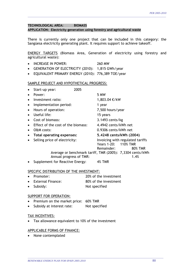#### **TECHNOLOGICAL AREA: BIOMASS**

#### **APPLICATION: Electricity generation using forestry and agricultural waste**

There is currently only one project that can be included in this category: the Sangüesa electricity generating plant. It requires support to achieve takeoff.

\_\_\_\_\_\_\_\_\_\_\_\_\_\_\_\_\_\_\_\_\_\_\_\_\_\_\_\_\_\_\_\_\_\_\_\_\_\_\_\_\_\_\_\_\_\_\_\_\_\_\_\_\_\_\_\_\_\_\_\_\_\_\_\_\_\_\_\_\_\_\_\_\_\_\_\_\_\_\_\_\_\_\_\_\_\_\_\_\_\_\_\_\_\_\_\_\_\_\_\_\_\_\_\_\_\_

ENERGY TARGETS (Biomass Area, Generation of electricity using forestry and agricultural waste):

- INCREASE IN POWER: 260 MW
- GENERATION OF ELECTRICITY (2010): 1,815 GWh/year
- EQUIVALENT PRIMARY ENERGY (2010): 776,389 TOE/year

#### SAMPLE PROJECT AND HYPOTHETICAL PROGRESS:

|           | Start-up year:                     | 2005 |                                    |                                                                   |
|-----------|------------------------------------|------|------------------------------------|-------------------------------------------------------------------|
|           | Power:                             |      | 5 MW                               |                                                                   |
| $\bullet$ | Investment ratio:                  |      | 1,803.04 €/kW                      |                                                                   |
| $\bullet$ | Implementation period:             |      | 1 year                             |                                                                   |
| $\bullet$ | Hours of operation:                |      | 7,500 hours/year                   |                                                                   |
| $\bullet$ | Useful life:                       |      | 15 years                           |                                                                   |
| $\bullet$ | Cost of biomass:                   |      | 3.1493 cents/kg                    |                                                                   |
|           | Effect of the cost of the biomass: |      | 4.4942 cents/kWh net               |                                                                   |
| $\bullet$ | O&M costs:                         |      | 0.9306 cents/kWh net               |                                                                   |
| $\bullet$ | Total operating expenses:          |      | 5.4248 cents/kWh (2004)            |                                                                   |
|           | Selling price of electricity:      |      | Years 1-20: 110% TMR<br>Remainder: | Invoicing with regulated tariffs<br>80% TMR                       |
|           | Annual progress of TMR:            |      |                                    | Average or benchmark tariff, TMR (2005): 7,3304 cents/kWh<br>1.4% |
|           | Supplement for Reactive Energy:    |      | <b>4% TMR</b>                      |                                                                   |

#### SPECIFIC DISTRIBUTION OF THE INVESTMENT:

- Promoter: 20% of the investment
- External Finance: 80% of the investment
- Subsidy: Not specified

#### SUPPORT FOR OPERATION:

- Premium on the market price: 60% TMR
- Subsidy at interest rate: Not specified

#### TAX INCENTIVES:

• Tax allowance equivalent to 10% of the investment

\_\_\_\_\_\_\_\_\_\_\_\_\_\_\_\_\_\_\_\_\_\_\_\_\_\_\_\_\_\_\_\_\_\_\_\_\_\_\_\_\_\_\_\_\_\_\_\_\_\_\_\_\_\_\_\_\_\_\_\_\_\_\_\_\_\_\_\_\_\_\_\_\_\_\_\_\_\_\_\_\_\_\_\_\_\_\_\_\_\_\_\_\_\_\_\_\_\_\_\_\_\_\_\_

#### APPLICABLE FORMS OF FINANCE: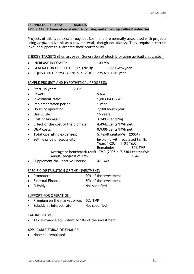#### **TECHNOLOGICAL AREA: BIOMASS**

#### **APPLICATION: Generation of electricity using waste from agricultural industries**

Projects of this type exist throughout Spain and are normally associated with projects using *orujillo* olive oil as a raw material, though not always. They require a certain level of support to guarantee their profitability

\_\_\_\_\_\_\_\_\_\_\_\_\_\_\_\_\_\_\_\_\_\_\_\_\_\_\_\_\_\_\_\_\_\_\_\_\_\_\_\_\_\_\_\_\_\_\_\_\_\_\_\_\_\_\_\_\_\_\_\_\_\_\_\_\_\_\_\_\_\_\_\_\_\_\_\_\_\_\_\_\_\_\_\_\_\_\_\_\_\_\_\_\_\_\_\_\_\_\_\_\_\_\_\_\_\_

ENERGY TARGETS (Biomass Area, Generation of electricity using agricultural waste):

- INCREASE IN POWER: 100 MW
- GENERATION OF ELECTRICITY (2010): 698 GWh/year
- EQUIVALENT PRIMARY ENERGY (2010): 298,611 TOE/year

#### SAMPLE PROJECT AND HYPOTHETICAL PROGRESS:

|           | Start-up year:                     | 2005 |                                    |                                                                   |
|-----------|------------------------------------|------|------------------------------------|-------------------------------------------------------------------|
| $\bullet$ | Power:                             |      | 5 MW                               |                                                                   |
| $\bullet$ | Investment ratio:                  |      | 1,803.04 €/kW                      |                                                                   |
| $\bullet$ | Implementation period:             |      | 1 year                             |                                                                   |
| $\bullet$ | Hours of operation:                |      | 7,500 hours/year                   |                                                                   |
| $\bullet$ | Useful life:                       |      | 15 years                           |                                                                   |
| $\bullet$ | Cost of biomass:                   |      | 3.1493 cents/kg                    |                                                                   |
| $\bullet$ | Effect of the cost of the biomass: |      | 4.4942 cents/kWh net               |                                                                   |
| $\bullet$ | O&M costs:                         |      | 0.9306 cents/kWh net               |                                                                   |
| $\bullet$ | Total operating expenses:          |      | 5.4248 cents/kWh (2004)            |                                                                   |
| $\bullet$ | Selling price of electricity:      |      | Years 1-20: 110% TMR<br>Remainder: | Invoicing with regulated tariffs<br>80% TMR                       |
|           | Annual progress of TMR:            |      |                                    | Average or benchmark tariff, TMR (2005): 7.3304 cents/kWh<br>1.4% |

• Supplement for Reactive Energy: 4% TMR

#### SPECIFIC DISTRIBUTION OF THE INVESTMENT:

- Promoter: 20% of the investment
- External Finance: 80% of the investment
- Subsidy: Not specified

#### SUPPORT FOR OPERATION:

- Premium on the market price: 60% TMR
- Subsidy at interest rate: Not specified

#### TAX INCENTIVES:

Tax allowance equivalent to 10% of the investment

\_\_\_\_\_\_\_\_\_\_\_\_\_\_\_\_\_\_\_\_\_\_\_\_\_\_\_\_\_\_\_\_\_\_\_\_\_\_\_\_\_\_\_\_\_\_\_\_\_\_\_\_\_\_\_\_\_\_\_\_\_\_\_\_\_\_\_\_\_\_\_\_\_\_\_\_\_\_\_\_\_\_\_\_\_\_\_\_\_\_\_\_\_\_\_\_\_\_\_\_\_\_\_\_

#### APPLICABLE FORMS OF FINANCE: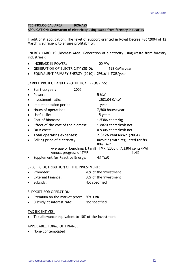#### **TECHNOLOGICAL AREA: BIOMASS**

**APPLICATION: Generation of electricity using waste from forestry industries** 

Traditional application. The level of support granted in Royal Decree 436/2004 of 12 March is sufficient to ensure profitability.

\_\_\_\_\_\_\_\_\_\_\_\_\_\_\_\_\_\_\_\_\_\_\_\_\_\_\_\_\_\_\_\_\_\_\_\_\_\_\_\_\_\_\_\_\_\_\_\_\_\_\_\_\_\_\_\_\_\_\_\_\_\_\_\_\_\_\_\_\_\_\_\_\_\_\_\_\_\_\_\_\_\_\_\_\_\_\_\_\_\_\_\_\_\_\_\_\_\_\_\_\_\_\_\_\_\_

ENERGY TARGETS (Biomass Area, Generation of electricity using waste from forestry industries):

- INCREASE IN POWER: 100 MW
- GENERATION OF ELECTRICITY (2010): 698 GWh/year
- EQUIVALENT PRIMARY ENERGY (2010): 298,611 TOE/year

#### SAMPLE PROJECT AND HYPOTHETICAL PROGRESS:

|           | Start-up year:                     | 2005 |                         |                                                                   |
|-----------|------------------------------------|------|-------------------------|-------------------------------------------------------------------|
|           | Power:                             |      | 5 MW                    |                                                                   |
| $\bullet$ | Investment ratio:                  |      | 1,803.04 €/kW           |                                                                   |
| $\bullet$ | Implementation period:             |      | 1 year                  |                                                                   |
| $\bullet$ | Hours of operation:                |      | 7,500 hours/year        |                                                                   |
| $\bullet$ | Useful life:                       |      | 15 years                |                                                                   |
| $\bullet$ | Cost of biomass:                   |      | $1.5386$ cents/kg       |                                                                   |
|           | Effect of the cost of the biomass: |      | 1.8820 cents/kWh net    |                                                                   |
| $\bullet$ | O&M costs:                         |      | 0.9306 cents/kWh net    |                                                                   |
| $\bullet$ | Total operating expenses:          |      | 2.8126 cents/kWh (2004) |                                                                   |
|           | Selling price of electricity:      |      | <b>80% TMR</b>          | Invoicing with regulated tariffs                                  |
|           | Annual progress of TMR:            |      |                         | Average or benchmark tariff, TMR (2005): 7.3304 cents/kWh<br>1.4% |
|           | Supplement for Reactive Energy:    |      | <b>4% TMR</b>           |                                                                   |

#### SPECIFIC DISTRIBUTION OF THE INVESTMENT:

- Promoter: 20% of the investment
- External Finance: 80% of the investment
- Subsidy: Not specified

#### SUPPORT FOR OPERATION:

- Premium on the market price: 30% TMR
- Subsidy at interest rate: Not specified

#### TAX INCENTIVES:

Tax allowance equivalent to 10% of the investment

\_\_\_\_\_\_\_\_\_\_\_\_\_\_\_\_\_\_\_\_\_\_\_\_\_\_\_\_\_\_\_\_\_\_\_\_\_\_\_\_\_\_\_\_\_\_\_\_\_\_\_\_\_\_\_\_\_\_\_\_\_\_\_\_\_\_\_\_\_\_\_\_\_\_\_\_\_\_\_\_\_\_\_\_\_\_\_\_\_\_\_\_\_\_\_\_\_\_\_\_\_\_\_\_

#### APPLICABLE FORMS OF FINANCE: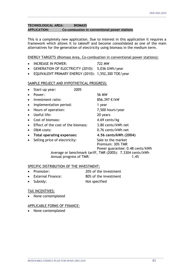#### **TECHNOLOGICAL AREA: BIOMASS APPLICATION: Co-combustion in conventional power stations**

This is a completely new application. Due to interest in this application it requires a framework which allows it to takeoff and become consolidated as one of the main alternatives for the generation of electricity using biomass in the medium term.

\_\_\_\_\_\_\_\_\_\_\_\_\_\_\_\_\_\_\_\_\_\_\_\_\_\_\_\_\_\_\_\_\_\_\_\_\_\_\_\_\_\_\_\_\_\_\_\_\_\_\_\_\_\_\_\_\_\_\_\_\_\_\_\_\_\_\_\_\_\_\_\_\_\_\_\_\_\_\_\_\_\_\_\_\_\_\_\_\_\_\_\_\_\_\_\_\_\_\_\_\_\_\_\_\_\_

ENERGY TARGETS (Biomass Area, Co-combustion in conventional power stations):

- INCREASE IN POWER: 722 MW
- GENERATION OF ELECTRICITY (2010): 5,036 GWh/year
- EQUIVALENT PRIMARY ENERGY (2010): 1,552,300 TOE/year

#### SAMPLE PROJECT AND HYPOTHETICAL PROGRESS:

|           | Start-up year:                     | 2005 |                                                                           |
|-----------|------------------------------------|------|---------------------------------------------------------------------------|
|           | Power:                             |      | 56 MW                                                                     |
| $\bullet$ | Investment ratio:                  |      | 856.397 €/kW                                                              |
| $\bullet$ | Implementation period:             |      | 1 year                                                                    |
| $\bullet$ | Hours of operation:                |      | 7,500 hours/year                                                          |
| $\bullet$ | Useful life:                       |      | 20 years                                                                  |
| $\bullet$ | Cost of biomass:                   |      | 4.69 cents/kg                                                             |
| $\bullet$ | Effect of the cost of the biomass: |      | 3.80 cents/kWh net                                                        |
| $\bullet$ | O&M costs:                         |      | 0.76 cents/kWh net                                                        |
| $\bullet$ | Total operating expenses:          |      | 4.56 cents/kWh (2004)                                                     |
| $\bullet$ | Selling price of electricity:      |      | Sale to the market<br>Premium: 30% TMR<br>Power guarantee: 0.48 cents/kWh |

Average or benchmark tariff, TMR (2005): 7.3304 cents/kWh Annual progress of TMR: 1.4%

#### SPECIFIC DISTRIBUTION OF THE INVESTMENT:

- Promoter: 20% of the investment
- External Finance: 80% of the investment

\_\_\_\_\_\_\_\_\_\_\_\_\_\_\_\_\_\_\_\_\_\_\_\_\_\_\_\_\_\_\_\_\_\_\_\_\_\_\_\_\_\_\_\_\_\_\_\_\_\_\_\_\_\_\_\_\_\_\_\_\_\_\_\_\_\_\_\_\_\_\_\_\_\_\_\_\_\_\_\_\_\_\_\_\_\_\_\_\_\_\_\_\_\_\_\_\_\_\_\_\_\_\_\_

Subsidy: Not specified

#### TAX INCENTIVES:

• None contemplated

#### APPLICABLE FORMS OF FINANCE: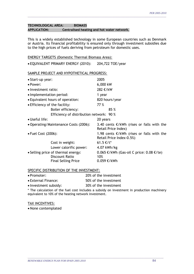#### **TECHNOLOGICAL AREA: BIOMASS APPLICATION: Centralised heating and hot water network.**

This is a widely established technology in some European countries such as Denmark or Austria. Its financial profitability is ensured only through investment subsidies due to the high prices of fuels deriving from petroleum for domestic uses.

\_\_\_\_\_\_\_\_\_\_\_\_\_\_\_\_\_\_\_\_\_\_\_\_\_\_\_\_\_\_\_\_\_\_\_\_\_\_\_\_\_\_\_\_\_\_\_\_\_\_\_\_\_\_\_\_\_\_\_\_\_\_\_\_\_\_\_\_\_\_\_\_\_\_\_\_\_\_\_\_\_\_\_\_\_\_\_\_\_\_\_\_\_\_\_\_\_\_\_\_\_\_\_\_\_\_

| <b>ENERGY TARGETS (Domestic Thermal Biomass Area):</b> |  |
|--------------------------------------------------------|--|
|                                                        |  |

| • EQUIVALENT PRIMARY ENERGY (2010):       | 204,722 TOE/year                                                           |  |  |
|-------------------------------------------|----------------------------------------------------------------------------|--|--|
| SAMPLE PROJECT AND HYPOTHETICAL PROGRESS: |                                                                            |  |  |
| • Start-up year:                          | 2005                                                                       |  |  |
| • Power:                                  | 6,000 kW                                                                   |  |  |
| • Investment ratio:                       | 282 €/kW                                                                   |  |  |
| • Implementation period:                  | 1 year                                                                     |  |  |
| • Equivalent hours of operation:          | 820 hours/year                                                             |  |  |
| • Efficiency of the facility:             | 77 %                                                                       |  |  |
| Boiler efficiency:                        | 85 %                                                                       |  |  |
| Efficiency of distribution network: 90 %  |                                                                            |  |  |
| • Useful life:                            | 20 years                                                                   |  |  |
| • Operating/Maintenance Costs (2006):     | 3.40 cents $\epsilon$ /kWh (rises or falls with the<br>Retail Price Index) |  |  |
| • Fuel Cost (2006):                       | 1.98 cents $€/kWh$ (rises or falls with the<br>Retail Price Index-0.5%)    |  |  |
| Cost in weight:                           | $61.5$ €/t*                                                                |  |  |
| Lower calorific power:                    | 4.07 kWh/kg                                                                |  |  |
| • Selling price of thermal energy:        | $0.065$ €/kWh (Gas-oil C price: 0.08 €/te)                                 |  |  |
| Discount Ratio                            | 10%                                                                        |  |  |
| <b>Final Selling Price</b>                | 0.059 €/kWh                                                                |  |  |

#### SPECIFIC DISTRIBUTION OF THE INVESTMENT:

| • Promoter: | 20% of the investment |
|-------------|-----------------------|
|-------------|-----------------------|

- External Finance: 50% of the investment
- Investment subsidy: 30% of the investment

\* The calculation of the fuel cost includes a subsidy on investment in production machinery equivalent to 10% of the heating network investment.

\_\_\_\_\_\_\_\_\_\_\_\_\_\_\_\_\_\_\_\_\_\_\_\_\_\_\_\_\_\_\_\_\_\_\_\_\_\_\_\_\_\_\_\_\_\_\_\_\_\_\_\_\_\_\_\_\_\_\_\_\_\_\_\_\_\_\_\_\_\_\_\_\_\_\_\_\_\_\_\_\_\_\_\_\_\_\_\_\_\_\_\_\_\_\_\_\_\_\_\_\_\_\_\_

#### TAX INCENTIVES: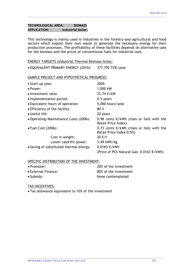#### **TECHNOLOGICAL AREA: BIOMASS APPLICATION: Industrial boiler.**

This technology is mainly used in industries in the forestry and agricultural and food sectors which exploit their own waste to generate the necessary energy for their production processes. The profitability of these facilities depends on alternative uses for the biomass and the prices of conventional fuels for industrial uses.

\_\_\_\_\_\_\_\_\_\_\_\_\_\_\_\_\_\_\_\_\_\_\_\_\_\_\_\_\_\_\_\_\_\_\_\_\_\_\_\_\_\_\_\_\_\_\_\_\_\_\_\_\_\_\_\_\_\_\_\_\_\_\_\_\_\_\_\_\_\_\_\_\_\_\_\_\_\_\_\_\_\_\_\_\_\_\_\_\_\_\_\_\_\_\_\_\_\_\_\_\_\_\_\_\_\_

#### ENERGY TARGETS (Industrial Thermal Biomass Area):

• EQUIVALENT PRIMARY ENERGY (2010): 377,792 TOE/year

#### SAMPLE PROJECT AND HYPOTHETICAL PROGRESS:

| • Start-up year:                        | 2005                                                                            |
|-----------------------------------------|---------------------------------------------------------------------------------|
| • Power:                                | 1,000 kW                                                                        |
| • Investment ratio:                     | 72.74 €/kW                                                                      |
| • Implementation period:                | $0.5$ years                                                                     |
| • Equivalent hours of operation:        | 5,000 hours/year                                                                |
| • Efficiency of the facility:           | 80 %                                                                            |
| • Useful life:                          | 20 years                                                                        |
| • Operating/Maintenance Costs (2006):   | 0.98 cents $€/kWh$ (rises or falls with the<br>Retail Price Index)              |
| • Fuel Cost (2006):                     | 0.73 cents $\epsilon$ /kWh (rises or falls with the<br>Retail Price Index-0.5%) |
| Cost in weight:                         | 20 €/t                                                                          |
| Lower calorific power:                  | $3.49$ kWh/kg                                                                   |
| • Saving of substituted thermal energy: | 0.0183 €/kWh                                                                    |
|                                         | (Price of PCS Natural Gas: $0.0163 \text{ €/kWh}$ )                             |

\_\_\_\_\_\_\_\_\_\_\_\_\_\_\_\_\_\_\_\_\_\_\_\_\_\_\_\_\_\_\_\_\_\_\_\_\_\_\_\_\_\_\_\_\_\_\_\_\_\_\_\_\_\_\_\_\_\_\_\_\_\_\_\_\_\_\_\_\_\_\_\_\_\_\_\_\_\_\_\_\_\_\_\_\_\_\_\_\_\_\_\_\_\_\_\_\_\_\_\_\_\_\_\_

#### SPECIFIC DISTRIBUTION OF THE INVESTMENT:

| $\bullet$ Promoter: | 20% of the investment |
|---------------------|-----------------------|
| • External Finance: | 80% of the investment |
| $\bullet$ Subsidy:  | None contemplated     |

#### TAX INCENTIVES:

• Tax allowance equivalent to 10% of the investment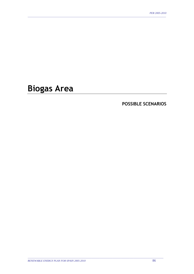# **Biogas Area**

### **POSSIBLE SCENARIOS**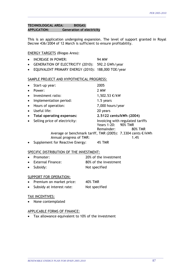#### **TECHNOLOGICAL AREA: BIOGAS: APPLICATION: Generation of electricity**

This is an application undergoing expansion. The level of support granted in Royal Decree 436/2004 of 12 March is sufficient to ensure profitability.

\_\_\_\_\_\_\_\_\_\_\_\_\_\_\_\_\_\_\_\_\_\_\_\_\_\_\_\_\_\_\_\_\_\_\_\_\_\_\_\_\_\_\_\_\_\_\_\_\_\_\_\_\_\_\_\_\_\_\_\_\_\_\_\_\_\_\_\_\_\_\_\_\_\_\_\_\_\_\_\_\_\_\_\_\_\_\_\_\_\_\_\_\_\_\_\_\_\_\_\_\_\_\_\_\_\_

#### ENERGY TARGETS (Biogas Area):

- INCREASE IN POWER: 94 MW • GENERATION OF ELECTRICITY (2010): 592.2 GWh/year
- EQUIVALENT PRIMARY ENERGY (2010): 188,000 TOE/year

#### SAMPLE PROJECT AND HYPOTHETICAL PROGRESS:

| $\bullet$ | Start-up year:                  | 2005                                                                             |
|-----------|---------------------------------|----------------------------------------------------------------------------------|
| $\bullet$ | Power:                          | 2 MW                                                                             |
| $\bullet$ | Investment ratio:               | 1,502.53 €/kW                                                                    |
| $\bullet$ | Implementation period:          | 1.5 years                                                                        |
| $\bullet$ | Hours of operation:             | 7,000 hours/year                                                                 |
| $\bullet$ | Useful life:                    | 20 years                                                                         |
| $\bullet$ | Total operating expenses:       | 2.5122 cents/kWh (2004)                                                          |
| $\bullet$ | Selling price of electricity:   | Invoicing with regulated tariffs<br>Years 1-20: 90% TMR<br>Remainder:<br>80% TMR |
|           | Annual progress of TMR:         | Average or benchmark tariff, TMR (2005): 7.3304 cents €/kWh<br>1.4%              |
|           | Supplement for Reactive Energy: | <b>4% TMR</b>                                                                    |

#### SPECIFIC DISTRIBUTION OF THE INVESTMENT:

- Promoter: 20% of the investment • External Finance: 80% of the investment
- Subsidy: Not specified

#### SUPPORT FOR OPERATION:

- Premium on market price: 40% TMR
- Subsidy at interest rate: Not specified

#### TAX INCENTIVES:

• None contemplated

#### APPLICABLE FORMS OF FINANCE:

• Tax allowance equivalent to 10% of the investment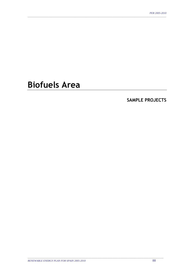# **Biofuels Area**

SAMPLE PROJECTS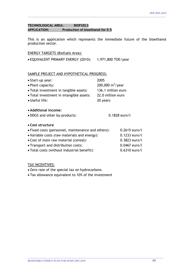#### **TECHNOLOGICAL AREA: BIOFUELS APPLICATION: Production of bioethanol for E-5**

This is an application which represents the immediate future of the bioethanol production sector.

\_\_\_\_\_\_\_\_\_\_\_\_\_\_\_\_\_\_\_\_\_\_\_\_\_\_\_\_\_\_\_\_\_\_\_\_\_\_\_\_\_\_\_\_\_\_\_\_\_\_\_\_\_\_\_\_\_\_\_\_\_\_\_\_\_\_\_\_\_\_\_\_\_\_\_\_\_\_\_\_\_\_\_\_\_\_\_\_\_\_\_\_\_\_\_\_\_\_\_\_\_\_\_\_\_\_

#### ENERGY TARGETS (Biofuels Area):

• EQUIVALENT PRIMARY ENERGY (2010): 1,971,800 TOE/year

### SAMPLE PROJECT AND HYPOTHETICAL PROGRESS:

| • Start-up year:                                   | 2005                |                 |
|----------------------------------------------------|---------------------|-----------------|
| • Plant capacity:                                  | 200,000 $m^3$ /year |                 |
| • Total investment in tangible assets:             | 136.1 million euro  |                 |
| • Total investment in intangible assets:           | 22.0 million euro   |                 |
| • Useful life:                                     | 20 years            |                 |
| • Additional income:                               |                     |                 |
| • DDGS and other by-products:                      |                     | 0.1828 euro/l   |
| • Cost structure                                   |                     |                 |
| • Fixed costs (personnel, maintenance and others): |                     | $0.2615$ euro/l |
| • Variable costs (raw materials and energy):       |                     | $0.1233$ euro/l |
| • Cost of main raw material (cereal):              |                     | $0.3823$ euro/l |
| • Transport and distribution costs:                |                     | $0.0467$ euro/l |
| • Total costs (without industrial benefit):        |                     | $0.6310$ euro/l |

TAX INCENTIVES:

• Zero rate of the special tax on hydrocarbons

• Tax allowance equivalent to 10% of the investment